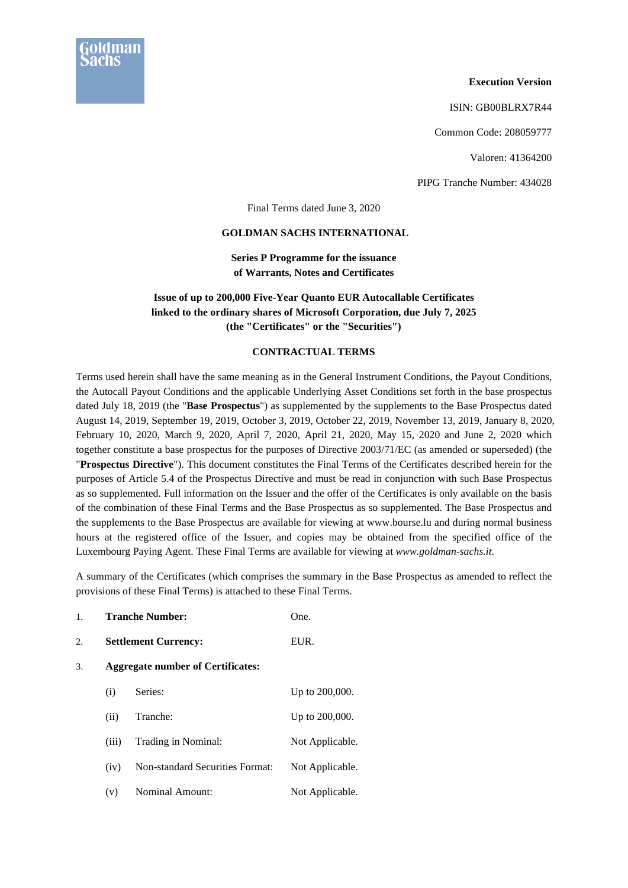

#### **Execution Version**

ISIN: GB00BLRX7R44

Common Code: 208059777

Valoren: 41364200

PIPG Tranche Number: 434028

Final Terms dated June 3, 2020

#### **GOLDMAN SACHS INTERNATIONAL**

**Series P Programme for the issuance of Warrants, Notes and Certificates** 

## **Issue of up to 200,000 Five-Year Quanto EUR Autocallable Certificates linked to the ordinary shares of Microsoft Corporation, due July 7, 2025 (the "Certificates" or the "Securities")**

#### **CONTRACTUAL TERMS**

Terms used herein shall have the same meaning as in the General Instrument Conditions, the Payout Conditions, the Autocall Payout Conditions and the applicable Underlying Asset Conditions set forth in the base prospectus dated July 18, 2019 (the "**Base Prospectus**") as supplemented by the supplements to the Base Prospectus dated August 14, 2019, September 19, 2019, October 3, 2019, October 22, 2019, November 13, 2019, January 8, 2020, February 10, 2020, March 9, 2020, April 7, 2020, April 21, 2020, May 15, 2020 and June 2, 2020 which together constitute a base prospectus for the purposes of Directive 2003/71/EC (as amended or superseded) (the "**Prospectus Directive**"). This document constitutes the Final Terms of the Certificates described herein for the purposes of Article 5.4 of the Prospectus Directive and must be read in conjunction with such Base Prospectus as so supplemented. Full information on the Issuer and the offer of the Certificates is only available on the basis of the combination of these Final Terms and the Base Prospectus as so supplemented. The Base Prospectus and the supplements to the Base Prospectus are available for viewing at www.bourse.lu and during normal business hours at the registered office of the Issuer, and copies may be obtained from the specified office of the Luxembourg Paying Agent. These Final Terms are available for viewing at *www.goldman-sachs.it*.

A summary of the Certificates (which comprises the summary in the Base Prospectus as amended to reflect the provisions of these Final Terms) is attached to these Final Terms.

| 1. | <b>Tranche Number:</b> |                                          | One.            |  |
|----|------------------------|------------------------------------------|-----------------|--|
| 2. |                        | <b>Settlement Currency:</b>              | EUR.            |  |
| 3. |                        | <b>Aggregate number of Certificates:</b> |                 |  |
|    | (i)                    | Series:                                  | Up to 200,000.  |  |
|    | (ii)                   | Tranche:                                 | Up to 200,000.  |  |
|    | (iii)                  | Trading in Nominal:                      | Not Applicable. |  |
|    | (iv)                   | <b>Non-standard Securities Format:</b>   | Not Applicable. |  |
|    | (v)                    | <b>Nominal Amount:</b>                   | Not Applicable. |  |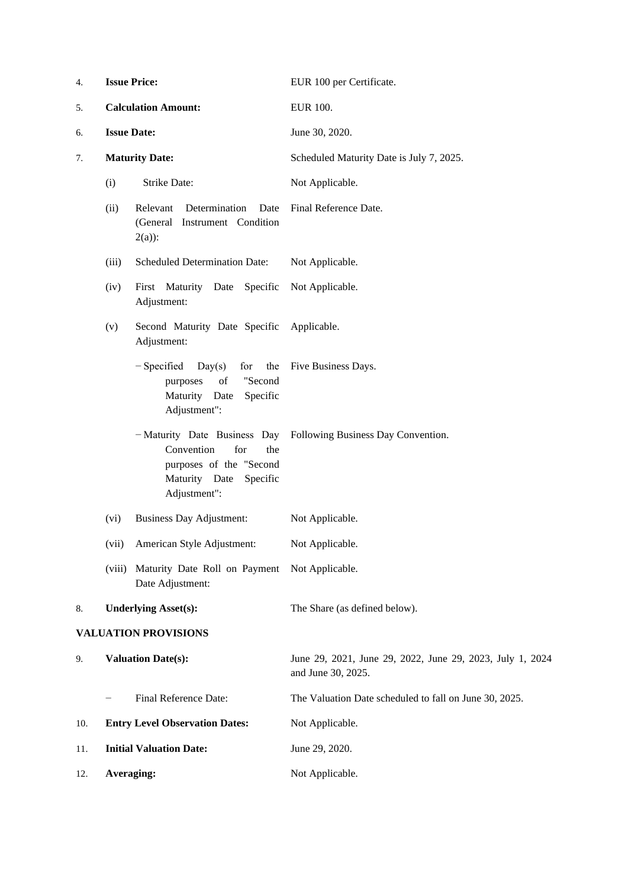| 4.  | <b>Issue Price:</b>         |                                                                                                   | EUR 100 per Certificate.                                                        |  |
|-----|-----------------------------|---------------------------------------------------------------------------------------------------|---------------------------------------------------------------------------------|--|
| 5.  |                             | <b>Calculation Amount:</b>                                                                        | EUR 100.                                                                        |  |
| 6.  | <b>Issue Date:</b>          |                                                                                                   | June 30, 2020.                                                                  |  |
| 7.  | <b>Maturity Date:</b>       |                                                                                                   | Scheduled Maturity Date is July 7, 2025.                                        |  |
|     | (i)                         | Strike Date:                                                                                      | Not Applicable.                                                                 |  |
|     | (ii)                        | Determination<br>Date<br>Relevant<br>(General Instrument Condition<br>$2(a)$ :                    | Final Reference Date.                                                           |  |
|     | (iii)                       | <b>Scheduled Determination Date:</b>                                                              | Not Applicable.                                                                 |  |
|     | (iv)                        | First Maturity Date Specific<br>Adjustment:                                                       | Not Applicable.                                                                 |  |
| (v) |                             | Second Maturity Date Specific<br>Adjustment:                                                      | Applicable.                                                                     |  |
|     |                             | $-$ Specified<br>Day(s)<br>"Second<br>of<br>purposes<br>Maturity Date<br>Specific<br>Adjustment": | for the Five Business Days.                                                     |  |
|     |                             | Convention<br>for<br>the<br>purposes of the "Second<br>Maturity Date Specific<br>Adjustment":     | - Maturity Date Business Day Following Business Day Convention.                 |  |
|     | (vi)                        | <b>Business Day Adjustment:</b>                                                                   | Not Applicable.                                                                 |  |
|     |                             | (vii) American Style Adjustment:                                                                  | Not Applicable.                                                                 |  |
|     | (viii)                      | Maturity Date Roll on Payment<br>Date Adjustment:                                                 | Not Applicable.                                                                 |  |
| 8.  |                             | <b>Underlying Asset(s):</b>                                                                       | The Share (as defined below).                                                   |  |
|     | <b>VALUATION PROVISIONS</b> |                                                                                                   |                                                                                 |  |
| 9.  | <b>Valuation Date(s):</b>   |                                                                                                   | June 29, 2021, June 29, 2022, June 29, 2023, July 1, 2024<br>and June 30, 2025. |  |
|     |                             | Final Reference Date:                                                                             | The Valuation Date scheduled to fall on June 30, 2025.                          |  |
| 10. |                             | <b>Entry Level Observation Dates:</b>                                                             | Not Applicable.                                                                 |  |
| 11. |                             | <b>Initial Valuation Date:</b>                                                                    | June 29, 2020.                                                                  |  |
| 12. | Averaging:                  |                                                                                                   | Not Applicable.                                                                 |  |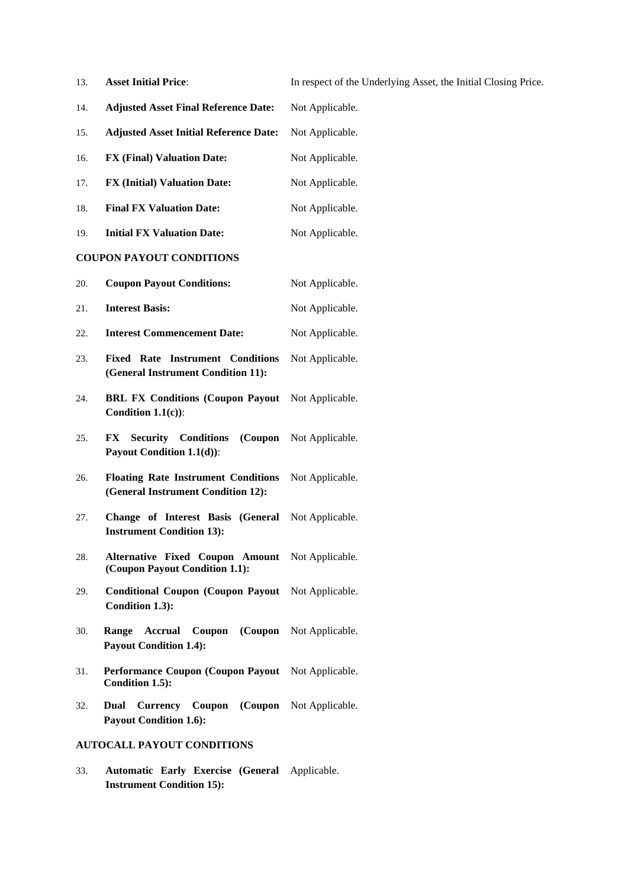| <b>Asset Initial Price:</b> |  |
|-----------------------------|--|
|                             |  |

In respect of the Underlying Asset, the Initial Closing Price.

- 14. **Adjusted Asset Final Reference Date:** Not Applicable.
- 15. **Adjusted Asset Initial Reference Date:** Not Applicable.
- 16. **FX (Final) Valuation Date:** Not Applicable.
- 17. **FX (Initial) Valuation Date:** Not Applicable.
- 18. **Final FX Valuation Date:** Not Applicable.
- 19. **Initial FX Valuation Date:** Not Applicable.

#### **COUPON PAYOUT CONDITIONS**

- 20. **Coupon Payout Conditions:** Not Applicable.
- 21. **Interest Basis:** Not Applicable.
- 22. **Interest Commencement Date:** Not Applicable.
- 23. **Fixed Rate Instrument Conditions (General Instrument Condition 11):**  Not Applicable.
- 24. **BRL FX Conditions (Coupon Payout**  Not Applicable. **Condition 1.1(c))**:
- 25. **FX Security Conditions (Coupon Payout Condition 1.1(d))**: Not Applicable.
- 26. **Floating Rate Instrument Conditions (General Instrument Condition 12):**  Not Applicable.
- 27. **Change of Interest Basis (General**  Not Applicable. **Instrument Condition 13):**
- 28. **Alternative Fixed Coupon Amount (Coupon Payout Condition 1.1):**  Not Applicable.
- 29. **Conditional Coupon (Coupon Payout**  Not Applicable. **Condition 1.3):**
- 30. **Range Accrual Coupon (Coupon**  Not Applicable. **Payout Condition 1.4):**
- 31. **Performance Coupon (Coupon Payout**  Not Applicable. **Condition 1.5):**
- 32. **Dual Currency Coupon (Coupon**  Not Applicable. **Payout Condition 1.6):**

### **AUTOCALL PAYOUT CONDITIONS**

33. **Automatic Early Exercise (General**  Applicable. **Instrument Condition 15):**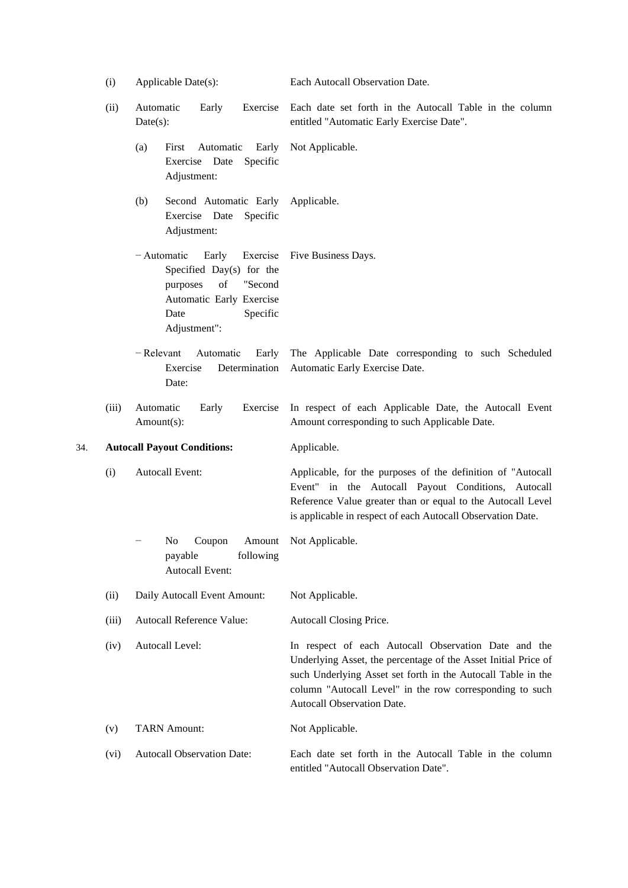|     | (i)   | Applicable Date(s):                                                                                                                                       | Each Autocall Observation Date.                                                                                                                                                                                                                                                  |
|-----|-------|-----------------------------------------------------------------------------------------------------------------------------------------------------------|----------------------------------------------------------------------------------------------------------------------------------------------------------------------------------------------------------------------------------------------------------------------------------|
|     | (ii)  | Automatic<br>Early<br>Exercise<br>$Date(s)$ :                                                                                                             | Each date set forth in the Autocall Table in the column<br>entitled "Automatic Early Exercise Date".                                                                                                                                                                             |
|     |       | First<br>Automatic<br>Early<br>(a)<br>Exercise Date<br>Specific<br>Adjustment:                                                                            | Not Applicable.                                                                                                                                                                                                                                                                  |
|     |       | (b)<br>Second Automatic Early<br>Exercise Date<br>Specific<br>Adjustment:                                                                                 | Applicable.                                                                                                                                                                                                                                                                      |
|     |       | - Automatic<br>Early<br>Exercise<br>Specified Day(s) for the<br>of<br>"Second<br>purposes<br>Automatic Early Exercise<br>Specific<br>Date<br>Adjustment": | Five Business Days.                                                                                                                                                                                                                                                              |
|     |       | - Relevant<br>Automatic<br>Early<br>Determination<br>Exercise<br>Date:                                                                                    | The Applicable Date corresponding to such Scheduled<br>Automatic Early Exercise Date.                                                                                                                                                                                            |
|     | (iii) | Automatic<br>Exercise<br>Early<br>Amount(s):                                                                                                              | In respect of each Applicable Date, the Autocall Event<br>Amount corresponding to such Applicable Date.                                                                                                                                                                          |
| 34. |       | <b>Autocall Payout Conditions:</b>                                                                                                                        | Applicable.                                                                                                                                                                                                                                                                      |
|     | (i)   | <b>Autocall Event:</b>                                                                                                                                    | Applicable, for the purposes of the definition of "Autocall<br>Event" in the Autocall Payout Conditions, Autocall<br>Reference Value greater than or equal to the Autocall Level<br>is applicable in respect of each Autocall Observation Date.                                  |
|     |       | N <sub>0</sub><br>Amount<br>Coupon<br>payable<br>following<br><b>Autocall Event:</b>                                                                      | Not Applicable.                                                                                                                                                                                                                                                                  |
|     | (ii)  | Daily Autocall Event Amount:                                                                                                                              | Not Applicable.                                                                                                                                                                                                                                                                  |
|     | (iii) | <b>Autocall Reference Value:</b>                                                                                                                          | Autocall Closing Price.                                                                                                                                                                                                                                                          |
|     | (iv)  | Autocall Level:                                                                                                                                           | In respect of each Autocall Observation Date and the<br>Underlying Asset, the percentage of the Asset Initial Price of<br>such Underlying Asset set forth in the Autocall Table in the<br>column "Autocall Level" in the row corresponding to such<br>Autocall Observation Date. |
|     | (v)   | <b>TARN Amount:</b>                                                                                                                                       | Not Applicable.                                                                                                                                                                                                                                                                  |
|     | (vi)  | <b>Autocall Observation Date:</b>                                                                                                                         | Each date set forth in the Autocall Table in the column<br>entitled "Autocall Observation Date".                                                                                                                                                                                 |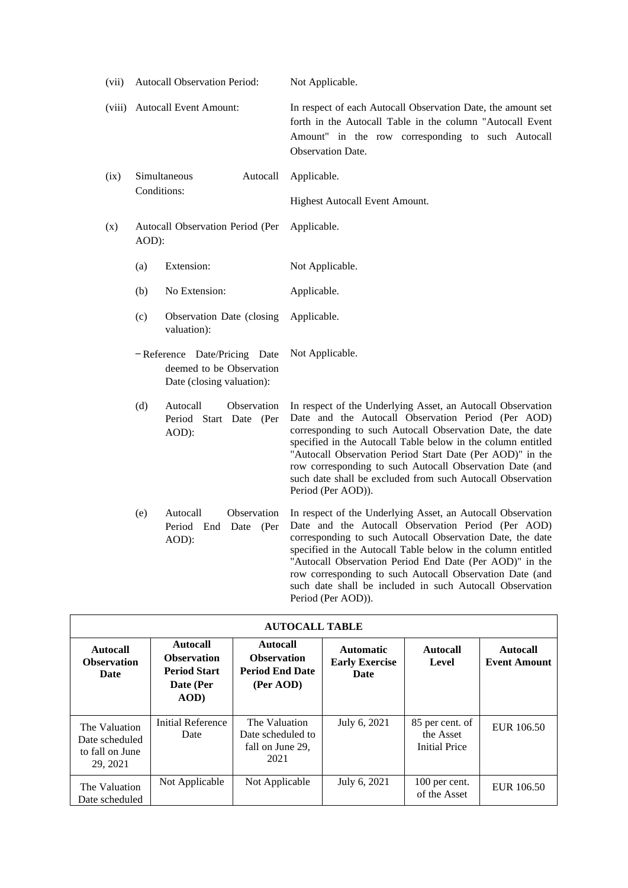| (vii)  | Autocall Observation Period:  |                                                                                        | Not Applicable.                                                                                                                                                                                                                                                                                                                                                                                                                                             |
|--------|-------------------------------|----------------------------------------------------------------------------------------|-------------------------------------------------------------------------------------------------------------------------------------------------------------------------------------------------------------------------------------------------------------------------------------------------------------------------------------------------------------------------------------------------------------------------------------------------------------|
| (viii) | <b>Autocall Event Amount:</b> |                                                                                        | In respect of each Autocall Observation Date, the amount set<br>forth in the Autocall Table in the column "Autocall Event<br>Amount" in the row corresponding to such Autocall<br><b>Observation Date.</b>                                                                                                                                                                                                                                                  |
| (ix)   |                               | Simultaneous<br>Autocall                                                               | Applicable.                                                                                                                                                                                                                                                                                                                                                                                                                                                 |
|        | Conditions:                   |                                                                                        | <b>Highest Autocall Event Amount.</b>                                                                                                                                                                                                                                                                                                                                                                                                                       |
| (x)    | AOD):                         | Autocall Observation Period (Per                                                       | Applicable.                                                                                                                                                                                                                                                                                                                                                                                                                                                 |
|        | (a)                           | Extension:                                                                             | Not Applicable.                                                                                                                                                                                                                                                                                                                                                                                                                                             |
|        | (b)                           | No Extension:                                                                          | Applicable.                                                                                                                                                                                                                                                                                                                                                                                                                                                 |
|        | (c)                           | Observation Date (closing<br>valuation):                                               | Applicable.                                                                                                                                                                                                                                                                                                                                                                                                                                                 |
|        |                               | - Reference Date/Pricing Date<br>deemed to be Observation<br>Date (closing valuation): | Not Applicable.                                                                                                                                                                                                                                                                                                                                                                                                                                             |
|        | (d)                           | Autocall<br>Observation<br>Period Start Date<br>(Per<br>AOD):                          | In respect of the Underlying Asset, an Autocall Observation<br>Date and the Autocall Observation Period (Per AOD)<br>corresponding to such Autocall Observation Date, the date<br>specified in the Autocall Table below in the column entitled<br>"Autocall Observation Period Start Date (Per AOD)" in the<br>row corresponding to such Autocall Observation Date (and<br>such date shall be excluded from such Autocall Observation<br>Period (Per AOD)). |
|        | (e)                           | Autocall<br>Observation<br>Period End Date<br>(Per<br>AOD):                            | In respect of the Underlying Asset, an Autocall Observation<br>Date and the Autocall Observation Period (Per AOD)<br>corresponding to such Autocall Observation Date, the date<br>specified in the Autocall Table below in the column entitled<br>"Autocall Observation Period End Date (Per AOD)" in the                                                                                                                                                   |

| <b>AUTOCALL TABLE</b>                                          |                                                                                   |                                                                              |                                                   |                                                      |                                 |
|----------------------------------------------------------------|-----------------------------------------------------------------------------------|------------------------------------------------------------------------------|---------------------------------------------------|------------------------------------------------------|---------------------------------|
| <b>Autocall</b><br><b>Observation</b><br>Date                  | <b>Autocall</b><br><b>Observation</b><br><b>Period Start</b><br>Date (Per<br>AOD) | <b>Autocall</b><br><b>Observation</b><br><b>Period End Date</b><br>(Per AOD) | <b>Automatic</b><br><b>Early Exercise</b><br>Date | <b>Autocall</b><br>Level                             | Autocall<br><b>Event Amount</b> |
| The Valuation<br>Date scheduled<br>to fall on June<br>29, 2021 | Initial Reference<br>Date                                                         | The Valuation<br>Date scheduled to<br>fall on June 29,<br>2021               | July 6, 2021                                      | 85 per cent. of<br>the Asset<br><b>Initial Price</b> | EUR 106.50                      |
| The Valuation<br>Date scheduled                                | Not Applicable                                                                    | Not Applicable                                                               | July 6, 2021                                      | 100 per cent.<br>of the Asset                        | EUR 106.50                      |

Period (Per AOD)).

row corresponding to such Autocall Observation Date (and such date shall be included in such Autocall Observation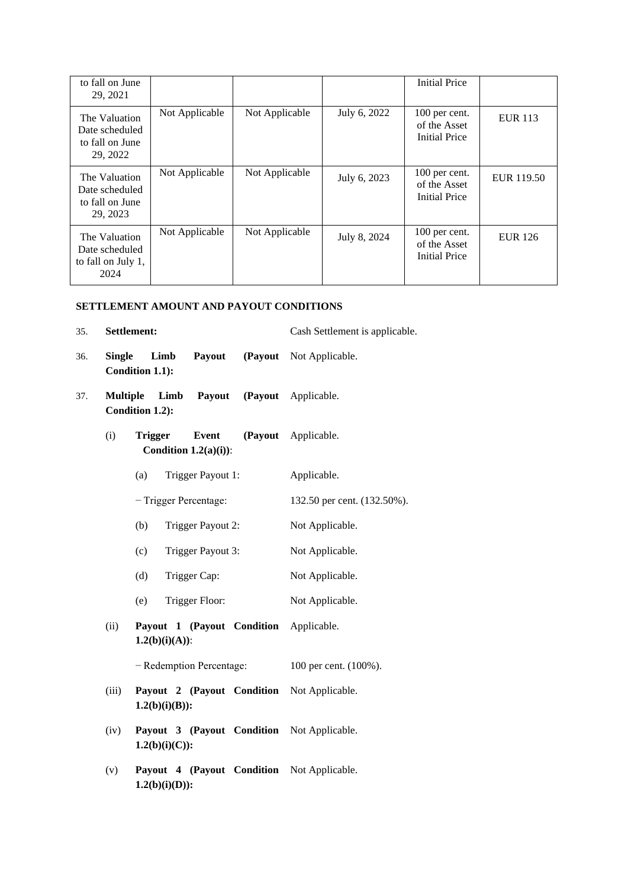| to fall on June<br>29, 2021                                    |                |                |              | <b>Initial Price</b>                                  |                |
|----------------------------------------------------------------|----------------|----------------|--------------|-------------------------------------------------------|----------------|
| The Valuation<br>Date scheduled<br>to fall on June<br>29, 2022 | Not Applicable | Not Applicable | July 6, 2022 | 100 per cent.<br>of the Asset<br><b>Initial Price</b> | <b>EUR 113</b> |
| The Valuation<br>Date scheduled<br>to fall on June<br>29, 2023 | Not Applicable | Not Applicable | July 6, 2023 | 100 per cent.<br>of the Asset<br><b>Initial Price</b> | EUR 119.50     |
| The Valuation<br>Date scheduled<br>to fall on July 1,<br>2024  | Not Applicable | Not Applicable | July 8, 2024 | 100 per cent.<br>of the Asset<br><b>Initial Price</b> | <b>EUR 126</b> |

## **SETTLEMENT AMOUNT AND PAYOUT CONDITIONS**

| 35. |                 | Settlement:                                                          | Cash Settlement is applicable. |
|-----|-----------------|----------------------------------------------------------------------|--------------------------------|
| 36. | <b>Single</b>   | Limb<br>Payout<br>(Payout<br>Condition 1.1):                         | Not Applicable.                |
| 37. | <b>Multiple</b> | Limb<br>Payout<br>Condition 1.2):                                    | (Payout Applicable.            |
|     | (i)             | <b>Event</b><br>(Payout<br><b>Trigger</b><br>Condition $1.2(a)(i)$ : | Applicable.                    |
|     |                 | Trigger Payout 1:<br>(a)                                             | Applicable.                    |
|     |                 | $-$ Trigger Percentage:                                              | 132.50 per cent. (132.50%).    |
|     |                 | Trigger Payout 2:<br>(b)                                             | Not Applicable.                |
|     |                 | Trigger Payout 3:<br>(c)                                             | Not Applicable.                |
|     |                 | (d)<br>Trigger Cap:                                                  | Not Applicable.                |
|     |                 | Trigger Floor:<br>(e)                                                | Not Applicable.                |
|     | (ii)            | Payout 1 (Payout Condition<br>$1.2(b)(i)(A))$ :                      | Applicable.                    |
|     |                 | - Redemption Percentage:                                             | 100 per cent. (100%).          |
|     | (iii)           | Payout 2 (Payout Condition<br>$1.2(b)(i)(B))$ :                      | Not Applicable.                |
|     | (iv)            | Payout 3 (Payout Condition Not Applicable.<br>$1.2(b)(i)(C)$ :       |                                |
|     | (v)             | Payout 4 (Payout Condition<br>$1.2(b)(i)(D))$ :                      | Not Applicable.                |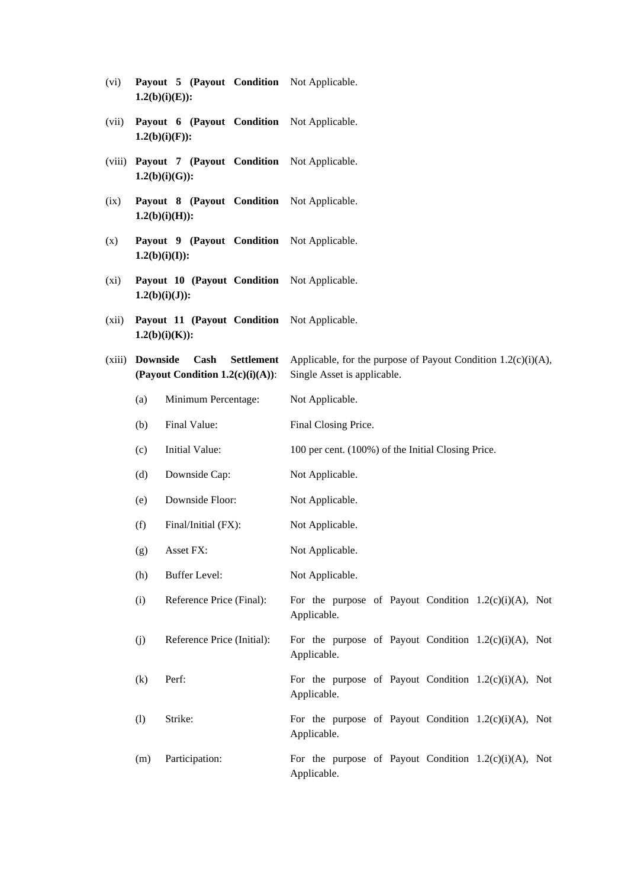| (vi)   | Payout 5 (Payout Condition Not Applicable.<br>$1.2(b)(i)(E))$ :              |                                                                                              |
|--------|------------------------------------------------------------------------------|----------------------------------------------------------------------------------------------|
| (vii)  | Payout 6 (Payout Condition Not Applicable.<br>$1.2(b)(i)(F)$ :               |                                                                                              |
| (viii) | Payout 7 (Payout Condition Not Applicable.<br>$1.2(b)(i)(G)$ :               |                                                                                              |
| (ix)   | Payout 8 (Payout Condition Not Applicable.<br>$1.2(b)(i)(H))$ :              |                                                                                              |
| (x)    | Payout 9 (Payout Condition Not Applicable.<br>$1.2(b)(i)(I))$ :              |                                                                                              |
| (xi)   | Payout 10 (Payout Condition Not Applicable.<br>$1.2(b)(i)(J))$ :             |                                                                                              |
| (xii)  | Payout 11 (Payout Condition Not Applicable.<br>$1.2(b)(i)(K))$ :             |                                                                                              |
| (xiii) | <b>Downside</b><br>Cash<br>Settlement<br>(Payout Condition $1.2(c)(i)(A))$ : | Applicable, for the purpose of Payout Condition 1.2(c)(i)(A),<br>Single Asset is applicable. |
|        | Minimum Percentage:<br>(a)                                                   | Not Applicable.                                                                              |
|        | Final Value:<br>(b)                                                          | Final Closing Price.                                                                         |
|        | Initial Value:<br>(c)                                                        | 100 per cent. (100%) of the Initial Closing Price.                                           |
|        | Downside Cap:<br>(d)                                                         | Not Applicable.                                                                              |
|        | Downside Floor:<br>(e)                                                       | Not Applicable.                                                                              |
|        | (f)<br>Final/Initial (FX):                                                   | Not Applicable.                                                                              |
|        | (g) Asset FX:                                                                | Not Applicable.                                                                              |
|        | (h)<br><b>Buffer Level:</b>                                                  | Not Applicable.                                                                              |
|        | Reference Price (Final):<br>(i)                                              | For the purpose of Payout Condition $1.2(c)(i)(A)$ , Not<br>Applicable.                      |
|        | Reference Price (Initial):<br>(j)                                            | For the purpose of Payout Condition $1.2(c)(i)(A)$ , Not<br>Applicable.                      |
|        | Perf:<br>(k)                                                                 | For the purpose of Payout Condition $1.2(c)(i)(A)$ , Not<br>Applicable.                      |
|        | Strike:<br>(1)                                                               | For the purpose of Payout Condition $1.2(c)(i)(A)$ , Not<br>Applicable.                      |
|        | Participation:<br>(m)                                                        | For the purpose of Payout Condition $1.2(c)(i)(A)$ , Not<br>Applicable.                      |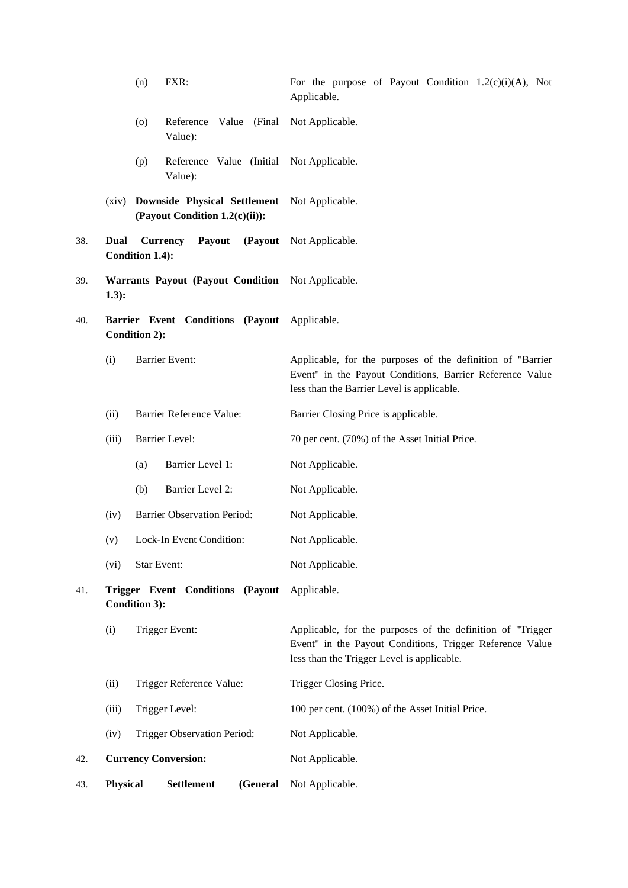|     |                 | FXR:<br>(n)                                                                    | For the purpose of Payout Condition $1.2(c)(i)(A)$ , Not<br>Applicable.                                                                                              |
|-----|-----------------|--------------------------------------------------------------------------------|----------------------------------------------------------------------------------------------------------------------------------------------------------------------|
|     |                 | Reference Value<br>(Final)<br>(0)<br>Value):                                   | Not Applicable.                                                                                                                                                      |
|     |                 | Reference Value (Initial<br>(p)<br>Value):                                     | Not Applicable.                                                                                                                                                      |
|     | (xiv)           | Downside Physical Settlement Not Applicable.<br>(Payout Condition 1.2(c)(ii)): |                                                                                                                                                                      |
| 38. | Dual            | <b>Currency</b><br>Payout<br>Condition 1.4):                                   | (Payout Not Applicable.                                                                                                                                              |
| 39. | $1.3)$ :        | Warrants Payout (Payout Condition Not Applicable.                              |                                                                                                                                                                      |
| 40. |                 | Barrier Event Conditions (Payout<br>Condition 2):                              | Applicable.                                                                                                                                                          |
|     | (i)             | <b>Barrier Event:</b>                                                          | Applicable, for the purposes of the definition of "Barrier<br>Event" in the Payout Conditions, Barrier Reference Value<br>less than the Barrier Level is applicable. |
|     | (ii)            | <b>Barrier Reference Value:</b>                                                | Barrier Closing Price is applicable.                                                                                                                                 |
|     | (iii)           | Barrier Level:                                                                 | 70 per cent. (70%) of the Asset Initial Price.                                                                                                                       |
|     |                 | Barrier Level 1:<br>(a)                                                        | Not Applicable.                                                                                                                                                      |
|     |                 | Barrier Level 2:<br>(b)                                                        | Not Applicable.                                                                                                                                                      |
|     | (iv)            | <b>Barrier Observation Period:</b>                                             | Not Applicable.                                                                                                                                                      |
|     | (v)             | Lock-In Event Condition:                                                       | Not Applicable.                                                                                                                                                      |
|     | (vi)            | Star Event:                                                                    | Not Applicable.                                                                                                                                                      |
| 41. |                 | Trigger Event Conditions (Payout<br>Condition 3):                              | Applicable.                                                                                                                                                          |
|     | (i)             | Trigger Event:                                                                 | Applicable, for the purposes of the definition of "Trigger<br>Event" in the Payout Conditions, Trigger Reference Value<br>less than the Trigger Level is applicable. |
|     | (ii)            | Trigger Reference Value:                                                       | Trigger Closing Price.                                                                                                                                               |
|     | (iii)           | Trigger Level:                                                                 | 100 per cent. (100%) of the Asset Initial Price.                                                                                                                     |
|     | (iv)            | Trigger Observation Period:                                                    | Not Applicable.                                                                                                                                                      |
| 42. |                 | <b>Currency Conversion:</b>                                                    | Not Applicable.                                                                                                                                                      |
| 43. | <b>Physical</b> | <b>Settlement</b><br>(General                                                  | Not Applicable.                                                                                                                                                      |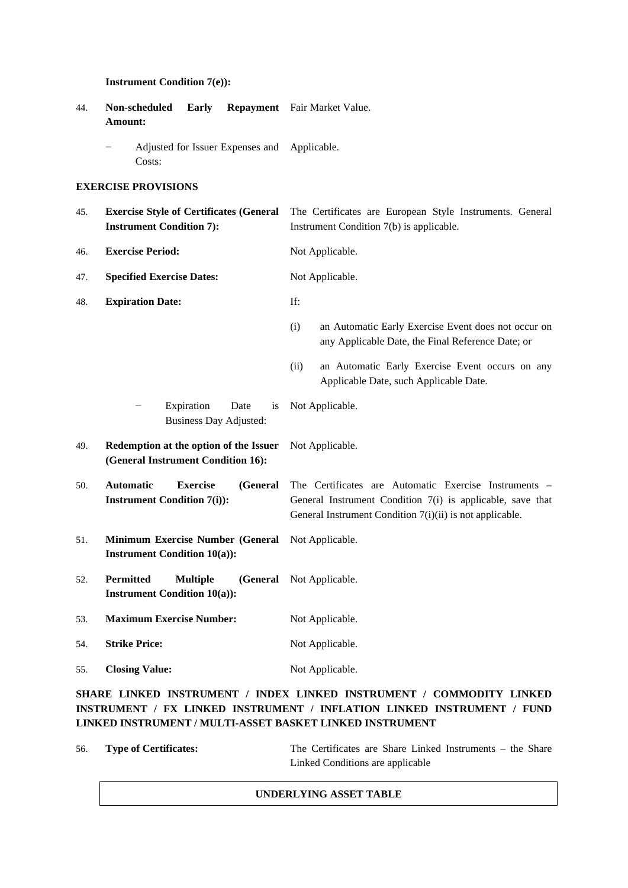| <b>Instrument Condition 7(e)):</b> |  |  |
|------------------------------------|--|--|
|------------------------------------|--|--|

- 44. **Non-scheduled Early Amount:**  Repayment Fair Market Value.
	- − Adjusted for Issuer Expenses and Applicable. Costs:

#### **EXERCISE PROVISIONS**

- 45. **Exercise Style of Certificates (General**  The Certificates are European Style Instruments. General **Instrument Condition 7):**  Instrument Condition 7(b) is applicable.
- 46. **Exercise Period:** Not Applicable.
- 47. **Specified Exercise Dates:** Not Applicable.
- 48. **Expiration Date:** If:
	- (i) an Automatic Early Exercise Event does not occur on any Applicable Date, the Final Reference Date; or
	- (ii) an Automatic Early Exercise Event occurs on any Applicable Date, such Applicable Date.
	- − Expiration Date is Business Day Adjusted: Not Applicable.
- 49. **Redemption at the option of the Issuer (General Instrument Condition 16):**  Not Applicable.
- 50. **Automatic Exercise (General Instrument Condition 7(i)):**  The Certificates are Automatic Exercise Instruments – General Instrument Condition 7(i) is applicable, save that General Instrument Condition 7(i)(ii) is not applicable.
- 51. **Minimum Exercise Number (General**  Not Applicable. **Instrument Condition 10(a)):**
- 52. **Permitted Multiple (General Instrument Condition 10(a)):**  Not Applicable.
- 53. **Maximum Exercise Number:** Not Applicable. 54. **Strike Price:** Not Applicable.
- 
- 55. **Closing Value:** Not Applicable.

## **SHARE LINKED INSTRUMENT / INDEX LINKED INSTRUMENT / COMMODITY LINKED INSTRUMENT / FX LINKED INSTRUMENT / INFLATION LINKED INSTRUMENT / FUND LINKED INSTRUMENT / MULTI-ASSET BASKET LINKED INSTRUMENT**

56. **Type of Certificates:** The Certificates are Share Linked Instruments – the Share Linked Conditions are applicable

#### **UNDERLYING ASSET TABLE**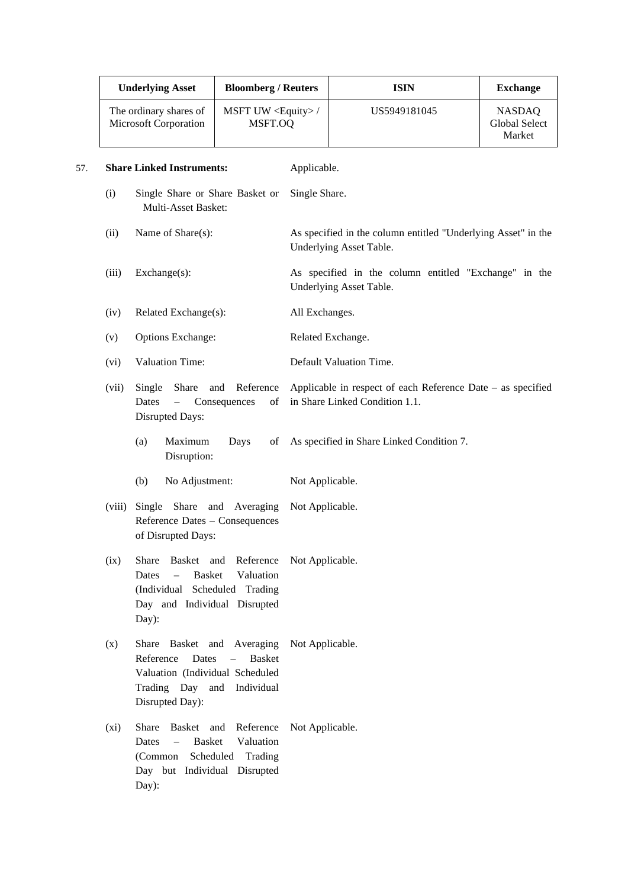| <b>Underlying Asset</b>                         | <b>Bloomberg / Reuters</b>             | ISIN         | <b>Exchange</b>                                 |
|-------------------------------------------------|----------------------------------------|--------------|-------------------------------------------------|
| The ordinary shares of<br>Microsoft Corporation | MSFT UW <equity>/<br/>MSFT.OQ</equity> | US5949181045 | <b>NASDAO</b><br><b>Global Select</b><br>Market |

### 57. **Share Linked Instruments:** Applicable.

- (i) Single Share or Share Basket or Multi-Asset Basket: Single Share.
- (ii) Name of Share(s): As specified in the column entitled "Underlying Asset" in the Underlying Asset Table.
- (iii) Exchange(s): As specified in the column entitled "Exchange" in the Underlying Asset Table.
- (iv) Related Exchange(s): All Exchanges.
- (v) Options Exchange: Related Exchange.
- (vi) Valuation Time: Default Valuation Time.
- (vii) Single Share and Reference Dates – Consequences of Disrupted Days: Applicable in respect of each Reference Date – as specified in Share Linked Condition 1.1.
	- $(a)$  Maximum Days Disruption: As specified in Share Linked Condition 7.
	- (b) No Adjustment: Not Applicable.
- (viii) Single Share and Averaging Reference Dates – Consequences of Disrupted Days: Not Applicable.
- (ix) Share Basket and Reference Dates – Basket Valuation (Individual Scheduled Trading Day and Individual Disrupted Day): Not Applicable.
- (x) Share Basket and Averaging Not Applicable. Reference Dates – Basket Valuation (Individual Scheduled Trading Day and Individual Disrupted Day):
- (xi) Share Basket and Reference Not Applicable. Dates – Basket Valuation (Common Scheduled Trading Day but Individual Disrupted Day):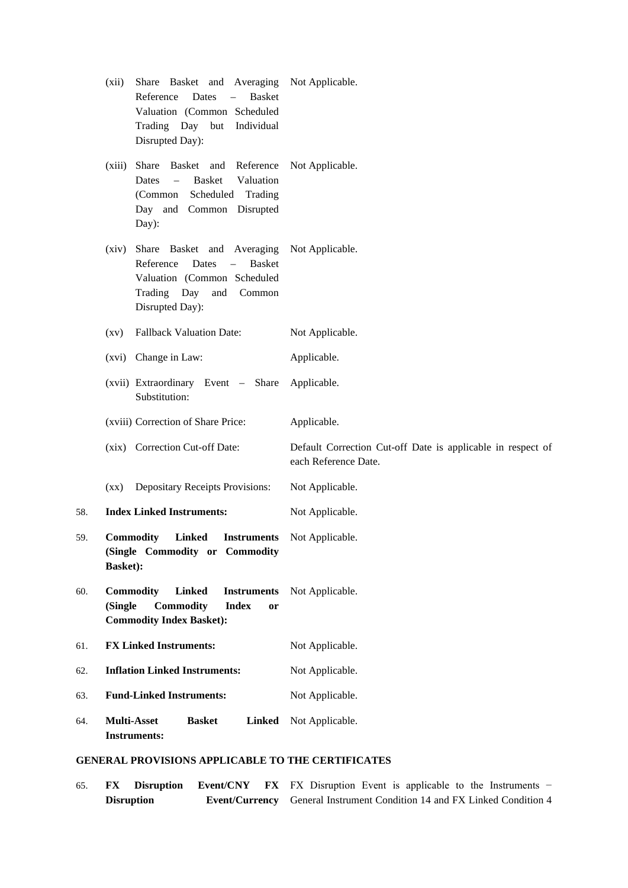|     | (xii)<br>Share Basket and Averaging<br>Reference<br>Dates<br>$-$<br>Valuation (Common Scheduled<br>Trading Day but<br>Disrupted Day):               | Not Applicable.<br><b>Basket</b><br>Individual                                      |
|-----|-----------------------------------------------------------------------------------------------------------------------------------------------------|-------------------------------------------------------------------------------------|
|     | (xiii)<br>Share<br>Basket and<br><b>Basket</b><br>Dates<br>$\equiv$<br>Scheduled Trading<br>(Common<br>Day and Common Disrupted<br>Day):            | Reference<br>Not Applicable.<br>Valuation                                           |
|     | Share<br>Basket and Averaging<br>(xiv)<br>Reference<br>Dates<br>$\equiv$<br>Valuation (Common Scheduled<br>Trading<br>Day<br>and<br>Disrupted Day): | Not Applicable.<br><b>Basket</b><br>Common                                          |
|     | <b>Fallback Valuation Date:</b><br>$\left( xy\right)$                                                                                               | Not Applicable.                                                                     |
|     | (xvi) Change in Law:                                                                                                                                | Applicable.                                                                         |
|     | (xvii) Extraordinary Event - Share<br>Substitution:                                                                                                 | Applicable.                                                                         |
|     | (xviii) Correction of Share Price:                                                                                                                  | Applicable.                                                                         |
|     | (xix) Correction Cut-off Date:                                                                                                                      | Default Correction Cut-off Date is applicable in respect of<br>each Reference Date. |
|     | Depositary Receipts Provisions:<br>$(\mathbf{X}\mathbf{X})$                                                                                         | Not Applicable.                                                                     |
| 58. | <b>Index Linked Instruments:</b>                                                                                                                    | Not Applicable.                                                                     |
| 59. | <b>Commodity</b><br>Linked<br><b>Instruments</b><br>(Single Commodity or Commodity<br><b>Basket</b> ):                                              | Not Applicable.                                                                     |
| 60. | <b>Commodity</b><br><b>Linked</b><br><b>Instruments</b><br>(Single<br><b>Commodity</b><br><b>Index</b><br><b>Commodity Index Basket):</b>           | Not Applicable.<br><b>or</b>                                                        |
| 61. | <b>FX Linked Instruments:</b>                                                                                                                       | Not Applicable.                                                                     |
| 62. | <b>Inflation Linked Instruments:</b>                                                                                                                | Not Applicable.                                                                     |
| 63. | <b>Fund-Linked Instruments:</b>                                                                                                                     | Not Applicable.                                                                     |
| 64. | Multi-Asset<br><b>Basket</b><br><b>Instruments:</b>                                                                                                 | <b>Linked</b><br>Not Applicable.                                                    |

# **GENERAL PROVISIONS APPLICABLE TO THE CERTIFICATES**

|  |                   |  | 65. FX Disruption Event/CNY FX FX Disruption Event is applicable to the Instruments – |
|--|-------------------|--|---------------------------------------------------------------------------------------|
|  | <b>Disruption</b> |  | <b>Event/Currency</b> General Instrument Condition 14 and FX Linked Condition 4       |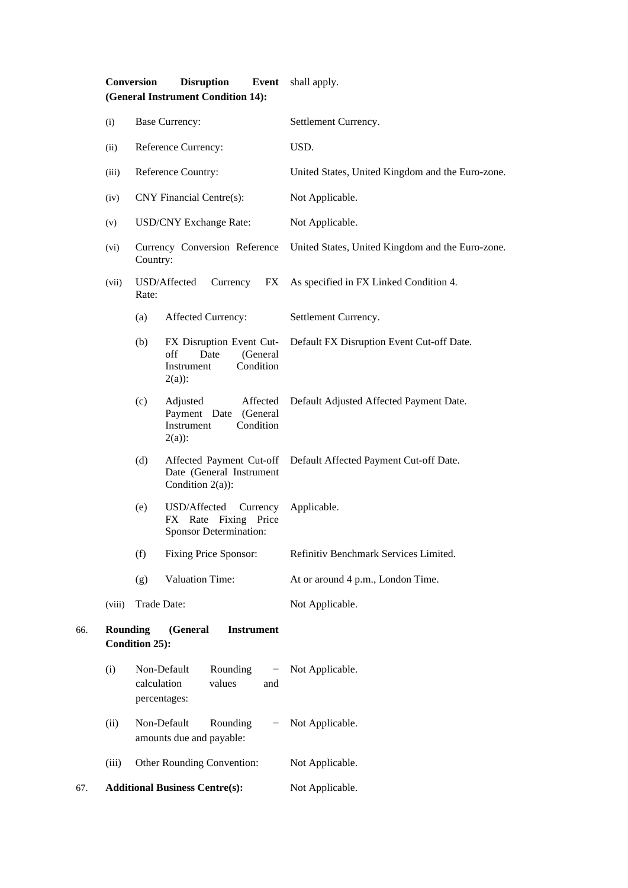| <b>Conversion</b>                  | <b>Disruption</b> | Event | shall apply. |
|------------------------------------|-------------------|-------|--------------|
| (General Instrument Condition 14): |                   |       |              |

|     | <b>Base Currency:</b><br>(i) |                |                                                                                            | Settlement Currency.                             |
|-----|------------------------------|----------------|--------------------------------------------------------------------------------------------|--------------------------------------------------|
|     | (ii)                         |                | Reference Currency:                                                                        | USD.                                             |
|     | (iii)                        |                | Reference Country:                                                                         | United States, United Kingdom and the Euro-zone. |
|     | (iv)                         |                | CNY Financial Centre(s):                                                                   | Not Applicable.                                  |
|     | (v)                          |                | USD/CNY Exchange Rate:                                                                     | Not Applicable.                                  |
|     | (vi)                         | Country:       | Currency Conversion Reference                                                              | United States, United Kingdom and the Euro-zone. |
|     | (vii)                        | Rate:          | USD/Affected<br>FX<br>Currency                                                             | As specified in FX Linked Condition 4.           |
|     |                              | (a)            | Affected Currency:                                                                         | Settlement Currency.                             |
|     |                              | (b)            | FX Disruption Event Cut-<br>off<br>Date<br>(General<br>Condition<br>Instrument<br>$2(a)$ : | Default FX Disruption Event Cut-off Date.        |
|     |                              | (c)            | Adjusted<br>Affected<br>Payment Date<br>(General<br>Condition<br>Instrument<br>$2(a)$ :    | Default Adjusted Affected Payment Date.          |
|     |                              | (d)            | Affected Payment Cut-off<br>Date (General Instrument<br>Condition $2(a)$ :                 | Default Affected Payment Cut-off Date.           |
|     |                              | (e)            | USD/Affected<br>Currency<br>FX Rate Fixing<br>Price<br>Sponsor Determination:              | Applicable.                                      |
|     |                              | (f)            | Fixing Price Sponsor:                                                                      | Refinitiv Benchmark Services Limited.            |
|     |                              | (g)            | <b>Valuation Time:</b>                                                                     | At or around 4 p.m., London Time.                |
|     | (viii)                       |                | Trade Date:                                                                                | Not Applicable.                                  |
| 66. | Rounding                     | Condition 25): | (General<br><b>Instrument</b>                                                              |                                                  |
|     | (i)                          | calculation    | Non-Default<br>Rounding<br>$\overline{\phantom{a}}$<br>values<br>and<br>percentages:       | Not Applicable.                                  |
|     | (ii)                         |                | Non-Default<br>Rounding<br>amounts due and payable:                                        | Not Applicable.                                  |
|     | (iii)                        |                | Other Rounding Convention:                                                                 | Not Applicable.                                  |
| 67. |                              |                | <b>Additional Business Centre(s):</b>                                                      | Not Applicable.                                  |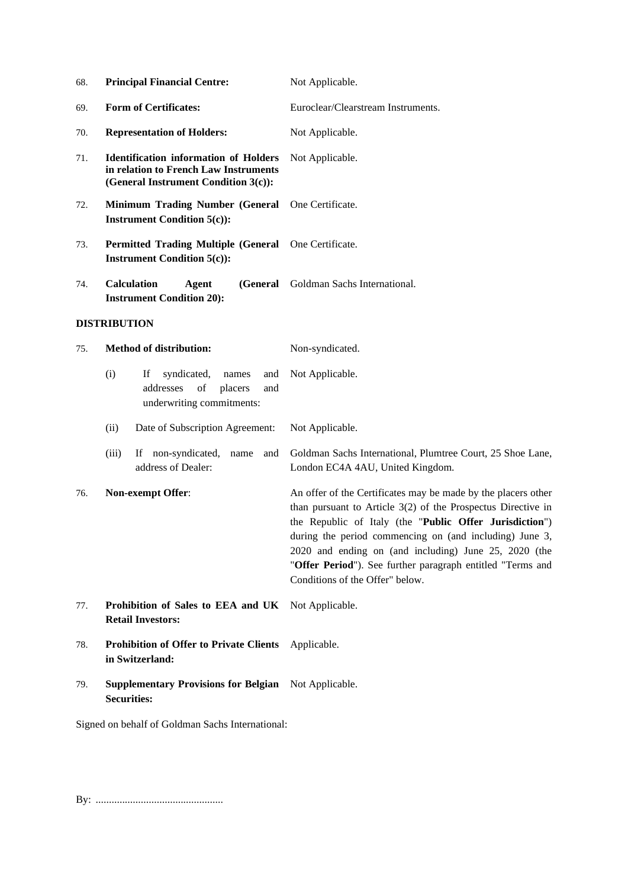| 68. | <b>Principal Financial Centre:</b>                                                                                            | Not Applicable.                                                                                                                                                                                                                                                                                                                                                                                                 |
|-----|-------------------------------------------------------------------------------------------------------------------------------|-----------------------------------------------------------------------------------------------------------------------------------------------------------------------------------------------------------------------------------------------------------------------------------------------------------------------------------------------------------------------------------------------------------------|
| 69. | <b>Form of Certificates:</b>                                                                                                  | Euroclear/Clearstream Instruments.                                                                                                                                                                                                                                                                                                                                                                              |
| 70. | <b>Representation of Holders:</b>                                                                                             | Not Applicable.                                                                                                                                                                                                                                                                                                                                                                                                 |
| 71. | <b>Identification information of Holders</b><br>in relation to French Law Instruments<br>(General Instrument Condition 3(c)): | Not Applicable.                                                                                                                                                                                                                                                                                                                                                                                                 |
| 72. | <b>Minimum Trading Number (General</b><br><b>Instrument Condition 5(c)):</b>                                                  | One Certificate.                                                                                                                                                                                                                                                                                                                                                                                                |
| 73. | <b>Permitted Trading Multiple (General</b><br><b>Instrument Condition 5(c)):</b>                                              | One Certificate.                                                                                                                                                                                                                                                                                                                                                                                                |
| 74. | <b>Calculation</b><br>(General<br><b>Agent</b><br><b>Instrument Condition 20):</b>                                            | Goldman Sachs International.                                                                                                                                                                                                                                                                                                                                                                                    |
|     | <b>DISTRIBUTION</b>                                                                                                           |                                                                                                                                                                                                                                                                                                                                                                                                                 |
| 75. | <b>Method of distribution:</b>                                                                                                | Non-syndicated.                                                                                                                                                                                                                                                                                                                                                                                                 |
|     | (i)<br>syndicated,<br>If<br>names<br>and<br>addresses<br>of<br>placers<br>and<br>underwriting commitments:                    | Not Applicable.                                                                                                                                                                                                                                                                                                                                                                                                 |
|     | (ii)<br>Date of Subscription Agreement:                                                                                       | Not Applicable.                                                                                                                                                                                                                                                                                                                                                                                                 |
|     | (iii)<br>If non-syndicated,<br>name<br>and<br>address of Dealer:                                                              | Goldman Sachs International, Plumtree Court, 25 Shoe Lane,<br>London EC4A 4AU, United Kingdom.                                                                                                                                                                                                                                                                                                                  |
| 76. | Non-exempt Offer:                                                                                                             | An offer of the Certificates may be made by the placers other<br>than pursuant to Article $3(2)$ of the Prospectus Directive in<br>the Republic of Italy (the "Public Offer Jurisdiction")<br>during the period commencing on (and including) June 3,<br>2020 and ending on (and including) June 25, 2020 (the<br>"Offer Period"). See further paragraph entitled "Terms and<br>Conditions of the Offer" below. |
| 77. | Prohibition of Sales to EEA and UK<br><b>Retail Investors:</b>                                                                | Not Applicable.                                                                                                                                                                                                                                                                                                                                                                                                 |
| 78. | <b>Prohibition of Offer to Private Clients</b><br>in Switzerland:                                                             | Applicable.                                                                                                                                                                                                                                                                                                                                                                                                     |
| 79. | <b>Supplementary Provisions for Belgian</b> Not Applicable.<br><b>Securities:</b>                                             |                                                                                                                                                                                                                                                                                                                                                                                                                 |

Signed on behalf of Goldman Sachs International:

By: ................................................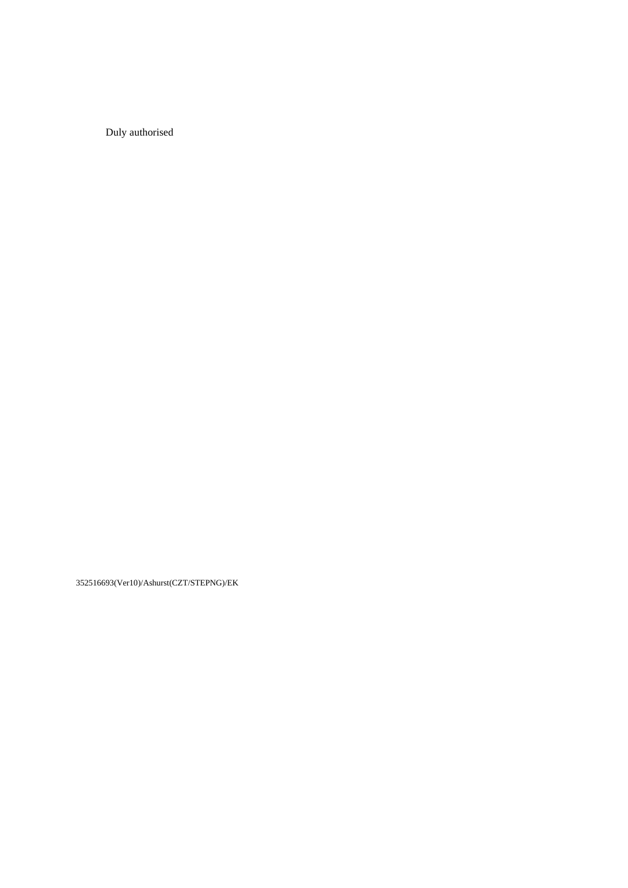Duly authorised

352516693(Ver10)/Ashurst(CZT/STEPNG)/EK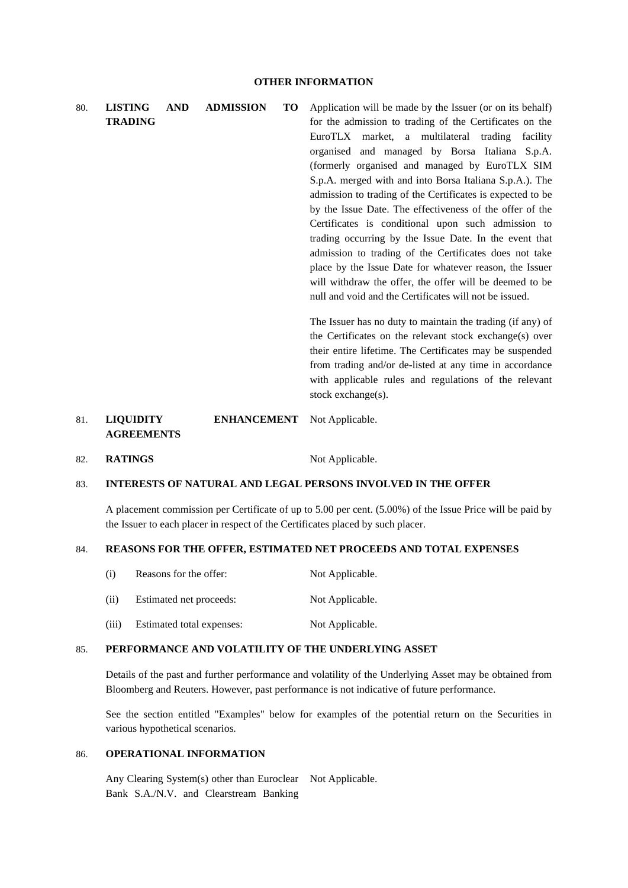| 80. | <b>LISTING</b> | <b>AND</b> | <b>ADMISSION</b> | <b>TO</b> | Application will be made by the Issuer (or on its behalf)  |
|-----|----------------|------------|------------------|-----------|------------------------------------------------------------|
|     | <b>TRADING</b> |            |                  |           | for the admission to trading of the Certificates on the    |
|     |                |            |                  |           | EuroTLX market, a multilateral trading<br>facility         |
|     |                |            |                  |           | organised and managed by Borsa Italiana S.p.A.             |
|     |                |            |                  |           | (formerly organised and managed by EuroTLX SIM             |
|     |                |            |                  |           | S.p.A. merged with and into Borsa Italiana S.p.A.). The    |
|     |                |            |                  |           | admission to trading of the Certificates is expected to be |
|     |                |            |                  |           | by the Issue Date. The effectiveness of the offer of the   |
|     |                |            |                  |           | Certificates is conditional upon such admission to         |
|     |                |            |                  |           | trading occurring by the Issue Date. In the event that     |
|     |                |            |                  |           | admission to trading of the Certificates does not take     |
|     |                |            |                  |           | place by the Issue Date for whatever reason, the Issuer    |
|     |                |            |                  |           | will withdraw the offer, the offer will be deemed to be    |
|     |                |            |                  |           | null and void and the Certificates will not be issued.     |
|     |                |            |                  |           | The Issuer has no duty to maintain the trading (if any) of |
|     |                |            |                  |           | the Certificates on the relevant stock exchange(s) over    |
|     |                |            |                  |           | their entire lifetime. The Certificates may be suspended   |
|     |                |            |                  |           | from trading and/or de-listed at any time in accordance    |

## 81. **LIQUIDITY ENHANCEMENT**  Not Applicable. **AGREEMENTS**

82. **RATINGS** Not Applicable.

### 83. **INTERESTS OF NATURAL AND LEGAL PERSONS INVOLVED IN THE OFFER**

A placement commission per Certificate of up to 5.00 per cent. (5.00%) of the Issue Price will be paid by the Issuer to each placer in respect of the Certificates placed by such placer.

stock exchange(s).

with applicable rules and regulations of the relevant

### 84. **REASONS FOR THE OFFER, ESTIMATED NET PROCEEDS AND TOTAL EXPENSES**

| (i)  | Reasons for the offer:  | Not Applicable. |
|------|-------------------------|-----------------|
| (ii) | Estimated net proceeds: | Not Applicable. |

(iii) Estimated total expenses: Not Applicable.

### 85. **PERFORMANCE AND VOLATILITY OF THE UNDERLYING ASSET**

Details of the past and further performance and volatility of the Underlying Asset may be obtained from Bloomberg and Reuters. However, past performance is not indicative of future performance.

See the section entitled "Examples" below for examples of the potential return on the Securities in various hypothetical scenarios.

#### 86. **OPERATIONAL INFORMATION**

Any Clearing System(s) other than Euroclear Not Applicable. Bank S.A./N.V. and Clearstream Banking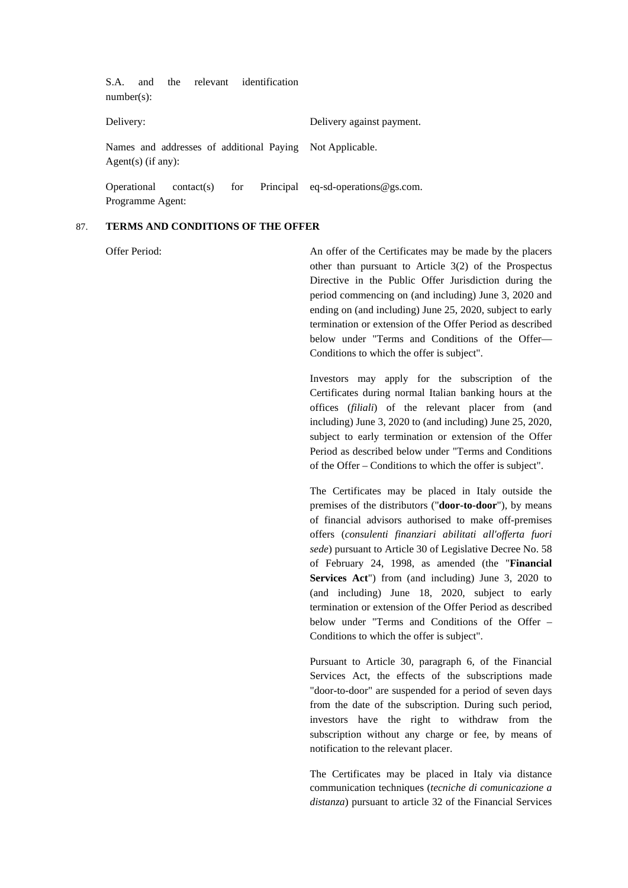S.A. and the relevant identification number(s):

Delivery: Delivery against payment.

Names and addresses of additional Paying Agent(s) (if any): Not Applicable.

Operational contact(s) for Principal Programme Agent: eq-sd-operations@gs.com.

## 87. **TERMS AND CONDITIONS OF THE OFFER**

Offer Period: An offer of the Certificates may be made by the placers other than pursuant to Article 3(2) of the Prospectus Directive in the Public Offer Jurisdiction during the period commencing on (and including) June 3, 2020 and ending on (and including) June 25, 2020, subject to early termination or extension of the Offer Period as described below under "Terms and Conditions of the Offer— Conditions to which the offer is subject".

> Investors may apply for the subscription of the Certificates during normal Italian banking hours at the offices (*filiali*) of the relevant placer from (and including) June 3, 2020 to (and including) June 25, 2020, subject to early termination or extension of the Offer Period as described below under "Terms and Conditions of the Offer – Conditions to which the offer is subject".

> The Certificates may be placed in Italy outside the premises of the distributors ("**door-to-door**"), by means of financial advisors authorised to make off-premises offers (*consulenti finanziari abilitati all'offerta fuori sede*) pursuant to Article 30 of Legislative Decree No. 58 of February 24, 1998, as amended (the "**Financial Services Act**") from (and including) June 3, 2020 to (and including) June 18, 2020, subject to early termination or extension of the Offer Period as described below under "Terms and Conditions of the Offer – Conditions to which the offer is subject".

> Pursuant to Article 30, paragraph 6, of the Financial Services Act, the effects of the subscriptions made "door-to-door" are suspended for a period of seven days from the date of the subscription. During such period, investors have the right to withdraw from the subscription without any charge or fee, by means of notification to the relevant placer.

> The Certificates may be placed in Italy via distance communication techniques (*tecniche di comunicazione a distanza*) pursuant to article 32 of the Financial Services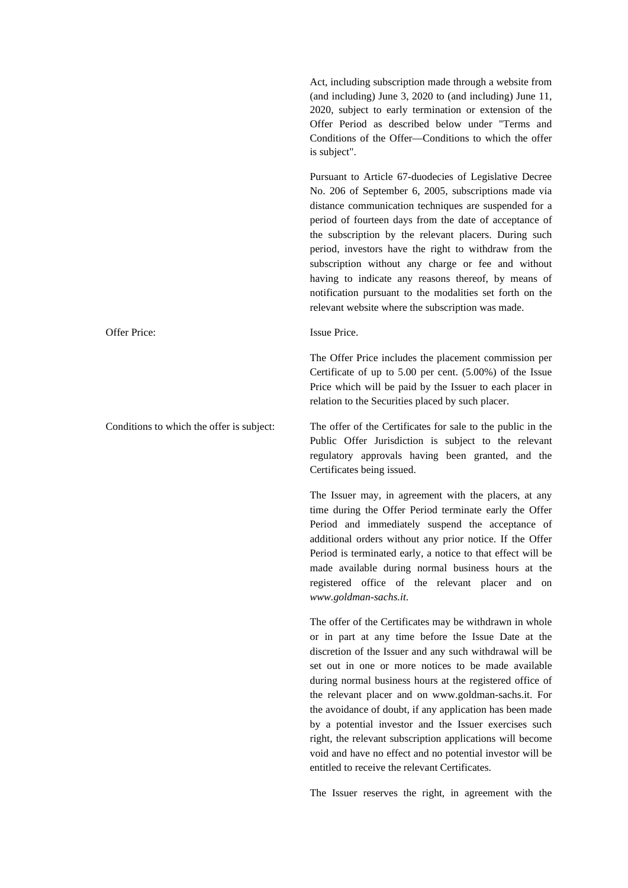Act, including subscription made through a website from (and including) June 3, 2020 to (and including) June 11, 2020, subject to early termination or extension of the Offer Period as described below under "Terms and Conditions of the Offer—Conditions to which the offer is subject".

Pursuant to Article 67-duodecies of Legislative Decree No. 206 of September 6, 2005, subscriptions made via distance communication techniques are suspended for a period of fourteen days from the date of acceptance of the subscription by the relevant placers. During such period, investors have the right to withdraw from the subscription without any charge or fee and without having to indicate any reasons thereof, by means of notification pursuant to the modalities set forth on the relevant website where the subscription was made.

Offer Price: Issue Price

The Offer Price includes the placement commission per Certificate of up to 5.00 per cent. (5.00%) of the Issue Price which will be paid by the Issuer to each placer in relation to the Securities placed by such placer.

Conditions to which the offer is subject: The offer of the Certificates for sale to the public in the Public Offer Jurisdiction is subject to the relevant regulatory approvals having been granted, and the Certificates being issued.

> The Issuer may, in agreement with the placers, at any time during the Offer Period terminate early the Offer Period and immediately suspend the acceptance of additional orders without any prior notice. If the Offer Period is terminated early, a notice to that effect will be made available during normal business hours at the registered office of the relevant placer and on *www.goldman-sachs.it*.

> The offer of the Certificates may be withdrawn in whole or in part at any time before the Issue Date at the discretion of the Issuer and any such withdrawal will be set out in one or more notices to be made available during normal business hours at the registered office of the relevant placer and on www.goldman-sachs.it. For the avoidance of doubt, if any application has been made by a potential investor and the Issuer exercises such right, the relevant subscription applications will become void and have no effect and no potential investor will be entitled to receive the relevant Certificates.

> The Issuer reserves the right, in agreement with the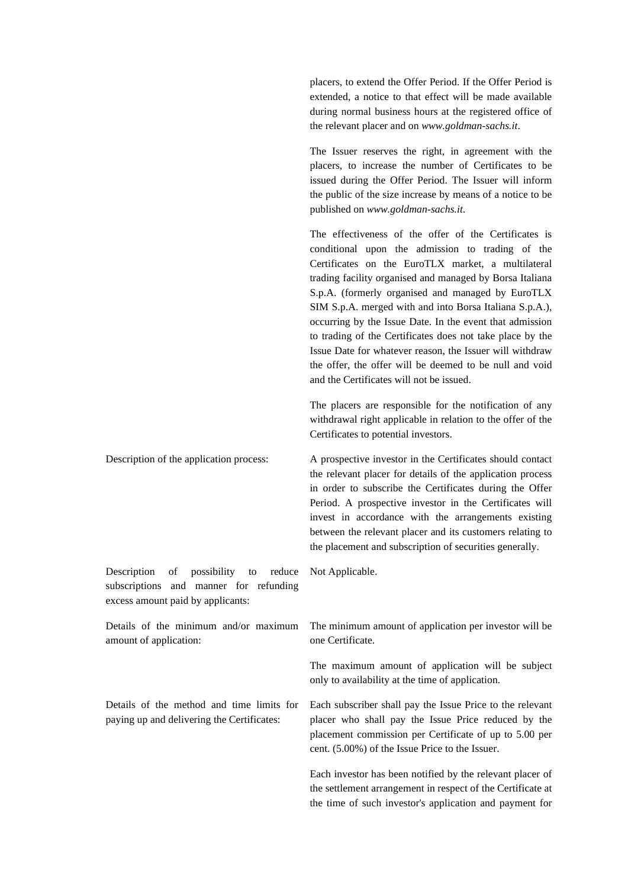placers, to extend the Offer Period. If the Offer Period is extended, a notice to that effect will be made available during normal business hours at the registered office of the relevant placer and on *www.goldman-sachs.it*.

The Issuer reserves the right, in agreement with the placers, to increase the number of Certificates to be issued during the Offer Period. The Issuer will inform the public of the size increase by means of a notice to be published on *www.goldman-sachs.it*.

The effectiveness of the offer of the Certificates is conditional upon the admission to trading of the Certificates on the EuroTLX market, a multilateral trading facility organised and managed by Borsa Italiana S.p.A. (formerly organised and managed by EuroTLX SIM S.p.A. merged with and into Borsa Italiana S.p.A.), occurring by the Issue Date. In the event that admission to trading of the Certificates does not take place by the Issue Date for whatever reason, the Issuer will withdraw the offer, the offer will be deemed to be null and void and the Certificates will not be issued.

The placers are responsible for the notification of any withdrawal right applicable in relation to the offer of the Certificates to potential investors.

Description of the application process: A prospective investor in the Certificates should contact the relevant placer for details of the application process in order to subscribe the Certificates during the Offer Period. A prospective investor in the Certificates will invest in accordance with the arrangements existing between the relevant placer and its customers relating to the placement and subscription of securities generally.

Not Applicable.

The minimum amount of application per investor will be one Certificate.

The maximum amount of application will be subject only to availability at the time of application.

Each subscriber shall pay the Issue Price to the relevant placer who shall pay the Issue Price reduced by the placement commission per Certificate of up to 5.00 per cent. (5.00%) of the Issue Price to the Issuer.

Each investor has been notified by the relevant placer of the settlement arrangement in respect of the Certificate at the time of such investor's application and payment for

Description of possibility to reduce subscriptions and manner for refunding excess amount paid by applicants:

amount of application:

Details of the minimum and/or maximum

Details of the method and time limits for paying up and delivering the Certificates: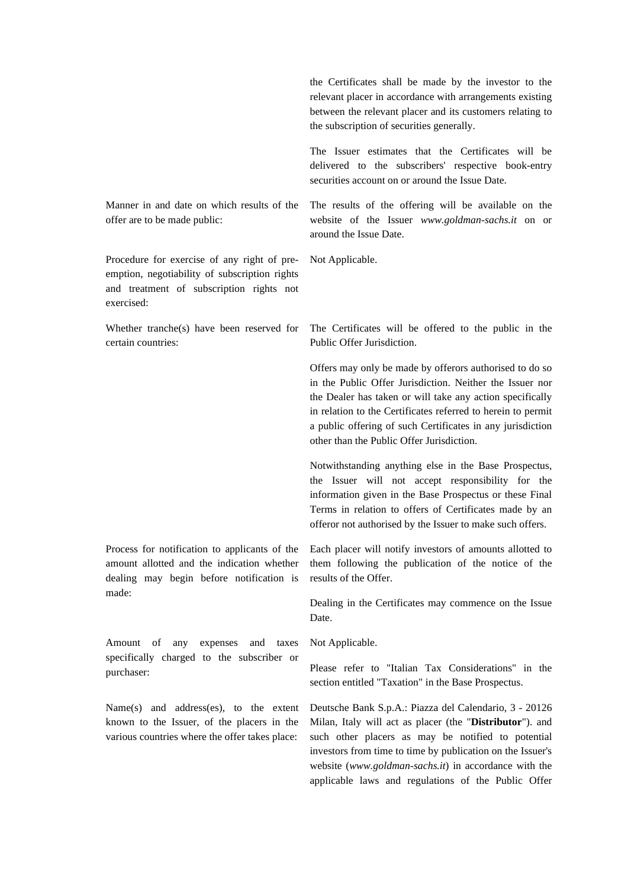the Certificates shall be made by the investor to the relevant placer in accordance with arrangements existing between the relevant placer and its customers relating to the subscription of securities generally.

The Issuer estimates that the Certificates will be delivered to the subscribers' respective book-entry securities account on or around the Issue Date.

Manner in and date on which results of the offer are to be made public:

Procedure for exercise of any right of preemption, negotiability of subscription rights and treatment of subscription rights not exercised:

Whether tranche(s) have been reserved for certain countries:

Process for notification to applicants of the amount allotted and the indication whether dealing may begin before notification is made:

Amount of any expenses and taxes specifically charged to the subscriber or purchaser:

Name(s) and address(es), to the extent known to the Issuer, of the placers in the various countries where the offer takes place:

The results of the offering will be available on the website of the Issuer *www.goldman-sachs.it* on or around the Issue Date.

Not Applicable.

The Certificates will be offered to the public in the Public Offer Jurisdiction.

Offers may only be made by offerors authorised to do so in the Public Offer Jurisdiction. Neither the Issuer nor the Dealer has taken or will take any action specifically in relation to the Certificates referred to herein to permit a public offering of such Certificates in any jurisdiction other than the Public Offer Jurisdiction.

Notwithstanding anything else in the Base Prospectus, the Issuer will not accept responsibility for the information given in the Base Prospectus or these Final Terms in relation to offers of Certificates made by an offeror not authorised by the Issuer to make such offers.

Each placer will notify investors of amounts allotted to them following the publication of the notice of the results of the Offer.

Dealing in the Certificates may commence on the Issue Date.

Not Applicable.

Please refer to "Italian Tax Considerations" in the section entitled "Taxation" in the Base Prospectus.

Deutsche Bank S.p.A.: Piazza del Calendario, 3 - 20126 Milan, Italy will act as placer (the "**Distributor**"). and such other placers as may be notified to potential investors from time to time by publication on the Issuer's website (*www.goldman-sachs.it*) in accordance with the applicable laws and regulations of the Public Offer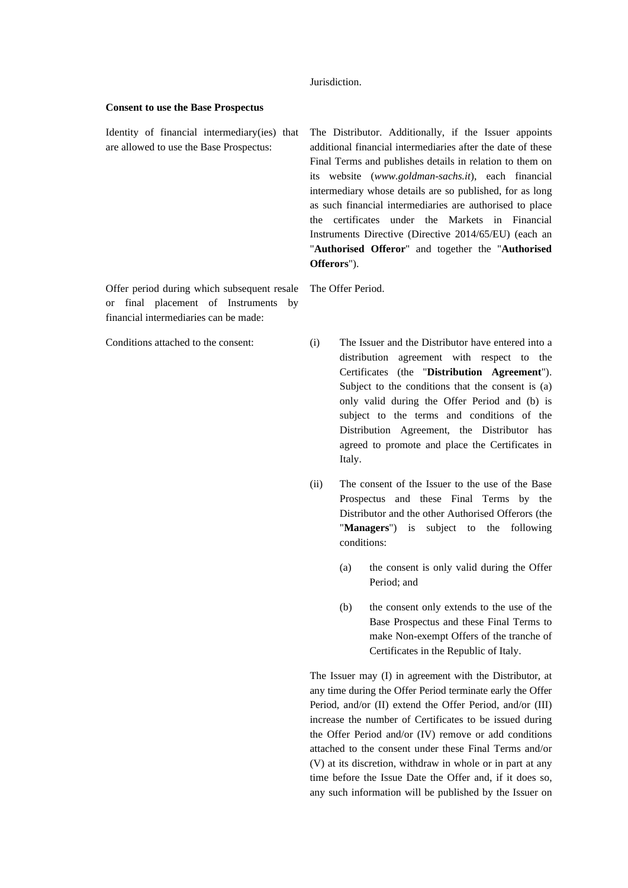The Offer Period.

#### **Consent to use the Base Prospectus**

Identity of financial intermediary(ies) that are allowed to use the Base Prospectus:

The Distributor. Additionally, if the Issuer appoints additional financial intermediaries after the date of these Final Terms and publishes details in relation to them on its website (*www.goldman-sachs.it*), each financial intermediary whose details are so published, for as long as such financial intermediaries are authorised to place the certificates under the Markets in Financial Instruments Directive (Directive 2014/65/EU) (each an "**Authorised Offeror**" and together the "**Authorised Offerors**").

Offer period during which subsequent resale or final placement of Instruments by financial intermediaries can be made:

- Conditions attached to the consent: (i) The Issuer and the Distributor have entered into a distribution agreement with respect to the Certificates (the "**Distribution Agreement**"). Subject to the conditions that the consent is (a) only valid during the Offer Period and (b) is subject to the terms and conditions of the Distribution Agreement, the Distributor has agreed to promote and place the Certificates in Italy.
	- (ii) The consent of the Issuer to the use of the Base Prospectus and these Final Terms by the Distributor and the other Authorised Offerors (the "**Managers**") is subject to the following conditions:
		- (a) the consent is only valid during the Offer Period; and
		- (b) the consent only extends to the use of the Base Prospectus and these Final Terms to make Non-exempt Offers of the tranche of Certificates in the Republic of Italy.

The Issuer may (I) in agreement with the Distributor, at any time during the Offer Period terminate early the Offer Period, and/or (II) extend the Offer Period, and/or (III) increase the number of Certificates to be issued during the Offer Period and/or (IV) remove or add conditions attached to the consent under these Final Terms and/or (V) at its discretion, withdraw in whole or in part at any time before the Issue Date the Offer and, if it does so, any such information will be published by the Issuer on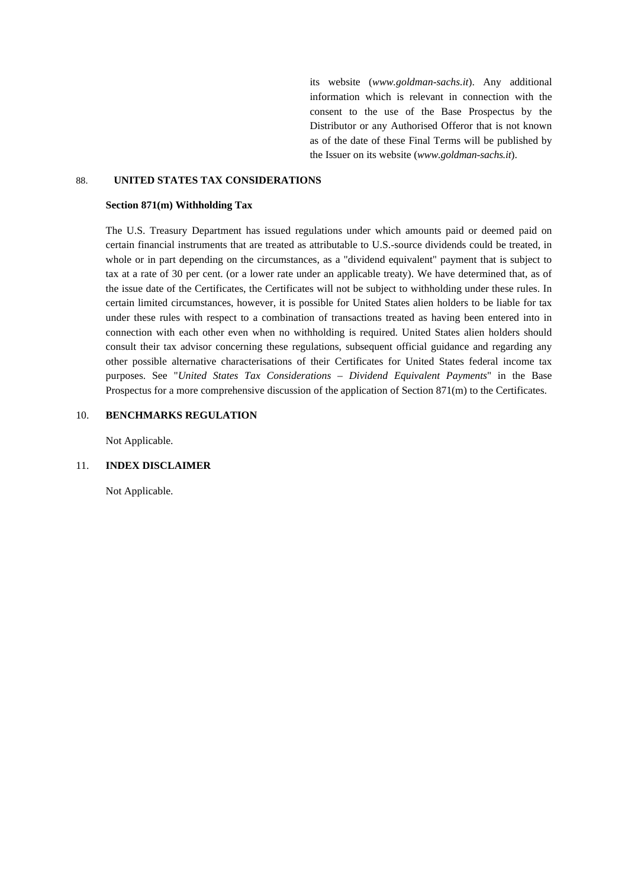its website (*www.goldman-sachs.it*). Any additional information which is relevant in connection with the consent to the use of the Base Prospectus by the Distributor or any Authorised Offeror that is not known as of the date of these Final Terms will be published by the Issuer on its website (*www.goldman-sachs.it*).

#### 88. **UNITED STATES TAX CONSIDERATIONS**

#### **Section 871(m) Withholding Tax**

The U.S. Treasury Department has issued regulations under which amounts paid or deemed paid on certain financial instruments that are treated as attributable to U.S.-source dividends could be treated, in whole or in part depending on the circumstances, as a "dividend equivalent" payment that is subject to tax at a rate of 30 per cent. (or a lower rate under an applicable treaty). We have determined that, as of the issue date of the Certificates, the Certificates will not be subject to withholding under these rules. In certain limited circumstances, however, it is possible for United States alien holders to be liable for tax under these rules with respect to a combination of transactions treated as having been entered into in connection with each other even when no withholding is required. United States alien holders should consult their tax advisor concerning these regulations, subsequent official guidance and regarding any other possible alternative characterisations of their Certificates for United States federal income tax purposes. See "*United States Tax Considerations – Dividend Equivalent Payments*" in the Base Prospectus for a more comprehensive discussion of the application of Section 871(m) to the Certificates.

### 10. **BENCHMARKS REGULATION**

Not Applicable.

### 11. **INDEX DISCLAIMER**

Not Applicable.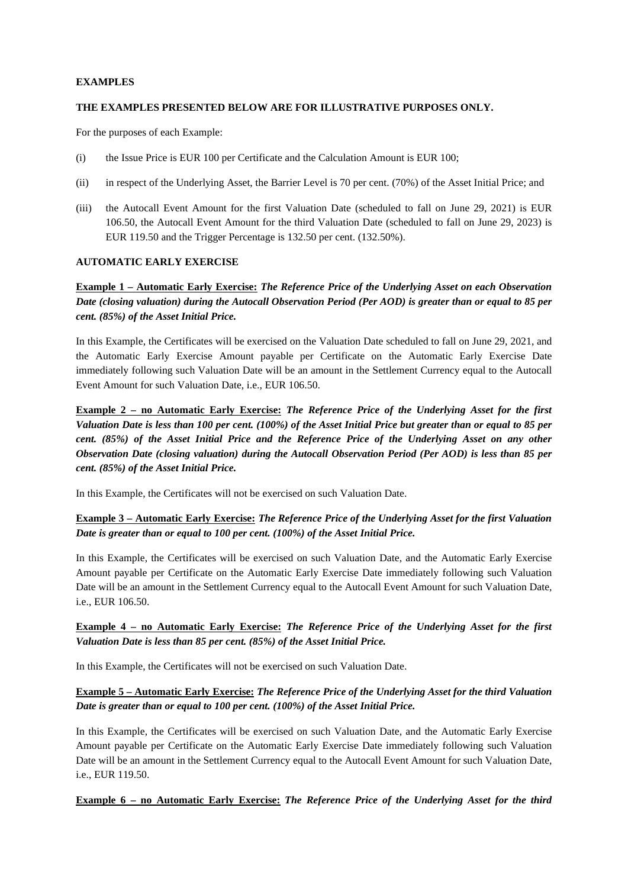## **EXAMPLES**

### **THE EXAMPLES PRESENTED BELOW ARE FOR ILLUSTRATIVE PURPOSES ONLY.**

For the purposes of each Example:

- (i) the Issue Price is EUR 100 per Certificate and the Calculation Amount is EUR 100;
- (ii) in respect of the Underlying Asset, the Barrier Level is 70 per cent. (70%) of the Asset Initial Price; and
- (iii) the Autocall Event Amount for the first Valuation Date (scheduled to fall on June 29, 2021) is EUR 106.50, the Autocall Event Amount for the third Valuation Date (scheduled to fall on June 29, 2023) is EUR 119.50 and the Trigger Percentage is 132.50 per cent. (132.50%).

### **AUTOMATIC EARLY EXERCISE**

**Example 1 – Automatic Early Exercise:** *The Reference Price of the Underlying Asset on each Observation Date (closing valuation) during the Autocall Observation Period (Per AOD) is greater than or equal to 85 per cent. (85%) of the Asset Initial Price.*

In this Example, the Certificates will be exercised on the Valuation Date scheduled to fall on June 29, 2021, and the Automatic Early Exercise Amount payable per Certificate on the Automatic Early Exercise Date immediately following such Valuation Date will be an amount in the Settlement Currency equal to the Autocall Event Amount for such Valuation Date, i.e., EUR 106.50.

**Example 2 – no Automatic Early Exercise:** *The Reference Price of the Underlying Asset for the first Valuation Date is less than 100 per cent. (100%) of the Asset Initial Price but greater than or equal to 85 per cent. (85%) of the Asset Initial Price and the Reference Price of the Underlying Asset on any other Observation Date (closing valuation) during the Autocall Observation Period (Per AOD) is less than 85 per cent. (85%) of the Asset Initial Price.* 

In this Example, the Certificates will not be exercised on such Valuation Date.

## **Example 3 – Automatic Early Exercise:** *The Reference Price of the Underlying Asset for the first Valuation Date is greater than or equal to 100 per cent. (100%) of the Asset Initial Price.*

In this Example, the Certificates will be exercised on such Valuation Date, and the Automatic Early Exercise Amount payable per Certificate on the Automatic Early Exercise Date immediately following such Valuation Date will be an amount in the Settlement Currency equal to the Autocall Event Amount for such Valuation Date, i.e., EUR 106.50.

## **Example 4 – no Automatic Early Exercise:** *The Reference Price of the Underlying Asset for the first Valuation Date is less than 85 per cent. (85%) of the Asset Initial Price.*

In this Example, the Certificates will not be exercised on such Valuation Date.

## **Example 5 – Automatic Early Exercise:** *The Reference Price of the Underlying Asset for the third Valuation Date is greater than or equal to 100 per cent. (100%) of the Asset Initial Price.*

In this Example, the Certificates will be exercised on such Valuation Date, and the Automatic Early Exercise Amount payable per Certificate on the Automatic Early Exercise Date immediately following such Valuation Date will be an amount in the Settlement Currency equal to the Autocall Event Amount for such Valuation Date, i.e., EUR 119.50.

## **Example 6 – no Automatic Early Exercise:** *The Reference Price of the Underlying Asset for the third*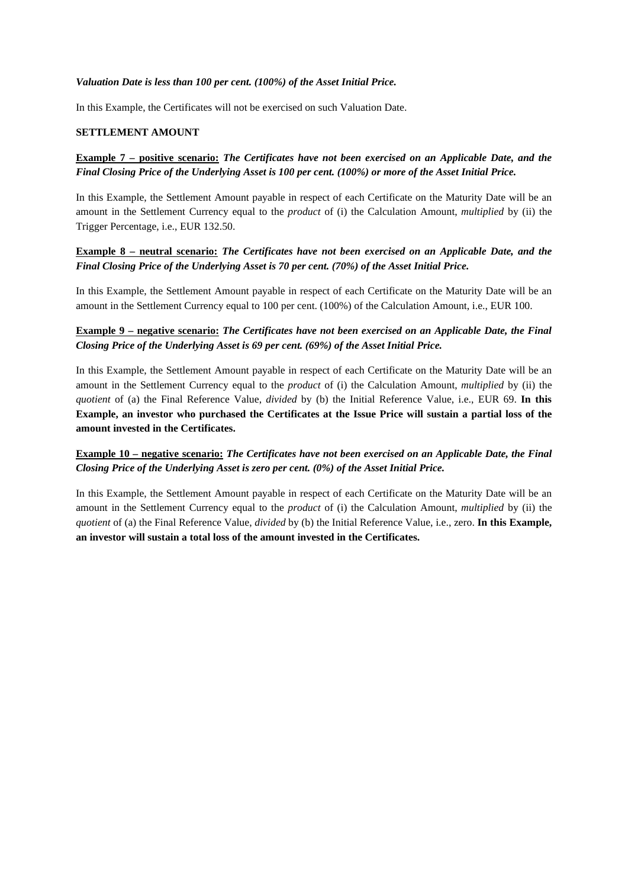### *Valuation Date is less than 100 per cent. (100%) of the Asset Initial Price.*

In this Example, the Certificates will not be exercised on such Valuation Date.

### **SETTLEMENT AMOUNT**

## **Example 7 – positive scenario:** *The Certificates have not been exercised on an Applicable Date, and the Final Closing Price of the Underlying Asset is 100 per cent. (100%) or more of the Asset Initial Price.*

In this Example, the Settlement Amount payable in respect of each Certificate on the Maturity Date will be an amount in the Settlement Currency equal to the *product* of (i) the Calculation Amount, *multiplied* by (ii) the Trigger Percentage, i.e., EUR 132.50.

## **Example 8 – neutral scenario:** *The Certificates have not been exercised on an Applicable Date, and the Final Closing Price of the Underlying Asset is 70 per cent. (70%) of the Asset Initial Price.*

In this Example, the Settlement Amount payable in respect of each Certificate on the Maturity Date will be an amount in the Settlement Currency equal to 100 per cent. (100%) of the Calculation Amount, i.e., EUR 100.

## **Example 9 – negative scenario:** *The Certificates have not been exercised on an Applicable Date, the Final Closing Price of the Underlying Asset is 69 per cent. (69%) of the Asset Initial Price.*

In this Example, the Settlement Amount payable in respect of each Certificate on the Maturity Date will be an amount in the Settlement Currency equal to the *product* of (i) the Calculation Amount, *multiplied* by (ii) the *quotient* of (a) the Final Reference Value, *divided* by (b) the Initial Reference Value, i.e., EUR 69. **In this Example, an investor who purchased the Certificates at the Issue Price will sustain a partial loss of the amount invested in the Certificates.** 

## **Example 10 – negative scenario:** *The Certificates have not been exercised on an Applicable Date, the Final Closing Price of the Underlying Asset is zero per cent. (0%) of the Asset Initial Price.*

In this Example, the Settlement Amount payable in respect of each Certificate on the Maturity Date will be an amount in the Settlement Currency equal to the *product* of (i) the Calculation Amount, *multiplied* by (ii) the *quotient* of (a) the Final Reference Value, *divided* by (b) the Initial Reference Value, i.e., zero. **In this Example, an investor will sustain a total loss of the amount invested in the Certificates.**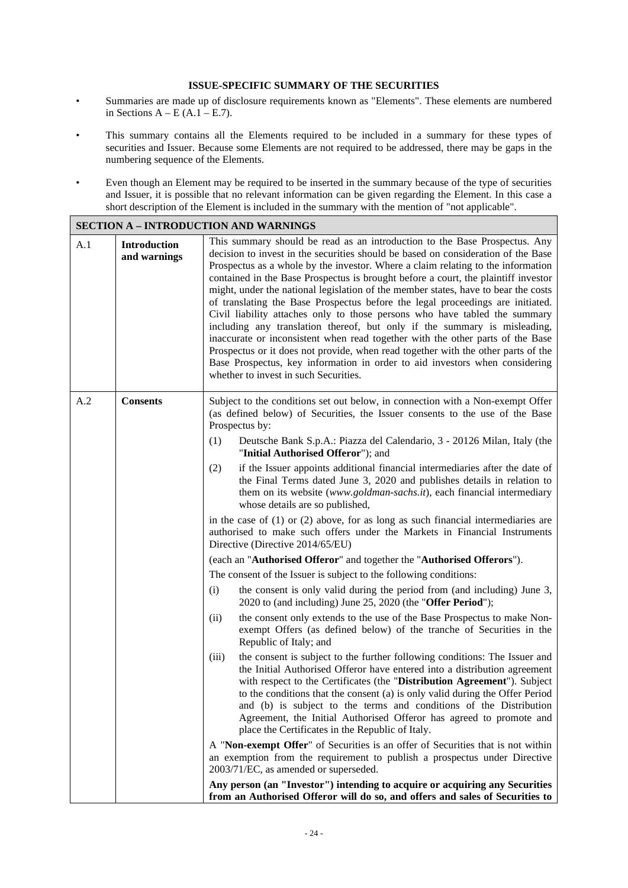### **ISSUE-SPECIFIC SUMMARY OF THE SECURITIES**

- Summaries are made up of disclosure requirements known as "Elements". These elements are numbered in Sections  $A - E(A.1 - E.7)$ .
- This summary contains all the Elements required to be included in a summary for these types of securities and Issuer. Because some Elements are not required to be addressed, there may be gaps in the numbering sequence of the Elements.
- Even though an Element may be required to be inserted in the summary because of the type of securities and Issuer, it is possible that no relevant information can be given regarding the Element. In this case a short description of the Element is included in the summary with the mention of "not applicable".

|     | <b>SECTION A - INTRODUCTION AND WARNINGS</b> |                                                                                                                                                                                                                                                                                                                                                                                                                                                                                                                                                                                                                                                                                                                                                                                                                                                                                                                                                                             |  |  |  |  |
|-----|----------------------------------------------|-----------------------------------------------------------------------------------------------------------------------------------------------------------------------------------------------------------------------------------------------------------------------------------------------------------------------------------------------------------------------------------------------------------------------------------------------------------------------------------------------------------------------------------------------------------------------------------------------------------------------------------------------------------------------------------------------------------------------------------------------------------------------------------------------------------------------------------------------------------------------------------------------------------------------------------------------------------------------------|--|--|--|--|
| A.1 | <b>Introduction</b><br>and warnings          | This summary should be read as an introduction to the Base Prospectus. Any<br>decision to invest in the securities should be based on consideration of the Base<br>Prospectus as a whole by the investor. Where a claim relating to the information<br>contained in the Base Prospectus is brought before a court, the plaintiff investor<br>might, under the national legislation of the member states, have to bear the costs<br>of translating the Base Prospectus before the legal proceedings are initiated.<br>Civil liability attaches only to those persons who have tabled the summary<br>including any translation thereof, but only if the summary is misleading,<br>inaccurate or inconsistent when read together with the other parts of the Base<br>Prospectus or it does not provide, when read together with the other parts of the<br>Base Prospectus, key information in order to aid investors when considering<br>whether to invest in such Securities. |  |  |  |  |
| A.2 | <b>Consents</b>                              | Subject to the conditions set out below, in connection with a Non-exempt Offer<br>(as defined below) of Securities, the Issuer consents to the use of the Base<br>Prospectus by:<br>(1)<br>Deutsche Bank S.p.A.: Piazza del Calendario, 3 - 20126 Milan, Italy (the<br>"Initial Authorised Offeror"); and                                                                                                                                                                                                                                                                                                                                                                                                                                                                                                                                                                                                                                                                   |  |  |  |  |
|     |                                              | if the Issuer appoints additional financial intermediaries after the date of<br>(2)<br>the Final Terms dated June 3, 2020 and publishes details in relation to<br>them on its website (www.goldman-sachs.it), each financial intermediary<br>whose details are so published,                                                                                                                                                                                                                                                                                                                                                                                                                                                                                                                                                                                                                                                                                                |  |  |  |  |
|     |                                              | in the case of $(1)$ or $(2)$ above, for as long as such financial intermediaries are<br>authorised to make such offers under the Markets in Financial Instruments<br>Directive (Directive 2014/65/EU)                                                                                                                                                                                                                                                                                                                                                                                                                                                                                                                                                                                                                                                                                                                                                                      |  |  |  |  |
|     |                                              | (each an "Authorised Offeror" and together the "Authorised Offerors").                                                                                                                                                                                                                                                                                                                                                                                                                                                                                                                                                                                                                                                                                                                                                                                                                                                                                                      |  |  |  |  |
|     |                                              | The consent of the Issuer is subject to the following conditions:                                                                                                                                                                                                                                                                                                                                                                                                                                                                                                                                                                                                                                                                                                                                                                                                                                                                                                           |  |  |  |  |
|     |                                              | the consent is only valid during the period from (and including) June 3,<br>(i)<br>2020 to (and including) June 25, 2020 (the "Offer Period");                                                                                                                                                                                                                                                                                                                                                                                                                                                                                                                                                                                                                                                                                                                                                                                                                              |  |  |  |  |
|     |                                              | (ii)<br>the consent only extends to the use of the Base Prospectus to make Non-<br>exempt Offers (as defined below) of the tranche of Securities in the<br>Republic of Italy; and                                                                                                                                                                                                                                                                                                                                                                                                                                                                                                                                                                                                                                                                                                                                                                                           |  |  |  |  |
|     |                                              | the consent is subject to the further following conditions: The Issuer and<br>(iii)<br>the Initial Authorised Offeror have entered into a distribution agreement<br>with respect to the Certificates (the "Distribution Agreement"). Subject<br>to the conditions that the consent (a) is only valid during the Offer Period<br>and (b) is subject to the terms and conditions of the Distribution<br>Agreement, the Initial Authorised Offeror has agreed to promote and<br>place the Certificates in the Republic of Italy.                                                                                                                                                                                                                                                                                                                                                                                                                                               |  |  |  |  |
|     |                                              | A "Non-exempt Offer" of Securities is an offer of Securities that is not within<br>an exemption from the requirement to publish a prospectus under Directive<br>2003/71/EC, as amended or superseded.                                                                                                                                                                                                                                                                                                                                                                                                                                                                                                                                                                                                                                                                                                                                                                       |  |  |  |  |
|     |                                              | Any person (an "Investor") intending to acquire or acquiring any Securities<br>from an Authorised Offeror will do so, and offers and sales of Securities to                                                                                                                                                                                                                                                                                                                                                                                                                                                                                                                                                                                                                                                                                                                                                                                                                 |  |  |  |  |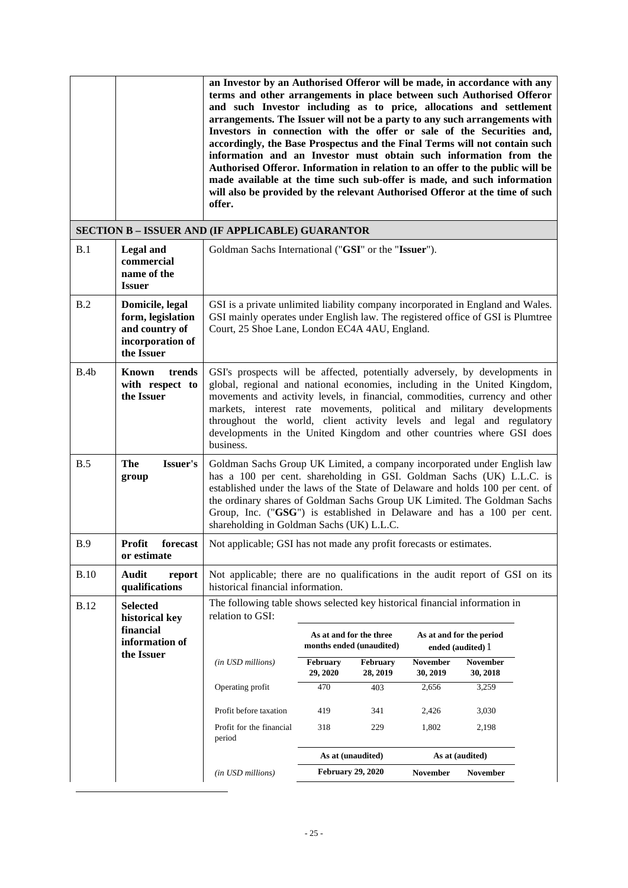|             |                                                                                          | an Investor by an Authorised Offeror will be made, in accordance with any<br>terms and other arrangements in place between such Authorised Offeror<br>and such Investor including as to price, allocations and settlement<br>arrangements. The Issuer will not be a party to any such arrangements with<br>Investors in connection with the offer or sale of the Securities and,<br>accordingly, the Base Prospectus and the Final Terms will not contain such<br>information and an Investor must obtain such information from the<br>Authorised Offeror. Information in relation to an offer to the public will be<br>made available at the time such sub-offer is made, and such information<br>will also be provided by the relevant Authorised Offeror at the time of such<br>offer. |                                                                                                                                                                                    |                      |                             |                             |  |
|-------------|------------------------------------------------------------------------------------------|-------------------------------------------------------------------------------------------------------------------------------------------------------------------------------------------------------------------------------------------------------------------------------------------------------------------------------------------------------------------------------------------------------------------------------------------------------------------------------------------------------------------------------------------------------------------------------------------------------------------------------------------------------------------------------------------------------------------------------------------------------------------------------------------|------------------------------------------------------------------------------------------------------------------------------------------------------------------------------------|----------------------|-----------------------------|-----------------------------|--|
|             |                                                                                          | <b>SECTION B - ISSUER AND (IF APPLICABLE) GUARANTOR</b>                                                                                                                                                                                                                                                                                                                                                                                                                                                                                                                                                                                                                                                                                                                                   |                                                                                                                                                                                    |                      |                             |                             |  |
| B.1         | <b>Legal</b> and<br>commercial<br>name of the<br><b>Issuer</b>                           | Goldman Sachs International ("GSI" or the "Issuer").                                                                                                                                                                                                                                                                                                                                                                                                                                                                                                                                                                                                                                                                                                                                      |                                                                                                                                                                                    |                      |                             |                             |  |
| B.2         | Domicile, legal<br>form, legislation<br>and country of<br>incorporation of<br>the Issuer | GSI is a private unlimited liability company incorporated in England and Wales.<br>GSI mainly operates under English law. The registered office of GSI is Plumtree<br>Court, 25 Shoe Lane, London EC4A 4AU, England.                                                                                                                                                                                                                                                                                                                                                                                                                                                                                                                                                                      |                                                                                                                                                                                    |                      |                             |                             |  |
| B.4b        | trends<br>Known<br>with respect to<br>the Issuer                                         | GSI's prospects will be affected, potentially adversely, by developments in<br>global, regional and national economies, including in the United Kingdom,<br>movements and activity levels, in financial, commodities, currency and other<br>markets, interest rate movements, political and military developments<br>throughout the world, client activity levels and legal and regulatory<br>developments in the United Kingdom and other countries where GSI does<br>business.                                                                                                                                                                                                                                                                                                          |                                                                                                                                                                                    |                      |                             |                             |  |
| B.5         | The<br>Issuer's<br>group                                                                 | Goldman Sachs Group UK Limited, a company incorporated under English law<br>has a 100 per cent. shareholding in GSI. Goldman Sachs (UK) L.L.C. is<br>established under the laws of the State of Delaware and holds 100 per cent. of<br>the ordinary shares of Goldman Sachs Group UK Limited. The Goldman Sachs<br>Group, Inc. ("GSG") is established in Delaware and has a 100 per cent.<br>shareholding in Goldman Sachs (UK) L.L.C.                                                                                                                                                                                                                                                                                                                                                    |                                                                                                                                                                                    |                      |                             |                             |  |
| <b>B.9</b>  | <b>Profit</b><br>forecast<br>or estimate                                                 | Not applicable; GSI has not made any profit forecasts or estimates.                                                                                                                                                                                                                                                                                                                                                                                                                                                                                                                                                                                                                                                                                                                       |                                                                                                                                                                                    |                      |                             |                             |  |
| <b>B.10</b> | <b>Audit</b><br>report<br>qualifications                                                 | Not applicable; there are no qualifications in the audit report of GSI on its<br>historical financial information.                                                                                                                                                                                                                                                                                                                                                                                                                                                                                                                                                                                                                                                                        |                                                                                                                                                                                    |                      |                             |                             |  |
| <b>B.12</b> | <b>Selected</b><br>historical key<br>financial<br>information of<br>the Issuer           | relation to GSI:                                                                                                                                                                                                                                                                                                                                                                                                                                                                                                                                                                                                                                                                                                                                                                          | The following table shows selected key historical financial information in<br>As at and for the three<br>As at and for the period<br>months ended (unaudited)<br>ended (audited) 1 |                      |                             |                             |  |
|             |                                                                                          | (in USD millions)                                                                                                                                                                                                                                                                                                                                                                                                                                                                                                                                                                                                                                                                                                                                                                         | February<br>29, 2020                                                                                                                                                               | February<br>28, 2019 | <b>November</b><br>30, 2019 | <b>November</b><br>30, 2018 |  |
|             |                                                                                          | Operating profit                                                                                                                                                                                                                                                                                                                                                                                                                                                                                                                                                                                                                                                                                                                                                                          | 470                                                                                                                                                                                | 403                  | 2,656                       | 3,259                       |  |
|             |                                                                                          | Profit before taxation                                                                                                                                                                                                                                                                                                                                                                                                                                                                                                                                                                                                                                                                                                                                                                    | 419                                                                                                                                                                                | 341                  | 2,426                       | 3,030                       |  |
|             |                                                                                          | Profit for the financial<br>period                                                                                                                                                                                                                                                                                                                                                                                                                                                                                                                                                                                                                                                                                                                                                        | 318                                                                                                                                                                                | 229                  | 1,802                       | 2,198                       |  |
|             |                                                                                          |                                                                                                                                                                                                                                                                                                                                                                                                                                                                                                                                                                                                                                                                                                                                                                                           |                                                                                                                                                                                    | As at (unaudited)    |                             | As at (audited)             |  |
|             |                                                                                          | (in USD millions)                                                                                                                                                                                                                                                                                                                                                                                                                                                                                                                                                                                                                                                                                                                                                                         | <b>February 29, 2020</b>                                                                                                                                                           |                      | <b>November</b>             | <b>November</b>             |  |
|             |                                                                                          |                                                                                                                                                                                                                                                                                                                                                                                                                                                                                                                                                                                                                                                                                                                                                                                           |                                                                                                                                                                                    |                      |                             |                             |  |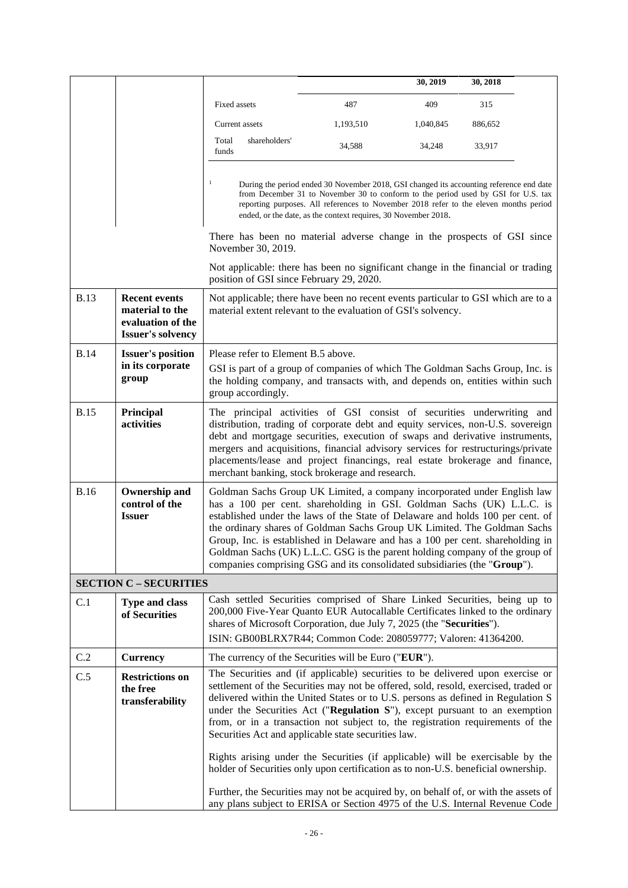|             |                                                                                          |                                                                                                                                                                                                                                                                                                                                                                                                                                                                                                                                                               |               |                                                                                                                                                                                                                                                                                                                                                                                                                                                                                                                                                                                                                                                                                                                                                | 30, 2019  | 30, 2018 |  |
|-------------|------------------------------------------------------------------------------------------|---------------------------------------------------------------------------------------------------------------------------------------------------------------------------------------------------------------------------------------------------------------------------------------------------------------------------------------------------------------------------------------------------------------------------------------------------------------------------------------------------------------------------------------------------------------|---------------|------------------------------------------------------------------------------------------------------------------------------------------------------------------------------------------------------------------------------------------------------------------------------------------------------------------------------------------------------------------------------------------------------------------------------------------------------------------------------------------------------------------------------------------------------------------------------------------------------------------------------------------------------------------------------------------------------------------------------------------------|-----------|----------|--|
|             |                                                                                          | Fixed assets                                                                                                                                                                                                                                                                                                                                                                                                                                                                                                                                                  |               | 487                                                                                                                                                                                                                                                                                                                                                                                                                                                                                                                                                                                                                                                                                                                                            | 409       | 315      |  |
|             |                                                                                          | Current assets                                                                                                                                                                                                                                                                                                                                                                                                                                                                                                                                                |               | 1,193,510                                                                                                                                                                                                                                                                                                                                                                                                                                                                                                                                                                                                                                                                                                                                      | 1,040,845 | 886,652  |  |
|             |                                                                                          | Total<br>funds                                                                                                                                                                                                                                                                                                                                                                                                                                                                                                                                                | shareholders' | 34,588                                                                                                                                                                                                                                                                                                                                                                                                                                                                                                                                                                                                                                                                                                                                         | 34,248    | 33,917   |  |
|             |                                                                                          | $\mathbf{1}$<br>During the period ended 30 November 2018, GSI changed its accounting reference end date<br>from December 31 to November 30 to conform to the period used by GSI for U.S. tax<br>reporting purposes. All references to November 2018 refer to the eleven months period<br>ended, or the date, as the context requires, 30 November 2018.                                                                                                                                                                                                       |               |                                                                                                                                                                                                                                                                                                                                                                                                                                                                                                                                                                                                                                                                                                                                                |           |          |  |
|             |                                                                                          | There has been no material adverse change in the prospects of GSI since<br>November 30, 2019.                                                                                                                                                                                                                                                                                                                                                                                                                                                                 |               |                                                                                                                                                                                                                                                                                                                                                                                                                                                                                                                                                                                                                                                                                                                                                |           |          |  |
|             |                                                                                          | Not applicable: there has been no significant change in the financial or trading<br>position of GSI since February 29, 2020.                                                                                                                                                                                                                                                                                                                                                                                                                                  |               |                                                                                                                                                                                                                                                                                                                                                                                                                                                                                                                                                                                                                                                                                                                                                |           |          |  |
| <b>B.13</b> | <b>Recent events</b><br>material to the<br>evaluation of the<br><b>Issuer's solvency</b> |                                                                                                                                                                                                                                                                                                                                                                                                                                                                                                                                                               |               | Not applicable; there have been no recent events particular to GSI which are to a<br>material extent relevant to the evaluation of GSI's solvency.                                                                                                                                                                                                                                                                                                                                                                                                                                                                                                                                                                                             |           |          |  |
| <b>B.14</b> | <b>Issuer's position</b><br>in its corporate<br>group                                    | Please refer to Element B.5 above.<br>GSI is part of a group of companies of which The Goldman Sachs Group, Inc. is<br>the holding company, and transacts with, and depends on, entities within such<br>group accordingly.                                                                                                                                                                                                                                                                                                                                    |               |                                                                                                                                                                                                                                                                                                                                                                                                                                                                                                                                                                                                                                                                                                                                                |           |          |  |
| <b>B.15</b> | Principal<br>activities                                                                  | The principal activities of GSI consist of securities underwriting and<br>distribution, trading of corporate debt and equity services, non-U.S. sovereign<br>debt and mortgage securities, execution of swaps and derivative instruments,<br>mergers and acquisitions, financial advisory services for restructurings/private<br>placements/lease and project financings, real estate brokerage and finance,<br>merchant banking, stock brokerage and research.                                                                                               |               |                                                                                                                                                                                                                                                                                                                                                                                                                                                                                                                                                                                                                                                                                                                                                |           |          |  |
| <b>B.16</b> | <b>Ownership and</b><br>control of the<br><b>Issuer</b>                                  | Goldman Sachs Group UK Limited, a company incorporated under English law<br>has a 100 per cent. shareholding in GSI. Goldman Sachs (UK) L.L.C. is<br>established under the laws of the State of Delaware and holds 100 per cent. of<br>the ordinary shares of Goldman Sachs Group UK Limited. The Goldman Sachs<br>Group, Inc. is established in Delaware and has a 100 per cent. shareholding in<br>Goldman Sachs (UK) L.L.C. GSG is the parent holding company of the group of<br>companies comprising GSG and its consolidated subsidiaries (the "Group"). |               |                                                                                                                                                                                                                                                                                                                                                                                                                                                                                                                                                                                                                                                                                                                                                |           |          |  |
|             | <b>SECTION C - SECURITIES</b>                                                            |                                                                                                                                                                                                                                                                                                                                                                                                                                                                                                                                                               |               |                                                                                                                                                                                                                                                                                                                                                                                                                                                                                                                                                                                                                                                                                                                                                |           |          |  |
| C.1         | <b>Type and class</b><br>of Securities                                                   |                                                                                                                                                                                                                                                                                                                                                                                                                                                                                                                                                               |               | Cash settled Securities comprised of Share Linked Securities, being up to<br>200,000 Five-Year Quanto EUR Autocallable Certificates linked to the ordinary<br>shares of Microsoft Corporation, due July 7, 2025 (the "Securities").<br>ISIN: GB00BLRX7R44; Common Code: 208059777; Valoren: 41364200.                                                                                                                                                                                                                                                                                                                                                                                                                                          |           |          |  |
| C.2         | <b>Currency</b>                                                                          |                                                                                                                                                                                                                                                                                                                                                                                                                                                                                                                                                               |               | The currency of the Securities will be Euro ("EUR").                                                                                                                                                                                                                                                                                                                                                                                                                                                                                                                                                                                                                                                                                           |           |          |  |
| C.5         | <b>Restrictions on</b><br>the free<br>transferability                                    |                                                                                                                                                                                                                                                                                                                                                                                                                                                                                                                                                               |               | The Securities and (if applicable) securities to be delivered upon exercise or<br>settlement of the Securities may not be offered, sold, resold, exercised, traded or<br>delivered within the United States or to U.S. persons as defined in Regulation S<br>under the Securities Act ("Regulation S"), except pursuant to an exemption<br>from, or in a transaction not subject to, the registration requirements of the<br>Securities Act and applicable state securities law.<br>Rights arising under the Securities (if applicable) will be exercisable by the<br>holder of Securities only upon certification as to non-U.S. beneficial ownership.<br>Further, the Securities may not be acquired by, on behalf of, or with the assets of |           |          |  |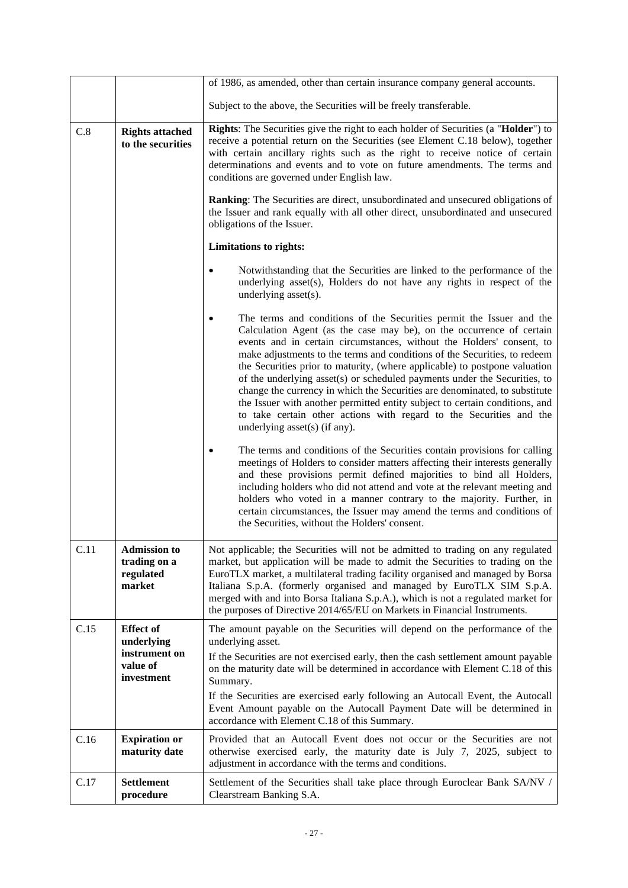|      |                                                                           | of 1986, as amended, other than certain insurance company general accounts.                                                                                                                                                                                                                                                                                                                                                                                                                                                                                                                                                                                                                                                           |  |  |  |  |  |  |
|------|---------------------------------------------------------------------------|---------------------------------------------------------------------------------------------------------------------------------------------------------------------------------------------------------------------------------------------------------------------------------------------------------------------------------------------------------------------------------------------------------------------------------------------------------------------------------------------------------------------------------------------------------------------------------------------------------------------------------------------------------------------------------------------------------------------------------------|--|--|--|--|--|--|
|      |                                                                           | Subject to the above, the Securities will be freely transferable.                                                                                                                                                                                                                                                                                                                                                                                                                                                                                                                                                                                                                                                                     |  |  |  |  |  |  |
| C.8  | <b>Rights attached</b><br>to the securities                               | Rights: The Securities give the right to each holder of Securities (a "Holder") to<br>receive a potential return on the Securities (see Element C.18 below), together<br>with certain ancillary rights such as the right to receive notice of certain<br>determinations and events and to vote on future amendments. The terms and<br>conditions are governed under English law.<br><b>Ranking:</b> The Securities are direct, unsubordinated and unsecured obligations of<br>the Issuer and rank equally with all other direct, unsubordinated and unsecured<br>obligations of the Issuer.                                                                                                                                           |  |  |  |  |  |  |
|      |                                                                           | <b>Limitations to rights:</b>                                                                                                                                                                                                                                                                                                                                                                                                                                                                                                                                                                                                                                                                                                         |  |  |  |  |  |  |
|      |                                                                           | Notwithstanding that the Securities are linked to the performance of the<br>$\bullet$<br>underlying asset(s), Holders do not have any rights in respect of the<br>underlying asset(s).                                                                                                                                                                                                                                                                                                                                                                                                                                                                                                                                                |  |  |  |  |  |  |
|      |                                                                           | The terms and conditions of the Securities permit the Issuer and the<br>Calculation Agent (as the case may be), on the occurrence of certain<br>events and in certain circumstances, without the Holders' consent, to<br>make adjustments to the terms and conditions of the Securities, to redeem<br>the Securities prior to maturity, (where applicable) to postpone valuation<br>of the underlying asset(s) or scheduled payments under the Securities, to<br>change the currency in which the Securities are denominated, to substitute<br>the Issuer with another permitted entity subject to certain conditions, and<br>to take certain other actions with regard to the Securities and the<br>underlying asset $(s)$ (if any). |  |  |  |  |  |  |
|      |                                                                           | The terms and conditions of the Securities contain provisions for calling<br>meetings of Holders to consider matters affecting their interests generally<br>and these provisions permit defined majorities to bind all Holders,<br>including holders who did not attend and vote at the relevant meeting and<br>holders who voted in a manner contrary to the majority. Further, in<br>certain circumstances, the Issuer may amend the terms and conditions of<br>the Securities, without the Holders' consent.                                                                                                                                                                                                                       |  |  |  |  |  |  |
| C.11 | <b>Admission to</b><br>trading on a<br>regulated<br>market                | Not applicable; the Securities will not be admitted to trading on any regulated<br>market, but application will be made to admit the Securities to trading on the<br>EuroTLX market, a multilateral trading facility organised and managed by Borsa<br>Italiana S.p.A. (formerly organised and managed by EuroTLX SIM S.p.A.<br>merged with and into Borsa Italiana S.p.A.), which is not a regulated market for<br>the purposes of Directive 2014/65/EU on Markets in Financial Instruments.                                                                                                                                                                                                                                         |  |  |  |  |  |  |
| C.15 | <b>Effect</b> of<br>underlying<br>instrument on<br>value of<br>investment | The amount payable on the Securities will depend on the performance of the<br>underlying asset.<br>If the Securities are not exercised early, then the cash settlement amount payable<br>on the maturity date will be determined in accordance with Element C.18 of this<br>Summary.<br>If the Securities are exercised early following an Autocall Event, the Autocall                                                                                                                                                                                                                                                                                                                                                               |  |  |  |  |  |  |
|      |                                                                           | Event Amount payable on the Autocall Payment Date will be determined in<br>accordance with Element C.18 of this Summary.                                                                                                                                                                                                                                                                                                                                                                                                                                                                                                                                                                                                              |  |  |  |  |  |  |
| C.16 | <b>Expiration or</b><br>maturity date                                     | Provided that an Autocall Event does not occur or the Securities are not<br>otherwise exercised early, the maturity date is July 7, 2025, subject to<br>adjustment in accordance with the terms and conditions.                                                                                                                                                                                                                                                                                                                                                                                                                                                                                                                       |  |  |  |  |  |  |
| C.17 | <b>Settlement</b><br>procedure                                            | Settlement of the Securities shall take place through Euroclear Bank SA/NV /<br>Clearstream Banking S.A.                                                                                                                                                                                                                                                                                                                                                                                                                                                                                                                                                                                                                              |  |  |  |  |  |  |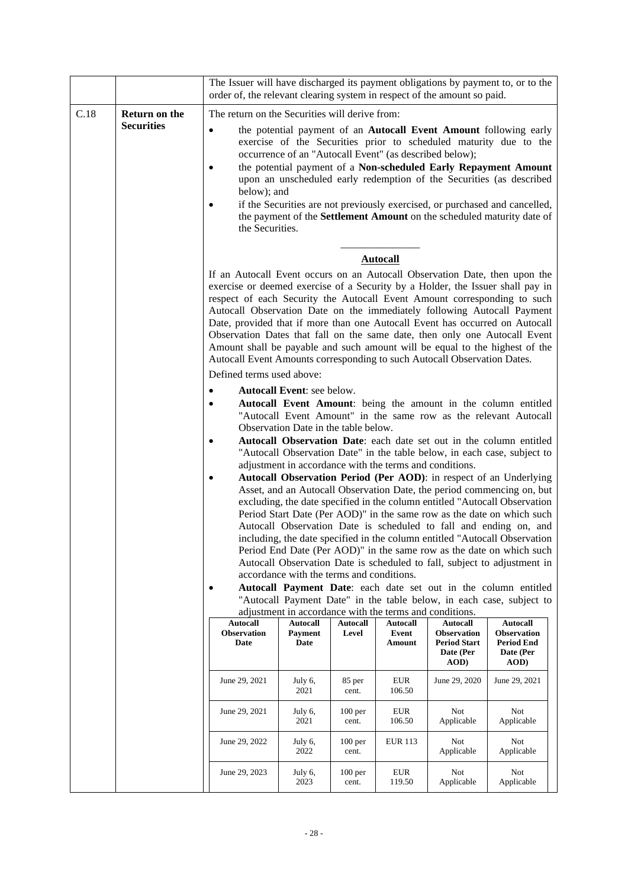|      |                      | The Issuer will have discharged its payment obligations by payment to, or to the<br>order of, the relevant clearing system in respect of the amount so paid.                                                                                                                                                                                                                                                                                                                                                                                                                                                                                                                                                                                                                                                                                                                                                                                                                                                                                                                                                                                                                                                                                                                                                                                                      |                 |                             |                      |                          |                          |  |  |
|------|----------------------|-------------------------------------------------------------------------------------------------------------------------------------------------------------------------------------------------------------------------------------------------------------------------------------------------------------------------------------------------------------------------------------------------------------------------------------------------------------------------------------------------------------------------------------------------------------------------------------------------------------------------------------------------------------------------------------------------------------------------------------------------------------------------------------------------------------------------------------------------------------------------------------------------------------------------------------------------------------------------------------------------------------------------------------------------------------------------------------------------------------------------------------------------------------------------------------------------------------------------------------------------------------------------------------------------------------------------------------------------------------------|-----------------|-----------------------------|----------------------|--------------------------|--------------------------|--|--|
| C.18 | <b>Return on the</b> | The return on the Securities will derive from:                                                                                                                                                                                                                                                                                                                                                                                                                                                                                                                                                                                                                                                                                                                                                                                                                                                                                                                                                                                                                                                                                                                                                                                                                                                                                                                    |                 |                             |                      |                          |                          |  |  |
|      | <b>Securities</b>    | the potential payment of an Autocall Event Amount following early<br>$\bullet$<br>exercise of the Securities prior to scheduled maturity due to the<br>occurrence of an "Autocall Event" (as described below);<br>the potential payment of a Non-scheduled Early Repayment Amount<br>upon an unscheduled early redemption of the Securities (as described<br>below); and<br>if the Securities are not previously exercised, or purchased and cancelled,<br>the payment of the Settlement Amount on the scheduled maturity date of<br>the Securities.                                                                                                                                                                                                                                                                                                                                                                                                                                                                                                                                                                                                                                                                                                                                                                                                              |                 |                             |                      |                          |                          |  |  |
|      |                      |                                                                                                                                                                                                                                                                                                                                                                                                                                                                                                                                                                                                                                                                                                                                                                                                                                                                                                                                                                                                                                                                                                                                                                                                                                                                                                                                                                   |                 |                             | <b>Autocall</b>      |                          |                          |  |  |
|      |                      | If an Autocall Event occurs on an Autocall Observation Date, then upon the<br>exercise or deemed exercise of a Security by a Holder, the Issuer shall pay in<br>respect of each Security the Autocall Event Amount corresponding to such<br>Autocall Observation Date on the immediately following Autocall Payment<br>Date, provided that if more than one Autocall Event has occurred on Autocall<br>Observation Dates that fall on the same date, then only one Autocall Event<br>Amount shall be payable and such amount will be equal to the highest of the<br>Autocall Event Amounts corresponding to such Autocall Observation Dates.                                                                                                                                                                                                                                                                                                                                                                                                                                                                                                                                                                                                                                                                                                                      |                 |                             |                      |                          |                          |  |  |
|      |                      |                                                                                                                                                                                                                                                                                                                                                                                                                                                                                                                                                                                                                                                                                                                                                                                                                                                                                                                                                                                                                                                                                                                                                                                                                                                                                                                                                                   |                 |                             |                      |                          |                          |  |  |
|      |                      | Defined terms used above:<br>Autocall Event: see below.<br>$\bullet$<br>Autocall Event Amount: being the amount in the column entitled<br>$\bullet$<br>"Autocall Event Amount" in the same row as the relevant Autocall<br>Observation Date in the table below.<br>Autocall Observation Date: each date set out in the column entitled<br>$\bullet$<br>"Autocall Observation Date" in the table below, in each case, subject to<br>adjustment in accordance with the terms and conditions.<br>Autocall Observation Period (Per AOD): in respect of an Underlying<br>Asset, and an Autocall Observation Date, the period commencing on, but<br>excluding, the date specified in the column entitled "Autocall Observation<br>Period Start Date (Per AOD)" in the same row as the date on which such<br>Autocall Observation Date is scheduled to fall and ending on, and<br>including, the date specified in the column entitled "Autocall Observation<br>Period End Date (Per AOD)" in the same row as the date on which such<br>Autocall Observation Date is scheduled to fall, subject to adjustment in<br>accordance with the terms and conditions.<br>Autocall Payment Date: each date set out in the column entitled<br>٠<br>"Autocall Payment Date" in the table below, in each case, subject to<br>adjustment in accordance with the terms and conditions. |                 |                             |                      |                          |                          |  |  |
|      |                      | <b>Autocall</b><br><b>Autocall</b><br><b>Autocall</b><br><b>Autocall</b><br><b>Autocall</b><br><b>Autocall</b><br><b>Observation</b><br>Payment<br>Level<br>Event<br><b>Observation</b><br><b>Observation</b><br>Date<br><b>Date</b><br><b>Period Start</b><br><b>Period End</b><br>Amount<br>Date (Per<br>Date (Per<br>AOD)<br>AOD)                                                                                                                                                                                                                                                                                                                                                                                                                                                                                                                                                                                                                                                                                                                                                                                                                                                                                                                                                                                                                              |                 |                             |                      |                          |                          |  |  |
|      |                      | June 29, 2021                                                                                                                                                                                                                                                                                                                                                                                                                                                                                                                                                                                                                                                                                                                                                                                                                                                                                                                                                                                                                                                                                                                                                                                                                                                                                                                                                     | July 6,<br>2021 | 85 per<br>cent.             | <b>EUR</b><br>106.50 | June 29, 2020            | June 29, 2021            |  |  |
|      |                      | June 29, 2021                                                                                                                                                                                                                                                                                                                                                                                                                                                                                                                                                                                                                                                                                                                                                                                                                                                                                                                                                                                                                                                                                                                                                                                                                                                                                                                                                     | July 6,<br>2021 | 100 <sub>per</sub><br>cent. | EUR<br>106.50        | <b>Not</b><br>Applicable | <b>Not</b><br>Applicable |  |  |
|      |                      | June 29, 2022                                                                                                                                                                                                                                                                                                                                                                                                                                                                                                                                                                                                                                                                                                                                                                                                                                                                                                                                                                                                                                                                                                                                                                                                                                                                                                                                                     | July 6,<br>2022 | 100 <sub>per</sub><br>cent. | EUR 113              | <b>Not</b><br>Applicable | Not<br>Applicable        |  |  |
|      |                      | June 29, 2023                                                                                                                                                                                                                                                                                                                                                                                                                                                                                                                                                                                                                                                                                                                                                                                                                                                                                                                                                                                                                                                                                                                                                                                                                                                                                                                                                     | July 6,<br>2023 | 100 <sub>per</sub><br>cent. | EUR<br>119.50        | Not<br>Applicable        | Not<br>Applicable        |  |  |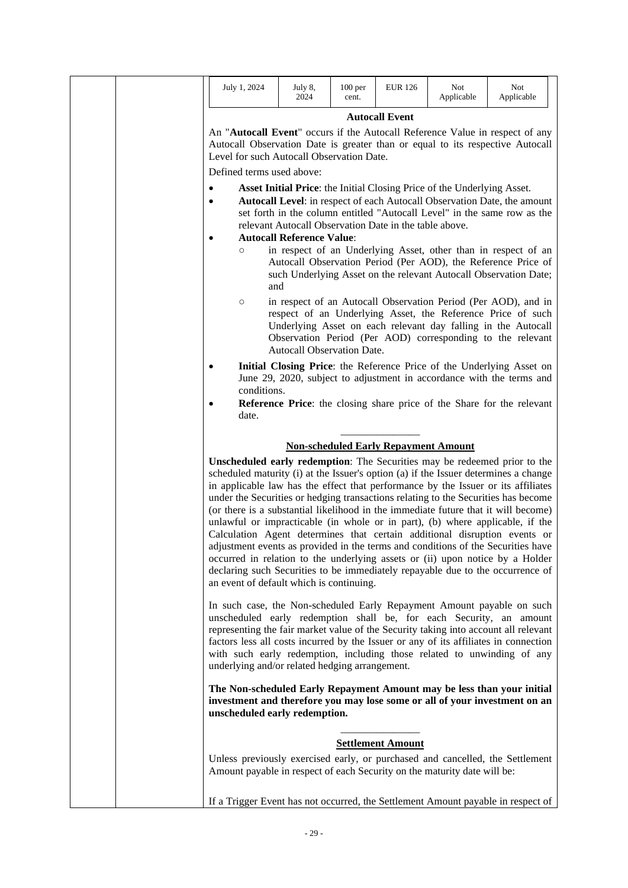|  | July 1, 2024                                                                                                                                                                                                                                                                                                                                                                                                                                                                                                                                                                                                                                                                                                                                                                                                                                                                                       | July 8,<br>2024                                                                            | 100 <sub>per</sub><br>cent. | <b>EUR 126</b>                              | Not<br>Applicable                                                       | Not<br>Applicable                                                                                                                                                                                                                                                                                                                                           |
|--|----------------------------------------------------------------------------------------------------------------------------------------------------------------------------------------------------------------------------------------------------------------------------------------------------------------------------------------------------------------------------------------------------------------------------------------------------------------------------------------------------------------------------------------------------------------------------------------------------------------------------------------------------------------------------------------------------------------------------------------------------------------------------------------------------------------------------------------------------------------------------------------------------|--------------------------------------------------------------------------------------------|-----------------------------|---------------------------------------------|-------------------------------------------------------------------------|-------------------------------------------------------------------------------------------------------------------------------------------------------------------------------------------------------------------------------------------------------------------------------------------------------------------------------------------------------------|
|  |                                                                                                                                                                                                                                                                                                                                                                                                                                                                                                                                                                                                                                                                                                                                                                                                                                                                                                    |                                                                                            |                             | <b>Autocall Event</b>                       |                                                                         |                                                                                                                                                                                                                                                                                                                                                             |
|  | An "Autocall Event" occurs if the Autocall Reference Value in respect of any<br>Autocall Observation Date is greater than or equal to its respective Autocall<br>Level for such Autocall Observation Date.                                                                                                                                                                                                                                                                                                                                                                                                                                                                                                                                                                                                                                                                                         |                                                                                            |                             |                                             |                                                                         |                                                                                                                                                                                                                                                                                                                                                             |
|  | Defined terms used above:                                                                                                                                                                                                                                                                                                                                                                                                                                                                                                                                                                                                                                                                                                                                                                                                                                                                          |                                                                                            |                             |                                             |                                                                         |                                                                                                                                                                                                                                                                                                                                                             |
|  | ٠<br>٠<br>$\bigcirc$<br>and                                                                                                                                                                                                                                                                                                                                                                                                                                                                                                                                                                                                                                                                                                                                                                                                                                                                        | relevant Autocall Observation Date in the table above.<br><b>Autocall Reference Value:</b> |                             |                                             | Asset Initial Price: the Initial Closing Price of the Underlying Asset. | Autocall Level: in respect of each Autocall Observation Date, the amount<br>set forth in the column entitled "Autocall Level" in the same row as the<br>in respect of an Underlying Asset, other than in respect of an<br>Autocall Observation Period (Per AOD), the Reference Price of<br>such Underlying Asset on the relevant Autocall Observation Date; |
|  | $\circlearrowright$                                                                                                                                                                                                                                                                                                                                                                                                                                                                                                                                                                                                                                                                                                                                                                                                                                                                                | <b>Autocall Observation Date.</b>                                                          |                             |                                             |                                                                         | in respect of an Autocall Observation Period (Per AOD), and in<br>respect of an Underlying Asset, the Reference Price of such<br>Underlying Asset on each relevant day falling in the Autocall<br>Observation Period (Per AOD) corresponding to the relevant                                                                                                |
|  | $\bullet$<br>conditions.                                                                                                                                                                                                                                                                                                                                                                                                                                                                                                                                                                                                                                                                                                                                                                                                                                                                           |                                                                                            |                             |                                             |                                                                         | Initial Closing Price: the Reference Price of the Underlying Asset on<br>June 29, 2020, subject to adjustment in accordance with the terms and                                                                                                                                                                                                              |
|  | date.                                                                                                                                                                                                                                                                                                                                                                                                                                                                                                                                                                                                                                                                                                                                                                                                                                                                                              |                                                                                            |                             |                                             |                                                                         | <b>Reference Price:</b> the closing share price of the Share for the relevant                                                                                                                                                                                                                                                                               |
|  |                                                                                                                                                                                                                                                                                                                                                                                                                                                                                                                                                                                                                                                                                                                                                                                                                                                                                                    |                                                                                            |                             | <b>Non-scheduled Early Repayment Amount</b> |                                                                         |                                                                                                                                                                                                                                                                                                                                                             |
|  | Unscheduled early redemption: The Securities may be redeemed prior to the<br>scheduled maturity (i) at the Issuer's option (a) if the Issuer determines a change<br>in applicable law has the effect that performance by the Issuer or its affiliates<br>under the Securities or hedging transactions relating to the Securities has become<br>(or there is a substantial likelihood in the immediate future that it will become)<br>unlawful or impracticable (in whole or in part), (b) where applicable, if the<br>Calculation Agent determines that certain additional disruption events or<br>adjustment events as provided in the terms and conditions of the Securities have<br>occurred in relation to the underlying assets or (ii) upon notice by a Holder<br>declaring such Securities to be immediately repayable due to the occurrence of<br>an event of default which is continuing. |                                                                                            |                             |                                             |                                                                         |                                                                                                                                                                                                                                                                                                                                                             |
|  | In such case, the Non-scheduled Early Repayment Amount payable on such<br>unscheduled early redemption shall be, for each Security, an amount<br>representing the fair market value of the Security taking into account all relevant<br>factors less all costs incurred by the Issuer or any of its affiliates in connection<br>with such early redemption, including those related to unwinding of any<br>underlying and/or related hedging arrangement.                                                                                                                                                                                                                                                                                                                                                                                                                                          |                                                                                            |                             |                                             |                                                                         |                                                                                                                                                                                                                                                                                                                                                             |
|  | The Non-scheduled Early Repayment Amount may be less than your initial<br>investment and therefore you may lose some or all of your investment on an<br>unscheduled early redemption.                                                                                                                                                                                                                                                                                                                                                                                                                                                                                                                                                                                                                                                                                                              |                                                                                            |                             |                                             |                                                                         |                                                                                                                                                                                                                                                                                                                                                             |
|  |                                                                                                                                                                                                                                                                                                                                                                                                                                                                                                                                                                                                                                                                                                                                                                                                                                                                                                    |                                                                                            |                             | <b>Settlement Amount</b>                    |                                                                         |                                                                                                                                                                                                                                                                                                                                                             |
|  | Unless previously exercised early, or purchased and cancelled, the Settlement<br>Amount payable in respect of each Security on the maturity date will be:                                                                                                                                                                                                                                                                                                                                                                                                                                                                                                                                                                                                                                                                                                                                          |                                                                                            |                             |                                             |                                                                         |                                                                                                                                                                                                                                                                                                                                                             |
|  | If a Trigger Event has not occurred, the Settlement Amount payable in respect of                                                                                                                                                                                                                                                                                                                                                                                                                                                                                                                                                                                                                                                                                                                                                                                                                   |                                                                                            |                             |                                             |                                                                         |                                                                                                                                                                                                                                                                                                                                                             |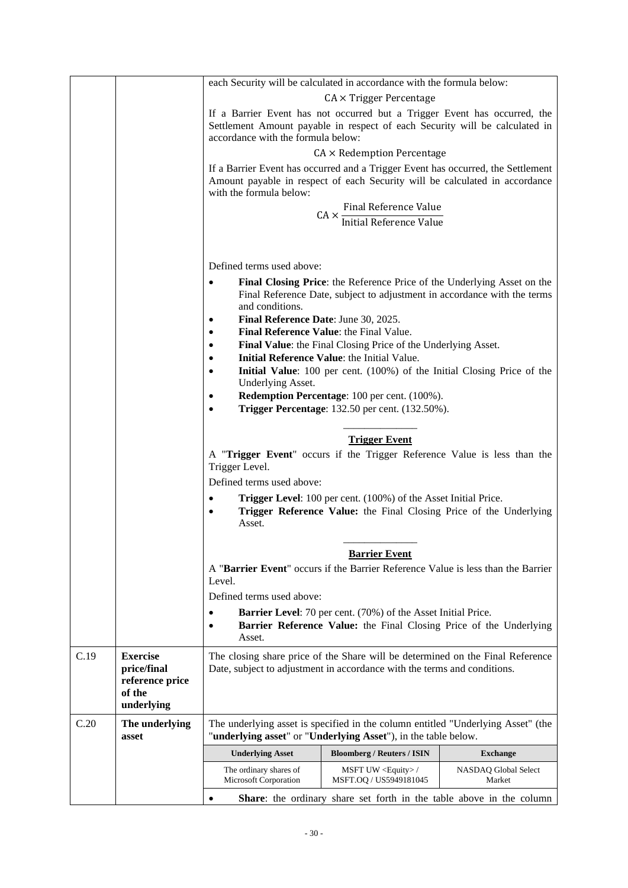|      |                                                   |                                                 | each Security will be calculated in accordance with the formula below:                                                                                          |                                |
|------|---------------------------------------------------|-------------------------------------------------|-----------------------------------------------------------------------------------------------------------------------------------------------------------------|--------------------------------|
|      |                                                   |                                                 | $CA \times Trigger Percentage$                                                                                                                                  |                                |
|      |                                                   | accordance with the formula below:              | If a Barrier Event has not occurred but a Trigger Event has occurred, the<br>Settlement Amount payable in respect of each Security will be calculated in        |                                |
|      |                                                   |                                                 | $CA \times Redemption Percentage$                                                                                                                               |                                |
|      |                                                   | with the formula below:                         | If a Barrier Event has occurred and a Trigger Event has occurred, the Settlement<br>Amount payable in respect of each Security will be calculated in accordance |                                |
|      |                                                   |                                                 |                                                                                                                                                                 |                                |
|      |                                                   |                                                 | $CA \times \frac{\text{Final Reference Value}}{\text{Initial Reference Value}}$                                                                                 |                                |
|      |                                                   |                                                 |                                                                                                                                                                 |                                |
|      |                                                   |                                                 |                                                                                                                                                                 |                                |
|      |                                                   | Defined terms used above:                       |                                                                                                                                                                 |                                |
|      |                                                   | $\bullet$<br>and conditions.                    | Final Closing Price: the Reference Price of the Underlying Asset on the<br>Final Reference Date, subject to adjustment in accordance with the terms             |                                |
|      |                                                   | Final Reference Date: June 30, 2025.<br>٠       |                                                                                                                                                                 |                                |
|      |                                                   | ٠                                               | Final Reference Value: the Final Value.                                                                                                                         |                                |
|      |                                                   | $\bullet$<br>$\bullet$                          | Final Value: the Final Closing Price of the Underlying Asset.<br><b>Initial Reference Value:</b> the Initial Value.                                             |                                |
|      |                                                   | $\bullet$<br>Underlying Asset.                  | Initial Value: 100 per cent. (100%) of the Initial Closing Price of the                                                                                         |                                |
|      |                                                   | $\bullet$                                       | Redemption Percentage: 100 per cent. (100%).                                                                                                                    |                                |
|      |                                                   | $\bullet$                                       | <b>Trigger Percentage:</b> 132.50 per cent. (132.50%).                                                                                                          |                                |
|      |                                                   |                                                 |                                                                                                                                                                 |                                |
|      |                                                   |                                                 | <b>Trigger Event</b>                                                                                                                                            |                                |
|      |                                                   | Trigger Level.                                  | A "Trigger Event" occurs if the Trigger Reference Value is less than the                                                                                        |                                |
|      |                                                   | Defined terms used above:                       |                                                                                                                                                                 |                                |
|      |                                                   | $\bullet$<br>Asset.                             | <b>Trigger Level</b> : 100 per cent. (100%) of the Asset Initial Price.<br>Trigger Reference Value: the Final Closing Price of the Underlying                   |                                |
|      |                                                   |                                                 |                                                                                                                                                                 |                                |
|      |                                                   |                                                 | <b>Barrier Event</b>                                                                                                                                            |                                |
|      |                                                   | Level.                                          | A "Barrier Event" occurs if the Barrier Reference Value is less than the Barrier                                                                                |                                |
|      |                                                   | Defined terms used above:                       |                                                                                                                                                                 |                                |
|      |                                                   | $\bullet$                                       | <b>Barrier Level:</b> 70 per cent. (70%) of the Asset Initial Price.                                                                                            |                                |
|      |                                                   | $\bullet$<br>Asset.                             | Barrier Reference Value: the Final Closing Price of the Underlying                                                                                              |                                |
| C.19 | <b>Exercise</b><br>price/final<br>reference price |                                                 | The closing share price of the Share will be determined on the Final Reference<br>Date, subject to adjustment in accordance with the terms and conditions.      |                                |
|      | of the<br>underlying                              |                                                 |                                                                                                                                                                 |                                |
| C.20 | The underlying<br>asset                           |                                                 | The underlying asset is specified in the column entitled "Underlying Asset" (the<br>"underlying asset" or "Underlying Asset"), in the table below.              |                                |
|      |                                                   | <b>Underlying Asset</b>                         | <b>Bloomberg / Reuters / ISIN</b>                                                                                                                               | <b>Exchange</b>                |
|      |                                                   | The ordinary shares of<br>Microsoft Corporation | MSFT UW <equity>/<br/>MSFT.OQ / US5949181045</equity>                                                                                                           | NASDAQ Global Select<br>Market |
|      |                                                   |                                                 | <b>Share:</b> the ordinary share set forth in the table above in the column                                                                                     |                                |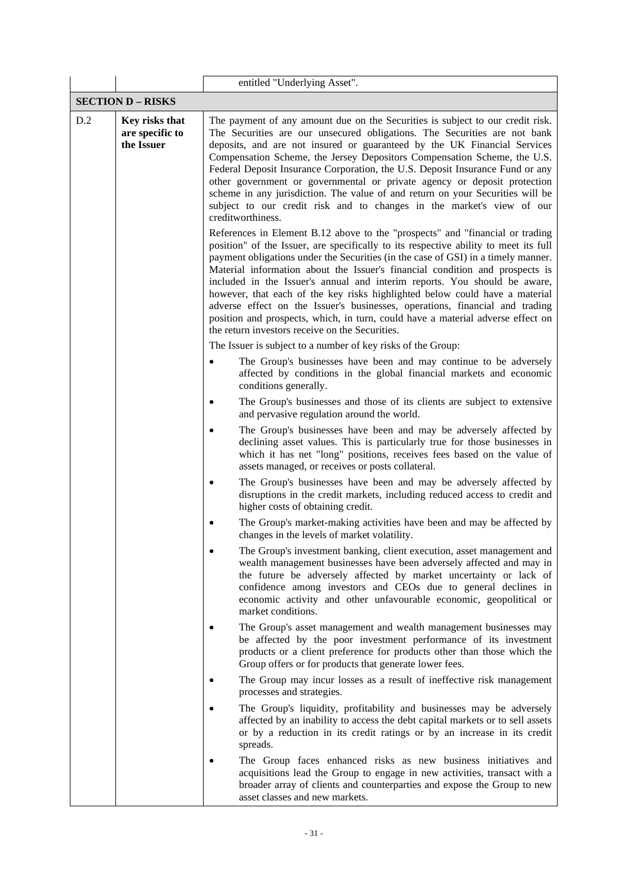|     |                                                 | entitled "Underlying Asset".                                                                                                                                                                                                                                                                                                                                                                                                                                                                                                                                                                                                                                                                                                                                                                 |
|-----|-------------------------------------------------|----------------------------------------------------------------------------------------------------------------------------------------------------------------------------------------------------------------------------------------------------------------------------------------------------------------------------------------------------------------------------------------------------------------------------------------------------------------------------------------------------------------------------------------------------------------------------------------------------------------------------------------------------------------------------------------------------------------------------------------------------------------------------------------------|
|     | <b>SECTION D - RISKS</b>                        |                                                                                                                                                                                                                                                                                                                                                                                                                                                                                                                                                                                                                                                                                                                                                                                              |
| D.2 | Key risks that<br>are specific to<br>the Issuer | The payment of any amount due on the Securities is subject to our credit risk.<br>The Securities are our unsecured obligations. The Securities are not bank<br>deposits, and are not insured or guaranteed by the UK Financial Services<br>Compensation Scheme, the Jersey Depositors Compensation Scheme, the U.S.<br>Federal Deposit Insurance Corporation, the U.S. Deposit Insurance Fund or any<br>other government or governmental or private agency or deposit protection<br>scheme in any jurisdiction. The value of and return on your Securities will be<br>subject to our credit risk and to changes in the market's view of our<br>creditworthiness.                                                                                                                             |
|     |                                                 | References in Element B.12 above to the "prospects" and "financial or trading<br>position" of the Issuer, are specifically to its respective ability to meet its full<br>payment obligations under the Securities (in the case of GSI) in a timely manner.<br>Material information about the Issuer's financial condition and prospects is<br>included in the Issuer's annual and interim reports. You should be aware,<br>however, that each of the key risks highlighted below could have a material<br>adverse effect on the Issuer's businesses, operations, financial and trading<br>position and prospects, which, in turn, could have a material adverse effect on<br>the return investors receive on the Securities.<br>The Issuer is subject to a number of key risks of the Group: |
|     |                                                 | The Group's businesses have been and may continue to be adversely<br>affected by conditions in the global financial markets and economic<br>conditions generally.                                                                                                                                                                                                                                                                                                                                                                                                                                                                                                                                                                                                                            |
|     |                                                 | The Group's businesses and those of its clients are subject to extensive<br>$\bullet$<br>and pervasive regulation around the world.                                                                                                                                                                                                                                                                                                                                                                                                                                                                                                                                                                                                                                                          |
|     |                                                 | The Group's businesses have been and may be adversely affected by<br>declining asset values. This is particularly true for those businesses in<br>which it has net "long" positions, receives fees based on the value of<br>assets managed, or receives or posts collateral.                                                                                                                                                                                                                                                                                                                                                                                                                                                                                                                 |
|     |                                                 | The Group's businesses have been and may be adversely affected by<br>disruptions in the credit markets, including reduced access to credit and<br>higher costs of obtaining credit.                                                                                                                                                                                                                                                                                                                                                                                                                                                                                                                                                                                                          |
|     |                                                 | The Group's market-making activities have been and may be affected by<br>$\bullet$<br>changes in the levels of market volatility.                                                                                                                                                                                                                                                                                                                                                                                                                                                                                                                                                                                                                                                            |
|     |                                                 | The Group's investment banking, client execution, asset management and<br>wealth management businesses have been adversely affected and may in<br>the future be adversely affected by market uncertainty or lack of<br>confidence among investors and CEOs due to general declines in<br>economic activity and other unfavourable economic, geopolitical or<br>market conditions.                                                                                                                                                                                                                                                                                                                                                                                                            |
|     |                                                 | The Group's asset management and wealth management businesses may<br>be affected by the poor investment performance of its investment<br>products or a client preference for products other than those which the<br>Group offers or for products that generate lower fees.                                                                                                                                                                                                                                                                                                                                                                                                                                                                                                                   |
|     |                                                 | The Group may incur losses as a result of ineffective risk management<br>processes and strategies.                                                                                                                                                                                                                                                                                                                                                                                                                                                                                                                                                                                                                                                                                           |
|     |                                                 | The Group's liquidity, profitability and businesses may be adversely<br>affected by an inability to access the debt capital markets or to sell assets<br>or by a reduction in its credit ratings or by an increase in its credit<br>spreads.                                                                                                                                                                                                                                                                                                                                                                                                                                                                                                                                                 |
|     |                                                 | The Group faces enhanced risks as new business initiatives and<br>acquisitions lead the Group to engage in new activities, transact with a<br>broader array of clients and counterparties and expose the Group to new<br>asset classes and new markets.                                                                                                                                                                                                                                                                                                                                                                                                                                                                                                                                      |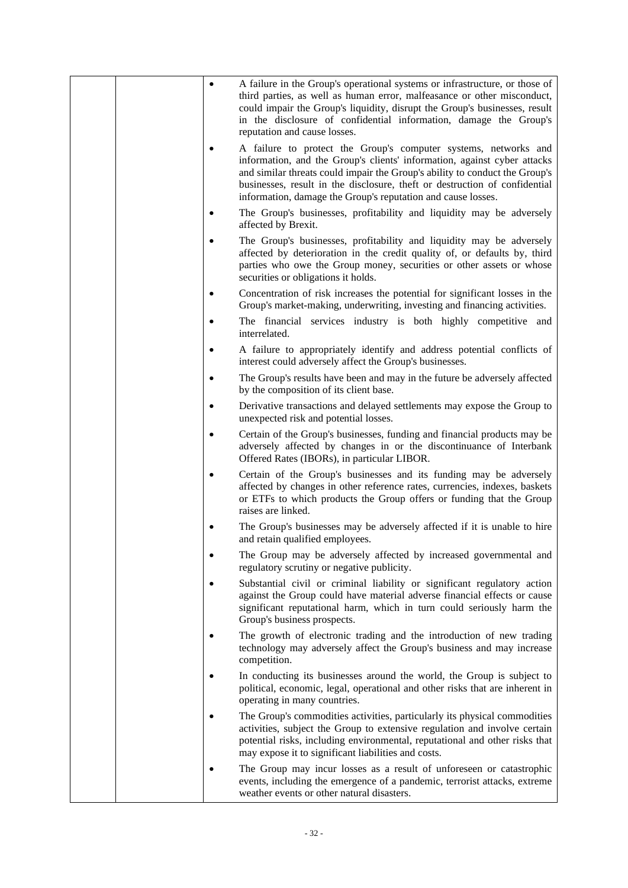|  |           | A failure in the Group's operational systems or infrastructure, or those of<br>third parties, as well as human error, malfeasance or other misconduct,<br>could impair the Group's liquidity, disrupt the Group's businesses, result<br>in the disclosure of confidential information, damage the Group's<br>reputation and cause losses.                                |
|--|-----------|--------------------------------------------------------------------------------------------------------------------------------------------------------------------------------------------------------------------------------------------------------------------------------------------------------------------------------------------------------------------------|
|  |           | A failure to protect the Group's computer systems, networks and<br>information, and the Group's clients' information, against cyber attacks<br>and similar threats could impair the Group's ability to conduct the Group's<br>businesses, result in the disclosure, theft or destruction of confidential<br>information, damage the Group's reputation and cause losses. |
|  | $\bullet$ | The Group's businesses, profitability and liquidity may be adversely<br>affected by Brexit.                                                                                                                                                                                                                                                                              |
|  |           | The Group's businesses, profitability and liquidity may be adversely<br>affected by deterioration in the credit quality of, or defaults by, third<br>parties who owe the Group money, securities or other assets or whose<br>securities or obligations it holds.                                                                                                         |
|  | ٠         | Concentration of risk increases the potential for significant losses in the<br>Group's market-making, underwriting, investing and financing activities.                                                                                                                                                                                                                  |
|  | $\bullet$ | The financial services industry is both highly competitive and<br>interrelated.                                                                                                                                                                                                                                                                                          |
|  | ٠         | A failure to appropriately identify and address potential conflicts of<br>interest could adversely affect the Group's businesses.                                                                                                                                                                                                                                        |
|  |           | The Group's results have been and may in the future be adversely affected<br>by the composition of its client base.                                                                                                                                                                                                                                                      |
|  | ٠         | Derivative transactions and delayed settlements may expose the Group to<br>unexpected risk and potential losses.                                                                                                                                                                                                                                                         |
|  | $\bullet$ | Certain of the Group's businesses, funding and financial products may be<br>adversely affected by changes in or the discontinuance of Interbank<br>Offered Rates (IBORs), in particular LIBOR.                                                                                                                                                                           |
|  | ٠         | Certain of the Group's businesses and its funding may be adversely<br>affected by changes in other reference rates, currencies, indexes, baskets<br>or ETFs to which products the Group offers or funding that the Group<br>raises are linked.                                                                                                                           |
|  |           | The Group's businesses may be adversely affected if it is unable to hire<br>and retain qualified employees.                                                                                                                                                                                                                                                              |
|  |           | The Group may be adversely affected by increased governmental and<br>regulatory scrutiny or negative publicity.                                                                                                                                                                                                                                                          |
|  |           | Substantial civil or criminal liability or significant regulatory action<br>against the Group could have material adverse financial effects or cause<br>significant reputational harm, which in turn could seriously harm the<br>Group's business prospects.                                                                                                             |
|  |           | The growth of electronic trading and the introduction of new trading<br>technology may adversely affect the Group's business and may increase<br>competition.                                                                                                                                                                                                            |
|  |           | In conducting its businesses around the world, the Group is subject to<br>political, economic, legal, operational and other risks that are inherent in<br>operating in many countries.                                                                                                                                                                                   |
|  |           | The Group's commodities activities, particularly its physical commodities<br>activities, subject the Group to extensive regulation and involve certain<br>potential risks, including environmental, reputational and other risks that<br>may expose it to significant liabilities and costs.                                                                             |
|  |           | The Group may incur losses as a result of unforeseen or catastrophic<br>events, including the emergence of a pandemic, terrorist attacks, extreme<br>weather events or other natural disasters.                                                                                                                                                                          |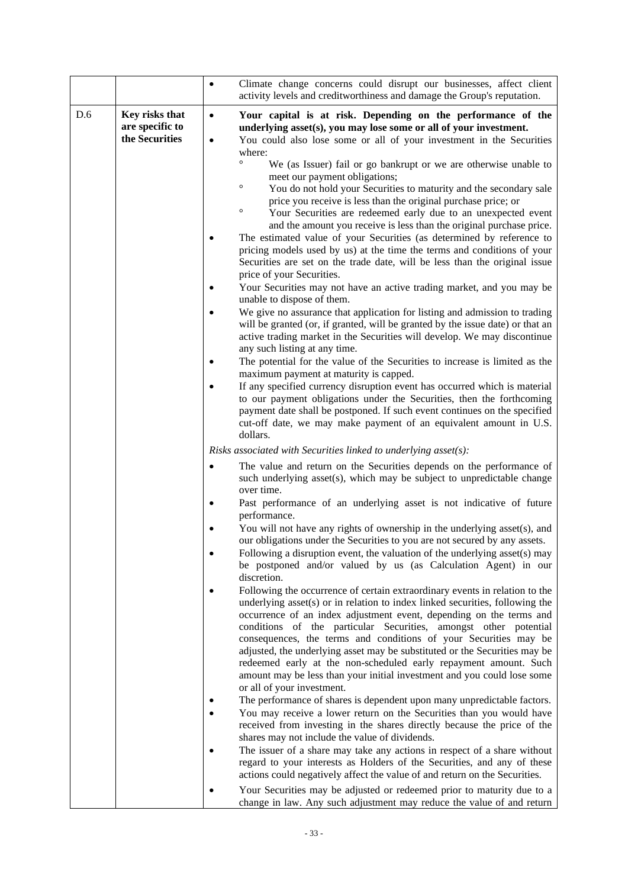|     |                                                     | $\bullet$              | Climate change concerns could disrupt our businesses, affect client<br>activity levels and creditworthiness and damage the Group's reputation.                                                                                                                                                                                                                                                                                                                                                                                                                                                                                                                                     |
|-----|-----------------------------------------------------|------------------------|------------------------------------------------------------------------------------------------------------------------------------------------------------------------------------------------------------------------------------------------------------------------------------------------------------------------------------------------------------------------------------------------------------------------------------------------------------------------------------------------------------------------------------------------------------------------------------------------------------------------------------------------------------------------------------|
| D.6 | Key risks that<br>are specific to<br>the Securities | $\bullet$<br>$\bullet$ | Your capital is at risk. Depending on the performance of the<br>underlying asset(s), you may lose some or all of your investment.<br>You could also lose some or all of your investment in the Securities<br>where:                                                                                                                                                                                                                                                                                                                                                                                                                                                                |
|     |                                                     |                        | $\circ$<br>We (as Issuer) fail or go bankrupt or we are otherwise unable to<br>meet our payment obligations;<br>$\circ$<br>You do not hold your Securities to maturity and the secondary sale<br>price you receive is less than the original purchase price; or<br>$\circ$<br>Your Securities are redeemed early due to an unexpected event<br>and the amount you receive is less than the original purchase price.<br>The estimated value of your Securities (as determined by reference to<br>pricing models used by us) at the time the terms and conditions of your<br>Securities are set on the trade date, will be less than the original issue<br>price of your Securities. |
|     |                                                     |                        | Your Securities may not have an active trading market, and you may be<br>unable to dispose of them.                                                                                                                                                                                                                                                                                                                                                                                                                                                                                                                                                                                |
|     |                                                     |                        | We give no assurance that application for listing and admission to trading<br>will be granted (or, if granted, will be granted by the issue date) or that an<br>active trading market in the Securities will develop. We may discontinue<br>any such listing at any time.                                                                                                                                                                                                                                                                                                                                                                                                          |
|     |                                                     |                        | The potential for the value of the Securities to increase is limited as the<br>maximum payment at maturity is capped.                                                                                                                                                                                                                                                                                                                                                                                                                                                                                                                                                              |
|     |                                                     |                        | If any specified currency disruption event has occurred which is material<br>to our payment obligations under the Securities, then the forthcoming<br>payment date shall be postponed. If such event continues on the specified<br>cut-off date, we may make payment of an equivalent amount in U.S.<br>dollars.                                                                                                                                                                                                                                                                                                                                                                   |
|     |                                                     |                        | Risks associated with Securities linked to underlying asset(s):                                                                                                                                                                                                                                                                                                                                                                                                                                                                                                                                                                                                                    |
|     |                                                     |                        | The value and return on the Securities depends on the performance of<br>such underlying asset(s), which may be subject to unpredictable change<br>over time.<br>Past performance of an underlying asset is not indicative of future<br>performance.<br>You will not have any rights of ownership in the underlying asset(s), and<br>our obligations under the Securities to you are not secured by any assets.<br>Following a disruption event, the valuation of the underlying asset(s) may<br>be postponed and/or valued by us (as Calculation Agent) in our<br>discretion.                                                                                                      |
|     |                                                     |                        | Following the occurrence of certain extraordinary events in relation to the<br>underlying asset(s) or in relation to index linked securities, following the<br>occurrence of an index adjustment event, depending on the terms and<br>conditions of the particular Securities, amongst other potential<br>consequences, the terms and conditions of your Securities may be<br>adjusted, the underlying asset may be substituted or the Securities may be<br>redeemed early at the non-scheduled early repayment amount. Such<br>amount may be less than your initial investment and you could lose some<br>or all of your investment.                                              |
|     |                                                     |                        | The performance of shares is dependent upon many unpredictable factors.<br>You may receive a lower return on the Securities than you would have<br>received from investing in the shares directly because the price of the                                                                                                                                                                                                                                                                                                                                                                                                                                                         |
|     |                                                     |                        | shares may not include the value of dividends.<br>The issuer of a share may take any actions in respect of a share without<br>regard to your interests as Holders of the Securities, and any of these<br>actions could negatively affect the value of and return on the Securities.                                                                                                                                                                                                                                                                                                                                                                                                |
|     |                                                     |                        | Your Securities may be adjusted or redeemed prior to maturity due to a<br>change in law. Any such adjustment may reduce the value of and return                                                                                                                                                                                                                                                                                                                                                                                                                                                                                                                                    |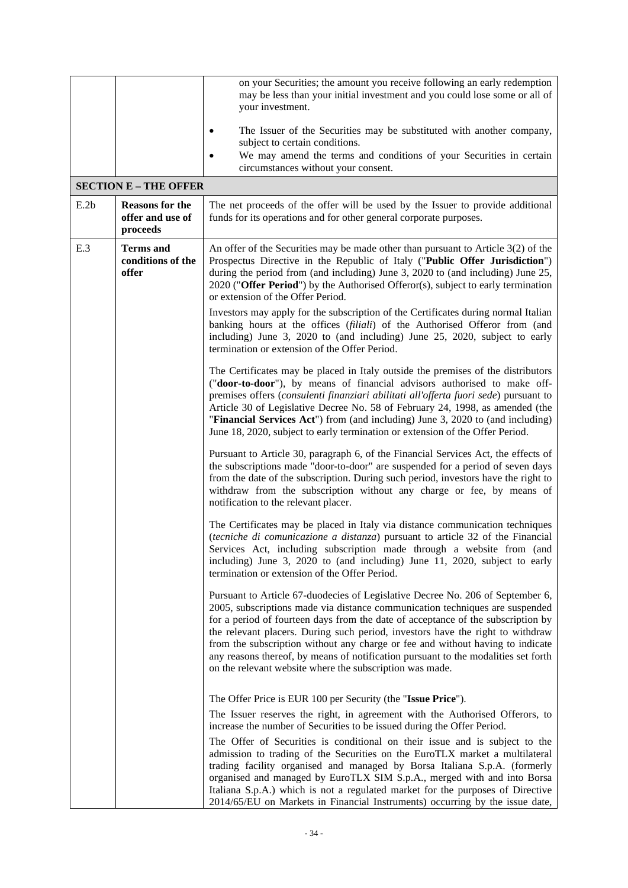|      |                                                        | on your Securities; the amount you receive following an early redemption<br>may be less than your initial investment and you could lose some or all of<br>your investment.                                                                                                                                                                                                                                                                                                                                                                                               |  |  |  |
|------|--------------------------------------------------------|--------------------------------------------------------------------------------------------------------------------------------------------------------------------------------------------------------------------------------------------------------------------------------------------------------------------------------------------------------------------------------------------------------------------------------------------------------------------------------------------------------------------------------------------------------------------------|--|--|--|
|      |                                                        | The Issuer of the Securities may be substituted with another company,<br>subject to certain conditions.<br>We may amend the terms and conditions of your Securities in certain<br>circumstances without your consent.                                                                                                                                                                                                                                                                                                                                                    |  |  |  |
|      | <b>SECTION E - THE OFFER</b>                           |                                                                                                                                                                                                                                                                                                                                                                                                                                                                                                                                                                          |  |  |  |
| E.2b | <b>Reasons for the</b><br>offer and use of<br>proceeds | The net proceeds of the offer will be used by the Issuer to provide additional<br>funds for its operations and for other general corporate purposes.                                                                                                                                                                                                                                                                                                                                                                                                                     |  |  |  |
| E.3  | <b>Terms</b> and<br>conditions of the<br>offer         | An offer of the Securities may be made other than pursuant to Article $3(2)$ of the<br>Prospectus Directive in the Republic of Italy ("Public Offer Jurisdiction")<br>during the period from (and including) June 3, 2020 to (and including) June 25,<br>2020 ("Offer Period") by the Authorised Offeror(s), subject to early termination<br>or extension of the Offer Period.<br>Investors may apply for the subscription of the Certificates during normal Italian                                                                                                     |  |  |  |
|      |                                                        | banking hours at the offices (filiali) of the Authorised Offeror from (and<br>including) June 3, 2020 to (and including) June 25, 2020, subject to early<br>termination or extension of the Offer Period.                                                                                                                                                                                                                                                                                                                                                                |  |  |  |
|      |                                                        | The Certificates may be placed in Italy outside the premises of the distributors<br>("door-to-door"), by means of financial advisors authorised to make off-<br>premises offers (consulenti finanziari abilitati all'offerta fuori sede) pursuant to<br>Article 30 of Legislative Decree No. 58 of February 24, 1998, as amended (the<br>"Financial Services Act") from (and including) June 3, 2020 to (and including)<br>June 18, 2020, subject to early termination or extension of the Offer Period.                                                                 |  |  |  |
|      |                                                        | Pursuant to Article 30, paragraph 6, of the Financial Services Act, the effects of<br>the subscriptions made "door-to-door" are suspended for a period of seven days<br>from the date of the subscription. During such period, investors have the right to<br>withdraw from the subscription without any charge or fee, by means of<br>notification to the relevant placer.                                                                                                                                                                                              |  |  |  |
|      |                                                        | The Certificates may be placed in Italy via distance communication techniques<br>(tecniche di comunicazione a distanza) pursuant to article 32 of the Financial<br>Services Act, including subscription made through a website from (and<br>including) June 3, 2020 to (and including) June 11, 2020, subject to early<br>termination or extension of the Offer Period.                                                                                                                                                                                                  |  |  |  |
|      |                                                        | Pursuant to Article 67-duodecies of Legislative Decree No. 206 of September 6,<br>2005, subscriptions made via distance communication techniques are suspended<br>for a period of fourteen days from the date of acceptance of the subscription by<br>the relevant placers. During such period, investors have the right to withdraw<br>from the subscription without any charge or fee and without having to indicate<br>any reasons thereof, by means of notification pursuant to the modalities set forth<br>on the relevant website where the subscription was made. |  |  |  |
|      |                                                        | The Offer Price is EUR 100 per Security (the "Issue Price").                                                                                                                                                                                                                                                                                                                                                                                                                                                                                                             |  |  |  |
|      |                                                        | The Issuer reserves the right, in agreement with the Authorised Offerors, to<br>increase the number of Securities to be issued during the Offer Period.                                                                                                                                                                                                                                                                                                                                                                                                                  |  |  |  |
|      |                                                        | The Offer of Securities is conditional on their issue and is subject to the<br>admission to trading of the Securities on the EuroTLX market a multilateral<br>trading facility organised and managed by Borsa Italiana S.p.A. (formerly<br>organised and managed by EuroTLX SIM S.p.A., merged with and into Borsa<br>Italiana S.p.A.) which is not a regulated market for the purposes of Directive<br>2014/65/EU on Markets in Financial Instruments) occurring by the issue date,                                                                                     |  |  |  |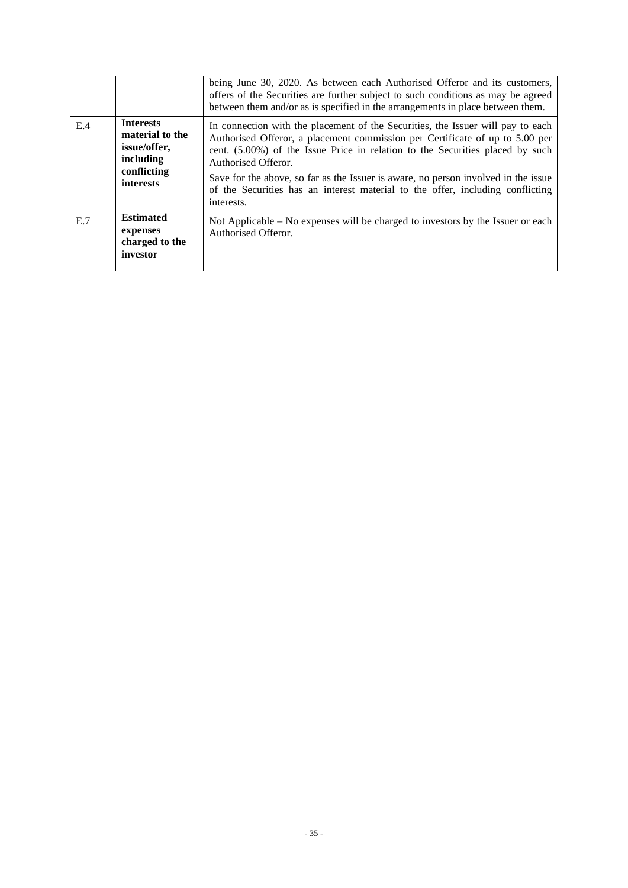|     |                                                                                              | being June 30, 2020. As between each Authorised Offeror and its customers,<br>offers of the Securities are further subject to such conditions as may be agreed<br>between them and/or as is specified in the arrangements in place between them.                                                                                                                                                                                                              |
|-----|----------------------------------------------------------------------------------------------|---------------------------------------------------------------------------------------------------------------------------------------------------------------------------------------------------------------------------------------------------------------------------------------------------------------------------------------------------------------------------------------------------------------------------------------------------------------|
| E.4 | <b>Interests</b><br>material to the<br>issue/offer,<br>including<br>conflicting<br>interests | In connection with the placement of the Securities, the Issuer will pay to each<br>Authorised Offeror, a placement commission per Certificate of up to 5.00 per<br>cent. (5.00%) of the Issue Price in relation to the Securities placed by such<br>Authorised Offeror.<br>Save for the above, so far as the Issuer is aware, no person involved in the issue<br>of the Securities has an interest material to the offer, including conflicting<br>interests. |
| E.7 | <b>Estimated</b><br>expenses<br>charged to the<br>investor                                   | Not Applicable – No expenses will be charged to investors by the Issuer or each<br>Authorised Offeror.                                                                                                                                                                                                                                                                                                                                                        |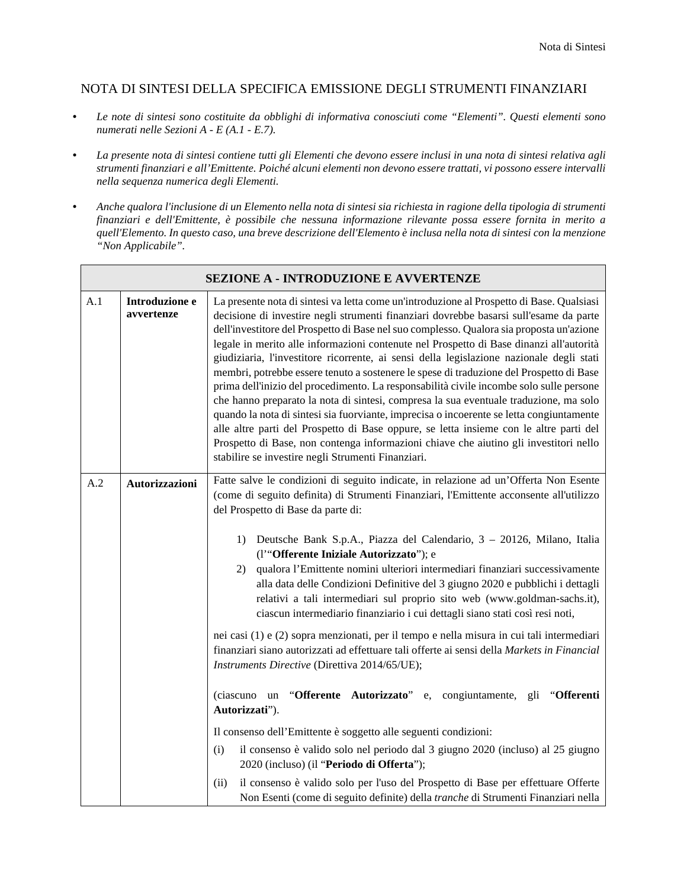# NOTA DI SINTESI DELLA SPECIFICA EMISSIONE DEGLI STRUMENTI FINANZIARI

- *Le note di sintesi sono costituite da obblighi di informativa conosciuti come "Elementi". Questi elementi sono numerati nelle Sezioni A - E (A.1 - E.7).*
- *La presente nota di sintesi contiene tutti gli Elementi che devono essere inclusi in una nota di sintesi relativa agli strumenti finanziari e all'Emittente. Poiché alcuni elementi non devono essere trattati, vi possono essere intervalli nella sequenza numerica degli Elementi.*
- *Anche qualora l'inclusione di un Elemento nella nota di sintesi sia richiesta in ragione della tipologia di strumenti finanziari e dell'Emittente, è possibile che nessuna informazione rilevante possa essere fornita in merito a quell'Elemento. In questo caso, una breve descrizione dell'Elemento è inclusa nella nota di sintesi con la menzione "Non Applicabile".*

|     |                              | <b>SEZIONE A - INTRODUZIONE E AVVERTENZE</b>                                                                                                                                                                                                                                                                                                                                                                                                                                                                                                                                                                                                                                                                                                                                                                                                                                                                                                                                                                                                                                                                                                                                                                                                                                                                                                                                                                          |
|-----|------------------------------|-----------------------------------------------------------------------------------------------------------------------------------------------------------------------------------------------------------------------------------------------------------------------------------------------------------------------------------------------------------------------------------------------------------------------------------------------------------------------------------------------------------------------------------------------------------------------------------------------------------------------------------------------------------------------------------------------------------------------------------------------------------------------------------------------------------------------------------------------------------------------------------------------------------------------------------------------------------------------------------------------------------------------------------------------------------------------------------------------------------------------------------------------------------------------------------------------------------------------------------------------------------------------------------------------------------------------------------------------------------------------------------------------------------------------|
| A.1 | Introduzione e<br>avvertenze | La presente nota di sintesi va letta come un'introduzione al Prospetto di Base. Qualsiasi<br>decisione di investire negli strumenti finanziari dovrebbe basarsi sull'esame da parte<br>dell'investitore del Prospetto di Base nel suo complesso. Qualora sia proposta un'azione<br>legale in merito alle informazioni contenute nel Prospetto di Base dinanzi all'autorità<br>giudiziaria, l'investitore ricorrente, ai sensi della legislazione nazionale degli stati<br>membri, potrebbe essere tenuto a sostenere le spese di traduzione del Prospetto di Base<br>prima dell'inizio del procedimento. La responsabilità civile incombe solo sulle persone<br>che hanno preparato la nota di sintesi, compresa la sua eventuale traduzione, ma solo<br>quando la nota di sintesi sia fuorviante, imprecisa o incoerente se letta congiuntamente<br>alle altre parti del Prospetto di Base oppure, se letta insieme con le altre parti del<br>Prospetto di Base, non contenga informazioni chiave che aiutino gli investitori nello<br>stabilire se investire negli Strumenti Finanziari.                                                                                                                                                                                                                                                                                                                            |
| A.2 | Autorizzazioni               | Fatte salve le condizioni di seguito indicate, in relazione ad un'Offerta Non Esente<br>(come di seguito definita) di Strumenti Finanziari, l'Emittente acconsente all'utilizzo<br>del Prospetto di Base da parte di:<br>1) Deutsche Bank S.p.A., Piazza del Calendario, 3 - 20126, Milano, Italia<br>(l'"Offerente Iniziale Autorizzato"); e<br>qualora l'Emittente nomini ulteriori intermediari finanziari successivamente<br>2)<br>alla data delle Condizioni Definitive del 3 giugno 2020 e pubblichi i dettagli<br>relativi a tali intermediari sul proprio sito web (www.goldman-sachs.it),<br>ciascun intermediario finanziario i cui dettagli siano stati così resi noti,<br>nei casi (1) e (2) sopra menzionati, per il tempo e nella misura in cui tali intermediari<br>finanziari siano autorizzati ad effettuare tali offerte ai sensi della Markets in Financial<br>Instruments Directive (Direttiva 2014/65/UE);<br>(ciascuno un "Offerente Autorizzato" e, congiuntamente, gli "Offerenti<br>Autorizzati").<br>Il consenso dell'Emittente è soggetto alle seguenti condizioni:<br>il consenso è valido solo nel periodo dal 3 giugno 2020 (incluso) al 25 giugno<br>(i)<br>2020 (incluso) (il "Periodo di Offerta");<br>il consenso è valido solo per l'uso del Prospetto di Base per effettuare Offerte<br>(ii)<br>Non Esenti (come di seguito definite) della tranche di Strumenti Finanziari nella |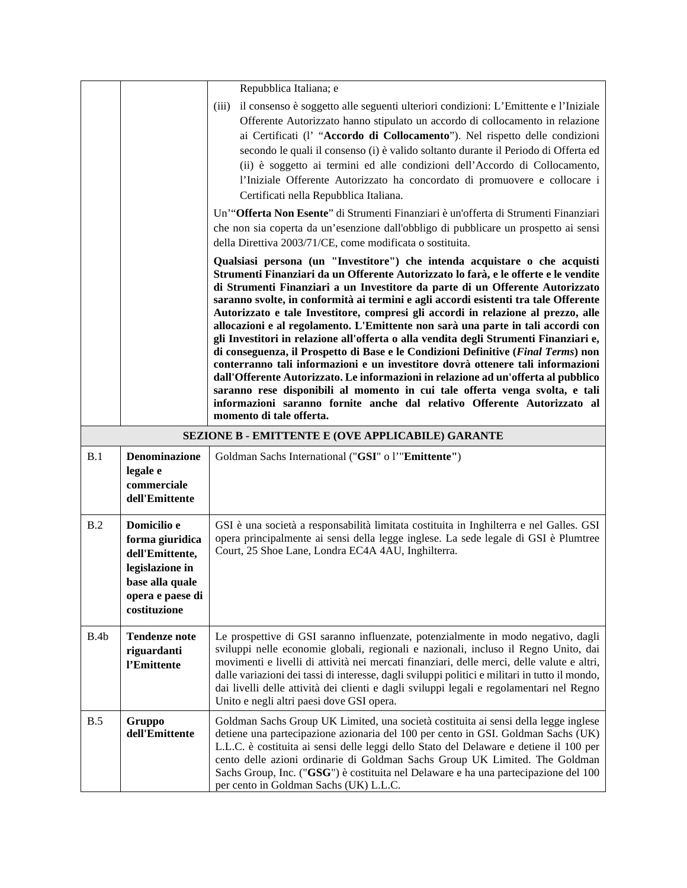|      |                                                                                                                             | Repubblica Italiana; e                                                                                                                                                                                                                                                                                                                                                                                                                                                                                                                                                                                                                                                                                                                                                                                                                                                                                                                                                                                                                                             |
|------|-----------------------------------------------------------------------------------------------------------------------------|--------------------------------------------------------------------------------------------------------------------------------------------------------------------------------------------------------------------------------------------------------------------------------------------------------------------------------------------------------------------------------------------------------------------------------------------------------------------------------------------------------------------------------------------------------------------------------------------------------------------------------------------------------------------------------------------------------------------------------------------------------------------------------------------------------------------------------------------------------------------------------------------------------------------------------------------------------------------------------------------------------------------------------------------------------------------|
|      |                                                                                                                             | il consenso è soggetto alle seguenti ulteriori condizioni: L'Emittente e l'Iniziale<br>(iii)<br>Offerente Autorizzato hanno stipulato un accordo di collocamento in relazione<br>ai Certificati (l' "Accordo di Collocamento"). Nel rispetto delle condizioni<br>secondo le quali il consenso (i) è valido soltanto durante il Periodo di Offerta ed<br>(ii) è soggetto ai termini ed alle condizioni dell'Accordo di Collocamento,<br>l'Iniziale Offerente Autorizzato ha concordato di promuovere e collocare i<br>Certificati nella Repubblica Italiana.                                                                                                                                                                                                                                                                                                                                                                                                                                                                                                        |
|      |                                                                                                                             | Un'"Offerta Non Esente" di Strumenti Finanziari è un'offerta di Strumenti Finanziari<br>che non sia coperta da un'esenzione dall'obbligo di pubblicare un prospetto ai sensi<br>della Direttiva 2003/71/CE, come modificata o sostituita.                                                                                                                                                                                                                                                                                                                                                                                                                                                                                                                                                                                                                                                                                                                                                                                                                          |
|      |                                                                                                                             | Qualsiasi persona (un "Investitore") che intenda acquistare o che acquisti<br>Strumenti Finanziari da un Offerente Autorizzato lo farà, e le offerte e le vendite<br>di Strumenti Finanziari a un Investitore da parte di un Offerente Autorizzato<br>saranno svolte, in conformità ai termini e agli accordi esistenti tra tale Offerente<br>Autorizzato e tale Investitore, compresi gli accordi in relazione al prezzo, alle<br>allocazioni e al regolamento. L'Emittente non sarà una parte in tali accordi con<br>gli Investitori in relazione all'offerta o alla vendita degli Strumenti Finanziari e,<br>di conseguenza, il Prospetto di Base e le Condizioni Definitive (Final Terms) non<br>conterranno tali informazioni e un investitore dovrà ottenere tali informazioni<br>dall'Offerente Autorizzato. Le informazioni in relazione ad un'offerta al pubblico<br>saranno rese disponibili al momento in cui tale offerta venga svolta, e tali<br>informazioni saranno fornite anche dal relativo Offerente Autorizzato al<br>momento di tale offerta. |
|      |                                                                                                                             | SEZIONE B - EMITTENTE E (OVE APPLICABILE) GARANTE                                                                                                                                                                                                                                                                                                                                                                                                                                                                                                                                                                                                                                                                                                                                                                                                                                                                                                                                                                                                                  |
| B.1  | <b>Denominazione</b><br>legale e<br>commerciale<br>dell'Emittente                                                           | Goldman Sachs International ("GSI" o l'"Emittente")                                                                                                                                                                                                                                                                                                                                                                                                                                                                                                                                                                                                                                                                                                                                                                                                                                                                                                                                                                                                                |
| B.2  | Domicilio e<br>forma giuridica<br>dell'Emittente,<br>legislazione in<br>base alla quale<br>opera e paese di<br>costituzione | GSI è una società a responsabilità limitata costituita in Inghilterra e nel Galles. GSI<br>opera principalmente ai sensi della legge inglese. La sede legale di GSI è Plumtree<br>Court, 25 Shoe Lane, Londra EC4A 4AU, Inghilterra.                                                                                                                                                                                                                                                                                                                                                                                                                                                                                                                                                                                                                                                                                                                                                                                                                               |
| B.4b | <b>Tendenze note</b><br>riguardanti<br>l'Emittente                                                                          | Le prospettive di GSI saranno influenzate, potenzialmente in modo negativo, dagli<br>sviluppi nelle economie globali, regionali e nazionali, incluso il Regno Unito, dai<br>movimenti e livelli di attività nei mercati finanziari, delle merci, delle valute e altri,<br>dalle variazioni dei tassi di interesse, dagli sviluppi politici e militari in tutto il mondo,<br>dai livelli delle attività dei clienti e dagli sviluppi legali e regolamentari nel Regno<br>Unito e negli altri paesi dove GSI opera.                                                                                                                                                                                                                                                                                                                                                                                                                                                                                                                                                  |
| B.5  | <b>Gruppo</b><br>dell'Emittente                                                                                             | Goldman Sachs Group UK Limited, una società costituita ai sensi della legge inglese<br>detiene una partecipazione azionaria del 100 per cento in GSI. Goldman Sachs (UK)<br>L.L.C. è costituita ai sensi delle leggi dello Stato del Delaware e detiene il 100 per<br>cento delle azioni ordinarie di Goldman Sachs Group UK Limited. The Goldman<br>Sachs Group, Inc. ("GSG") è costituita nel Delaware e ha una partecipazione del 100<br>per cento in Goldman Sachs (UK) L.L.C.                                                                                                                                                                                                                                                                                                                                                                                                                                                                                                                                                                                 |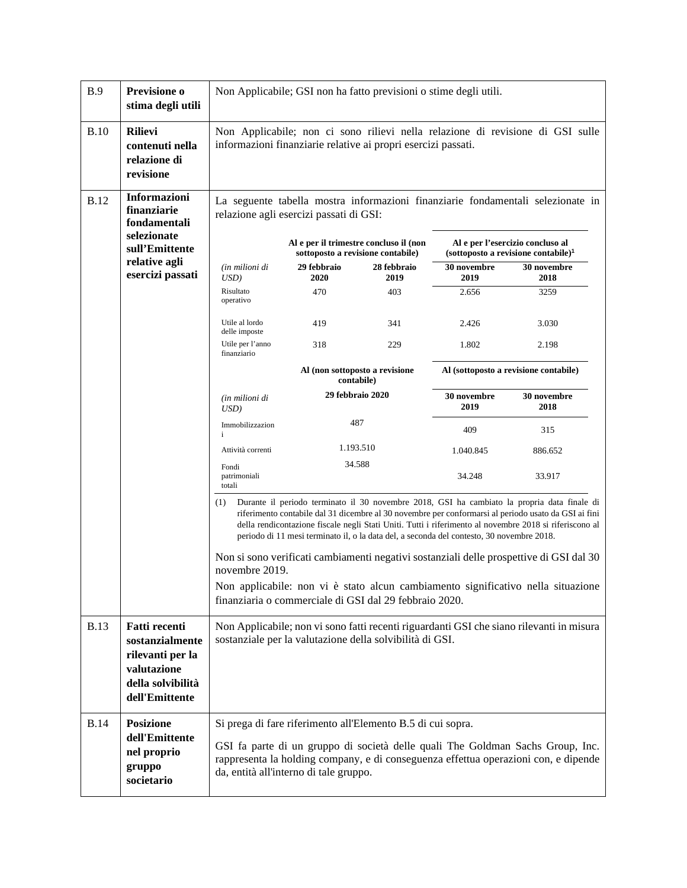| <b>B.9</b>  | Previsione o<br>stima degli utili                                                                                 |                                                                                                                                                                                                                                                                                                                                                                                                                    | Non Applicabile; GSI non ha fatto previsioni o stime degli utili.           |                     |                                                                                     |                                                                                         |  |
|-------------|-------------------------------------------------------------------------------------------------------------------|--------------------------------------------------------------------------------------------------------------------------------------------------------------------------------------------------------------------------------------------------------------------------------------------------------------------------------------------------------------------------------------------------------------------|-----------------------------------------------------------------------------|---------------------|-------------------------------------------------------------------------------------|-----------------------------------------------------------------------------------------|--|
| <b>B.10</b> | <b>Rilievi</b><br>contenuti nella<br>relazione di<br>revisione                                                    | Non Applicabile; non ci sono rilievi nella relazione di revisione di GSI sulle<br>informazioni finanziarie relative ai propri esercizi passati.                                                                                                                                                                                                                                                                    |                                                                             |                     |                                                                                     |                                                                                         |  |
| <b>B.12</b> | Informazioni<br>finanziarie<br>fondamentali<br>selezionate                                                        |                                                                                                                                                                                                                                                                                                                                                                                                                    | relazione agli esercizi passati di GSI:                                     |                     |                                                                                     | La seguente tabella mostra informazioni finanziarie fondamentali selezionate in         |  |
|             | sull'Emittente                                                                                                    |                                                                                                                                                                                                                                                                                                                                                                                                                    | Al e per il trimestre concluso il (non<br>sottoposto a revisione contabile) |                     | Al e per l'esercizio concluso al<br>(sottoposto a revisione contabile) <sup>1</sup> |                                                                                         |  |
|             | relative agli<br>esercizi passati                                                                                 | (in milioni di<br>$\mathit{USD}$                                                                                                                                                                                                                                                                                                                                                                                   | 29 febbraio<br>2020                                                         | 28 febbraio<br>2019 | 30 novembre<br>2019                                                                 | 30 novembre<br>2018                                                                     |  |
|             |                                                                                                                   | Risultato<br>operativo                                                                                                                                                                                                                                                                                                                                                                                             | 470                                                                         | 403                 | 2.656                                                                               | 3259                                                                                    |  |
|             |                                                                                                                   | Utile al lordo<br>delle imposte                                                                                                                                                                                                                                                                                                                                                                                    | 419                                                                         | 341                 | 2.426                                                                               | 3.030                                                                                   |  |
|             |                                                                                                                   | Utile per l'anno<br>finanziario                                                                                                                                                                                                                                                                                                                                                                                    | 318                                                                         | 229                 | 1.802                                                                               | 2.198                                                                                   |  |
|             |                                                                                                                   |                                                                                                                                                                                                                                                                                                                                                                                                                    | Al (non sottoposto a revisione<br>contabile)                                |                     |                                                                                     | Al (sottoposto a revisione contabile)                                                   |  |
|             |                                                                                                                   | (in milioni di<br>$\mathit{USD}$                                                                                                                                                                                                                                                                                                                                                                                   | 29 febbraio 2020                                                            |                     | 30 novembre<br>2019                                                                 | 30 novembre<br>2018                                                                     |  |
|             |                                                                                                                   | Immobilizzazion<br>i                                                                                                                                                                                                                                                                                                                                                                                               | 487                                                                         |                     | 409                                                                                 | 315                                                                                     |  |
|             |                                                                                                                   | Attività correnti                                                                                                                                                                                                                                                                                                                                                                                                  | 1.193.510                                                                   |                     | 1.040.845                                                                           | 886.652                                                                                 |  |
|             |                                                                                                                   | Fondi<br>patrimoniali<br>totali                                                                                                                                                                                                                                                                                                                                                                                    | 34.588                                                                      |                     | 34.248                                                                              | 33.917                                                                                  |  |
|             |                                                                                                                   | Durante il periodo terminato il 30 novembre 2018, GSI ha cambiato la propria data finale di<br>(1)<br>riferimento contabile dal 31 dicembre al 30 novembre per conformarsi al periodo usato da GSI ai fini<br>della rendicontazione fiscale negli Stati Uniti. Tutti i riferimento al novembre 2018 si riferiscono al<br>periodo di 11 mesi terminato il, o la data del, a seconda del contesto, 30 novembre 2018. |                                                                             |                     |                                                                                     |                                                                                         |  |
|             |                                                                                                                   | novembre 2019.                                                                                                                                                                                                                                                                                                                                                                                                     |                                                                             |                     |                                                                                     | Non si sono verificati cambiamenti negativi sostanziali delle prospettive di GSI dal 30 |  |
|             |                                                                                                                   | Non applicabile: non vi è stato alcun cambiamento significativo nella situazione<br>finanziaria o commerciale di GSI dal 29 febbraio 2020.                                                                                                                                                                                                                                                                         |                                                                             |                     |                                                                                     |                                                                                         |  |
| <b>B.13</b> | <b>Fatti recenti</b><br>sostanzialmente<br>rilevanti per la<br>valutazione<br>della solvibilità<br>dell'Emittente | Non Applicabile; non vi sono fatti recenti riguardanti GSI che siano rilevanti in misura<br>sostanziale per la valutazione della solvibilità di GSI.                                                                                                                                                                                                                                                               |                                                                             |                     |                                                                                     |                                                                                         |  |
| <b>B.14</b> | <b>Posizione</b><br>dell'Emittente<br>nel proprio<br>gruppo<br>societario                                         | Si prega di fare riferimento all'Elemento B.5 di cui sopra.<br>GSI fa parte di un gruppo di società delle quali The Goldman Sachs Group, Inc.<br>rappresenta la holding company, e di conseguenza effettua operazioni con, e dipende<br>da, entità all'interno di tale gruppo.                                                                                                                                     |                                                                             |                     |                                                                                     |                                                                                         |  |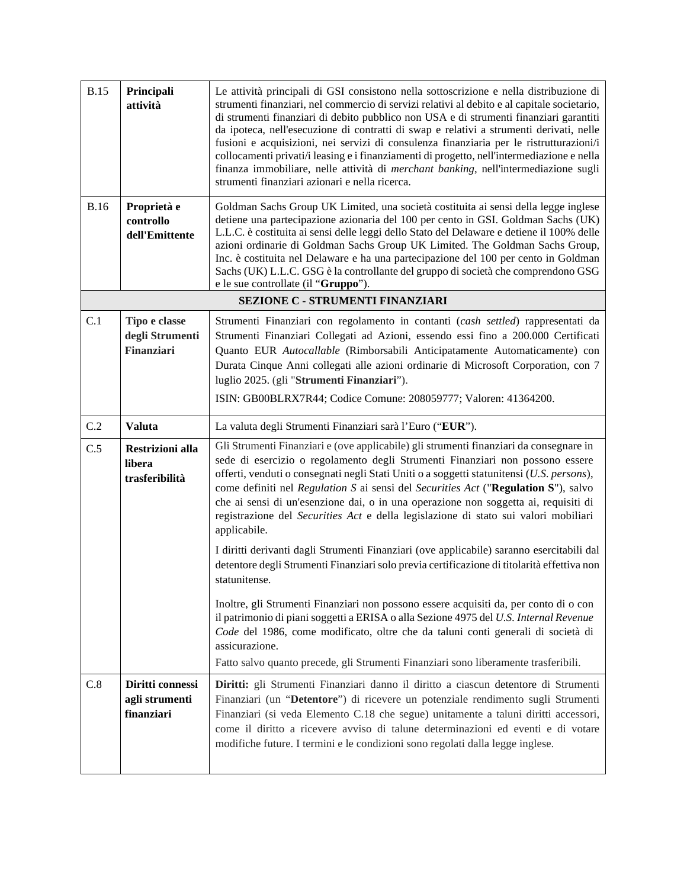| <b>B.15</b> | Principali<br>attività                              | Le attività principali di GSI consistono nella sottoscrizione e nella distribuzione di<br>strumenti finanziari, nel commercio di servizi relativi al debito e al capitale societario,<br>di strumenti finanziari di debito pubblico non USA e di strumenti finanziari garantiti<br>da ipoteca, nell'esecuzione di contratti di swap e relativi a strumenti derivati, nelle<br>fusioni e acquisizioni, nei servizi di consulenza finanziaria per le ristrutturazioni/i<br>collocamenti privati/i leasing e i finanziamenti di progetto, nell'intermediazione e nella<br>finanza immobiliare, nelle attività di merchant banking, nell'intermediazione sugli<br>strumenti finanziari azionari e nella ricerca.                                                                                                                                                                                                                                                                                                                                                                                                                                         |
|-------------|-----------------------------------------------------|------------------------------------------------------------------------------------------------------------------------------------------------------------------------------------------------------------------------------------------------------------------------------------------------------------------------------------------------------------------------------------------------------------------------------------------------------------------------------------------------------------------------------------------------------------------------------------------------------------------------------------------------------------------------------------------------------------------------------------------------------------------------------------------------------------------------------------------------------------------------------------------------------------------------------------------------------------------------------------------------------------------------------------------------------------------------------------------------------------------------------------------------------|
| <b>B.16</b> | Proprietà e<br>controllo<br>dell'Emittente          | Goldman Sachs Group UK Limited, una società costituita ai sensi della legge inglese<br>detiene una partecipazione azionaria del 100 per cento in GSI. Goldman Sachs (UK)<br>L.L.C. è costituita ai sensi delle leggi dello Stato del Delaware e detiene il 100% delle<br>azioni ordinarie di Goldman Sachs Group UK Limited. The Goldman Sachs Group,<br>Inc. è costituita nel Delaware e ha una partecipazione del 100 per cento in Goldman<br>Sachs (UK) L.L.C. GSG è la controllante del gruppo di società che comprendono GSG<br>e le sue controllate (il "Gruppo").                                                                                                                                                                                                                                                                                                                                                                                                                                                                                                                                                                             |
|             |                                                     | <b>SEZIONE C - STRUMENTI FINANZIARI</b>                                                                                                                                                                                                                                                                                                                                                                                                                                                                                                                                                                                                                                                                                                                                                                                                                                                                                                                                                                                                                                                                                                              |
| C.1         | Tipo e classe<br>degli Strumenti<br>Finanziari      | Strumenti Finanziari con regolamento in contanti (cash settled) rappresentati da<br>Strumenti Finanziari Collegati ad Azioni, essendo essi fino a 200.000 Certificati<br>Quanto EUR Autocallable (Rimborsabili Anticipatamente Automaticamente) con<br>Durata Cinque Anni collegati alle azioni ordinarie di Microsoft Corporation, con 7<br>luglio 2025. (gli "Strumenti Finanziari").<br>ISIN: GB00BLRX7R44; Codice Comune: 208059777; Valoren: 41364200.                                                                                                                                                                                                                                                                                                                                                                                                                                                                                                                                                                                                                                                                                          |
| C.2         | <b>Valuta</b>                                       | La valuta degli Strumenti Finanziari sarà l'Euro ("EUR").                                                                                                                                                                                                                                                                                                                                                                                                                                                                                                                                                                                                                                                                                                                                                                                                                                                                                                                                                                                                                                                                                            |
| C.5         | <b>Restrizioni alla</b><br>libera<br>trasferibilità | Gli Strumenti Finanziari e (ove applicabile) gli strumenti finanziari da consegnare in<br>sede di esercizio o regolamento degli Strumenti Finanziari non possono essere<br>offerti, venduti o consegnati negli Stati Uniti o a soggetti statunitensi (U.S. persons),<br>come definiti nel Regulation S ai sensi del Securities Act ("Regulation S"), salvo<br>che ai sensi di un'esenzione dai, o in una operazione non soggetta ai, requisiti di<br>registrazione del Securities Act e della legislazione di stato sui valori mobiliari<br>applicabile.<br>I diritti derivanti dagli Strumenti Finanziari (ove applicabile) saranno esercitabili dal<br>detentore degli Strumenti Finanziari solo previa certificazione di titolarità effettiva non<br>statunitense.<br>Inoltre, gli Strumenti Finanziari non possono essere acquisiti da, per conto di o con<br>il patrimonio di piani soggetti a ERISA o alla Sezione 4975 del U.S. Internal Revenue<br>Code del 1986, come modificato, oltre che da taluni conti generali di società di<br>assicurazione.<br>Fatto salvo quanto precede, gli Strumenti Finanziari sono liberamente trasferibili. |
| C.8         | Diritti connessi<br>agli strumenti<br>finanziari    | Diritti: gli Strumenti Finanziari danno il diritto a ciascun detentore di Strumenti<br>Finanziari (un "Detentore") di ricevere un potenziale rendimento sugli Strumenti<br>Finanziari (si veda Elemento C.18 che segue) unitamente a taluni diritti accessori,<br>come il diritto a ricevere avviso di talune determinazioni ed eventi e di votare<br>modifiche future. I termini e le condizioni sono regolati dalla legge inglese.                                                                                                                                                                                                                                                                                                                                                                                                                                                                                                                                                                                                                                                                                                                 |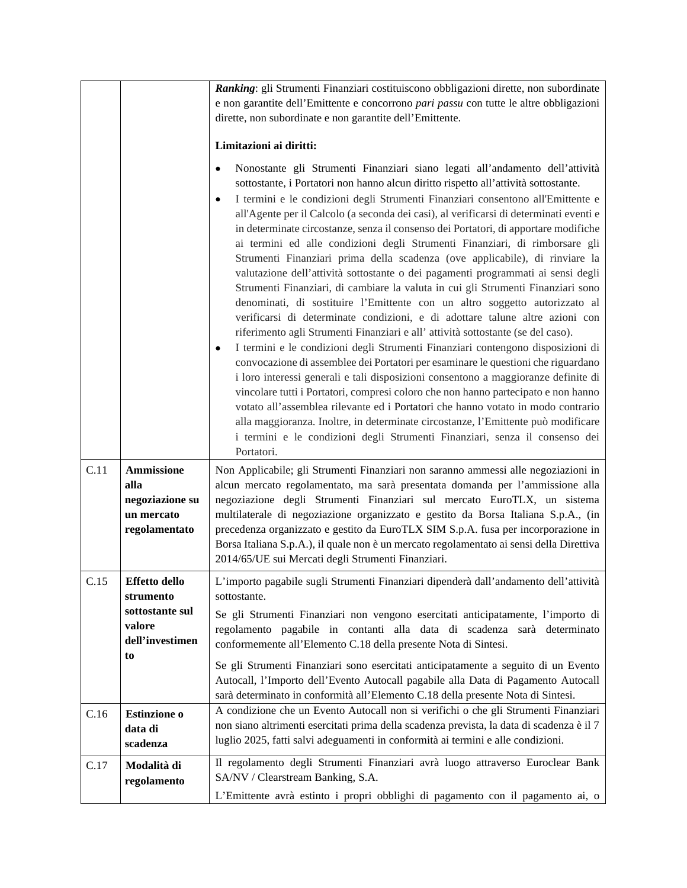|      |                                                                                         | Ranking: gli Strumenti Finanziari costituiscono obbligazioni dirette, non subordinate<br>e non garantite dell'Emittente e concorrono pari passu con tutte le altre obbligazioni<br>dirette, non subordinate e non garantite dell'Emittente.<br>Limitazioni ai diritti:                                                                                                                                                                                                                                                                                                                                                                                                                                                                                                                                                                                                                                                                                                                                                                                                                                                                                                                                                                                                                                                                                                                                                                                                                                                                                                                                                                                                                   |
|------|-----------------------------------------------------------------------------------------|------------------------------------------------------------------------------------------------------------------------------------------------------------------------------------------------------------------------------------------------------------------------------------------------------------------------------------------------------------------------------------------------------------------------------------------------------------------------------------------------------------------------------------------------------------------------------------------------------------------------------------------------------------------------------------------------------------------------------------------------------------------------------------------------------------------------------------------------------------------------------------------------------------------------------------------------------------------------------------------------------------------------------------------------------------------------------------------------------------------------------------------------------------------------------------------------------------------------------------------------------------------------------------------------------------------------------------------------------------------------------------------------------------------------------------------------------------------------------------------------------------------------------------------------------------------------------------------------------------------------------------------------------------------------------------------|
|      |                                                                                         | Nonostante gli Strumenti Finanziari siano legati all'andamento dell'attività<br>$\bullet$<br>sottostante, i Portatori non hanno alcun diritto rispetto all'attività sottostante.<br>I termini e le condizioni degli Strumenti Finanziari consentono all'Emittente e<br>$\bullet$<br>all'Agente per il Calcolo (a seconda dei casi), al verificarsi di determinati eventi e<br>in determinate circostanze, senza il consenso dei Portatori, di apportare modifiche<br>ai termini ed alle condizioni degli Strumenti Finanziari, di rimborsare gli<br>Strumenti Finanziari prima della scadenza (ove applicabile), di rinviare la<br>valutazione dell'attività sottostante o dei pagamenti programmati ai sensi degli<br>Strumenti Finanziari, di cambiare la valuta in cui gli Strumenti Finanziari sono<br>denominati, di sostituire l'Emittente con un altro soggetto autorizzato al<br>verificarsi di determinate condizioni, e di adottare talune altre azioni con<br>riferimento agli Strumenti Finanziari e all' attività sottostante (se del caso).<br>I termini e le condizioni degli Strumenti Finanziari contengono disposizioni di<br>٠<br>convocazione di assemblee dei Portatori per esaminare le questioni che riguardano<br>i loro interessi generali e tali disposizioni consentono a maggioranze definite di<br>vincolare tutti i Portatori, compresi coloro che non hanno partecipato e non hanno<br>votato all'assemblea rilevante ed i Portatori che hanno votato in modo contrario<br>alla maggioranza. Inoltre, in determinate circostanze, l'Emittente può modificare<br>i termini e le condizioni degli Strumenti Finanziari, senza il consenso dei<br>Portatori. |
| C.11 | Ammissione<br>alla<br>negoziazione su<br>un mercato<br>regolamentato                    | Non Applicabile; gli Strumenti Finanziari non saranno ammessi alle negoziazioni in<br>alcun mercato regolamentato, ma sarà presentata domanda per l'ammissione alla<br>negoziazione degli Strumenti Finanziari sul mercato EuroTLX, un sistema<br>multilaterale di negoziazione organizzato e gestito da Borsa Italiana S.p.A., (in<br>precedenza organizzato e gestito da EuroTLX SIM S.p.A. fusa per incorporazione in<br>Borsa Italiana S.p.A.), il quale non è un mercato regolamentato ai sensi della Direttiva<br>2014/65/UE sui Mercati degli Strumenti Finanziari.                                                                                                                                                                                                                                                                                                                                                                                                                                                                                                                                                                                                                                                                                                                                                                                                                                                                                                                                                                                                                                                                                                               |
| C.15 | <b>Effetto dello</b><br>strumento<br>sottostante sul<br>valore<br>dell'investimen<br>to | L'importo pagabile sugli Strumenti Finanziari dipenderà dall'andamento dell'attività<br>sottostante.<br>Se gli Strumenti Finanziari non vengono esercitati anticipatamente, l'importo di<br>regolamento pagabile in contanti alla data di scadenza sarà determinato<br>conformemente all'Elemento C.18 della presente Nota di Sintesi.<br>Se gli Strumenti Finanziari sono esercitati anticipatamente a seguito di un Evento<br>Autocall, l'Importo dell'Evento Autocall pagabile alla Data di Pagamento Autocall<br>sarà determinato in conformità all'Elemento C.18 della presente Nota di Sintesi.                                                                                                                                                                                                                                                                                                                                                                                                                                                                                                                                                                                                                                                                                                                                                                                                                                                                                                                                                                                                                                                                                    |
| C.16 | <b>Estinzione</b> o<br>data di<br>scadenza                                              | A condizione che un Evento Autocall non si verifichi o che gli Strumenti Finanziari<br>non siano altrimenti esercitati prima della scadenza prevista, la data di scadenza è il 7<br>luglio 2025, fatti salvi adeguamenti in conformità ai termini e alle condizioni.                                                                                                                                                                                                                                                                                                                                                                                                                                                                                                                                                                                                                                                                                                                                                                                                                                                                                                                                                                                                                                                                                                                                                                                                                                                                                                                                                                                                                     |
| C.17 | Modalità di<br>regolamento                                                              | Il regolamento degli Strumenti Finanziari avrà luogo attraverso Euroclear Bank<br>SA/NV / Clearstream Banking, S.A.<br>L'Emittente avrà estinto i propri obblighi di pagamento con il pagamento ai, o                                                                                                                                                                                                                                                                                                                                                                                                                                                                                                                                                                                                                                                                                                                                                                                                                                                                                                                                                                                                                                                                                                                                                                                                                                                                                                                                                                                                                                                                                    |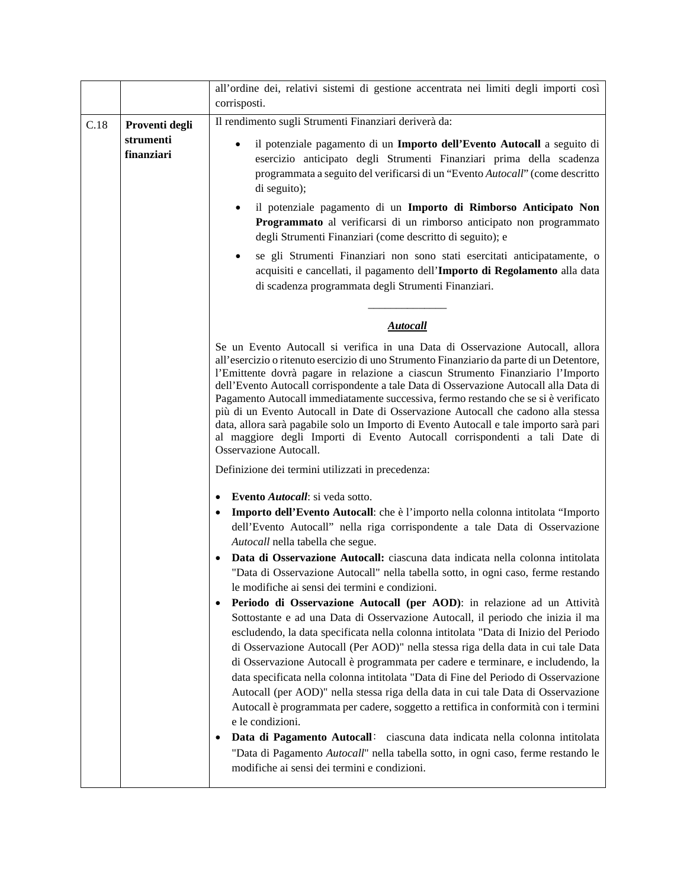|      |                         | all'ordine dei, relativi sistemi di gestione accentrata nei limiti degli importi così                                                                                                                                                                                                                                                                                                                                                                                                                                                                                                                                                                                                                                                                                                                                                                                                                   |
|------|-------------------------|---------------------------------------------------------------------------------------------------------------------------------------------------------------------------------------------------------------------------------------------------------------------------------------------------------------------------------------------------------------------------------------------------------------------------------------------------------------------------------------------------------------------------------------------------------------------------------------------------------------------------------------------------------------------------------------------------------------------------------------------------------------------------------------------------------------------------------------------------------------------------------------------------------|
|      |                         | corrisposti.                                                                                                                                                                                                                                                                                                                                                                                                                                                                                                                                                                                                                                                                                                                                                                                                                                                                                            |
| C.18 | Proventi degli          | Il rendimento sugli Strumenti Finanziari deriverà da:                                                                                                                                                                                                                                                                                                                                                                                                                                                                                                                                                                                                                                                                                                                                                                                                                                                   |
|      | strumenti<br>finanziari | il potenziale pagamento di un Importo dell'Evento Autocall a seguito di<br>esercizio anticipato degli Strumenti Finanziari prima della scadenza<br>programmata a seguito del verificarsi di un "Evento Autocall" (come descritto<br>di seguito);<br>il potenziale pagamento di un Importo di Rimborso Anticipato Non<br>٠                                                                                                                                                                                                                                                                                                                                                                                                                                                                                                                                                                               |
|      |                         | Programmato al verificarsi di un rimborso anticipato non programmato<br>degli Strumenti Finanziari (come descritto di seguito); e                                                                                                                                                                                                                                                                                                                                                                                                                                                                                                                                                                                                                                                                                                                                                                       |
|      |                         | se gli Strumenti Finanziari non sono stati esercitati anticipatamente, o<br>acquisiti e cancellati, il pagamento dell'Importo di Regolamento alla data<br>di scadenza programmata degli Strumenti Finanziari.                                                                                                                                                                                                                                                                                                                                                                                                                                                                                                                                                                                                                                                                                           |
|      |                         | <b>Autocall</b>                                                                                                                                                                                                                                                                                                                                                                                                                                                                                                                                                                                                                                                                                                                                                                                                                                                                                         |
|      |                         |                                                                                                                                                                                                                                                                                                                                                                                                                                                                                                                                                                                                                                                                                                                                                                                                                                                                                                         |
|      |                         | Se un Evento Autocall si verifica in una Data di Osservazione Autocall, allora<br>all'esercizio o ritenuto esercizio di uno Strumento Finanziario da parte di un Detentore,<br>l'Emittente dovrà pagare in relazione a ciascun Strumento Finanziario l'Importo<br>dell'Evento Autocall corrispondente a tale Data di Osservazione Autocall alla Data di<br>Pagamento Autocall immediatamente successiva, fermo restando che se si è verificato<br>più di un Evento Autocall in Date di Osservazione Autocall che cadono alla stessa<br>data, allora sarà pagabile solo un Importo di Evento Autocall e tale importo sarà pari<br>al maggiore degli Importi di Evento Autocall corrispondenti a tali Date di<br>Osservazione Autocall.                                                                                                                                                                   |
|      |                         | Definizione dei termini utilizzati in precedenza:                                                                                                                                                                                                                                                                                                                                                                                                                                                                                                                                                                                                                                                                                                                                                                                                                                                       |
|      |                         | Evento Autocall: si veda sotto.<br>٠                                                                                                                                                                                                                                                                                                                                                                                                                                                                                                                                                                                                                                                                                                                                                                                                                                                                    |
|      |                         | Importo dell'Evento Autocall: che è l'importo nella colonna intitolata "Importo<br>٠<br>dell'Evento Autocall" nella riga corrispondente a tale Data di Osservazione<br>Autocall nella tabella che segue.                                                                                                                                                                                                                                                                                                                                                                                                                                                                                                                                                                                                                                                                                                |
|      |                         | Data di Osservazione Autocall: ciascuna data indicata nella colonna intitolata<br>"Data di Osservazione Autocall" nella tabella sotto, in ogni caso, ferme restando<br>le modifiche ai sensi dei termini e condizioni.                                                                                                                                                                                                                                                                                                                                                                                                                                                                                                                                                                                                                                                                                  |
|      |                         | Periodo di Osservazione Autocall (per AOD): in relazione ad un Attività<br>٠<br>Sottostante e ad una Data di Osservazione Autocall, il periodo che inizia il ma<br>escludendo, la data specificata nella colonna intitolata "Data di Inizio del Periodo<br>di Osservazione Autocall (Per AOD)" nella stessa riga della data in cui tale Data<br>di Osservazione Autocall è programmata per cadere e terminare, e includendo, la<br>data specificata nella colonna intitolata "Data di Fine del Periodo di Osservazione<br>Autocall (per AOD)" nella stessa riga della data in cui tale Data di Osservazione<br>Autocall è programmata per cadere, soggetto a rettifica in conformità con i termini<br>e le condizioni.<br>Data di Pagamento Autocall: ciascuna data indicata nella colonna intitolata<br>$\bullet$<br>"Data di Pagamento Autocall" nella tabella sotto, in ogni caso, ferme restando le |
|      |                         | modifiche ai sensi dei termini e condizioni.                                                                                                                                                                                                                                                                                                                                                                                                                                                                                                                                                                                                                                                                                                                                                                                                                                                            |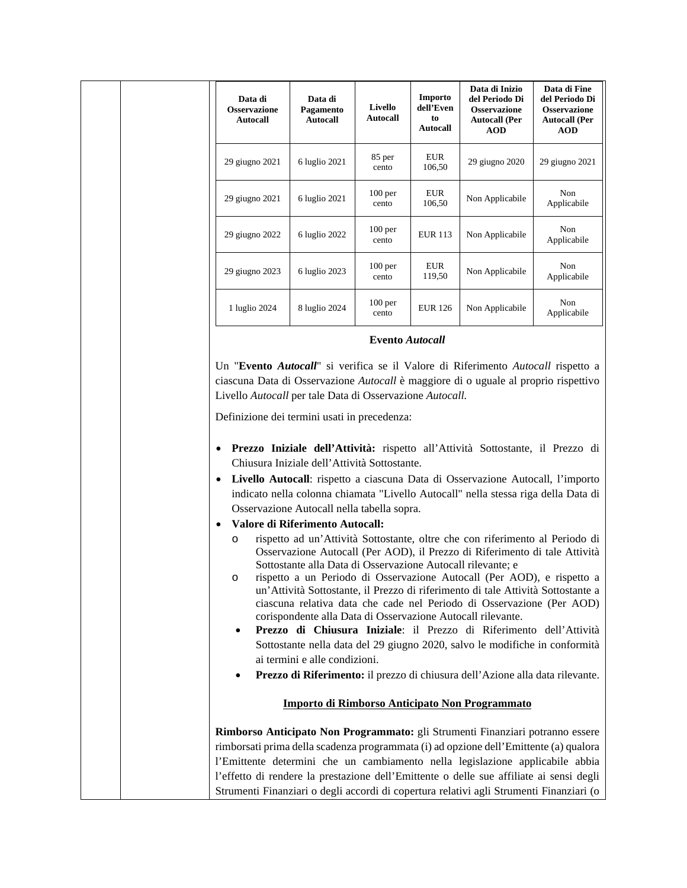| Data di<br><b>Osservazione</b><br><b>Autocall</b> | Data di<br>Pagamento<br><b>Autocall</b> | Livello<br>Autocall         | <b>Importo</b><br>dell'Even<br>to<br>Autocall | Data di Inizio<br>del Periodo Di<br><b>Osservazione</b><br><b>Autocall (Per</b><br><b>AOD</b> | Data di Fine<br>del Periodo Di<br><b>Osservazione</b><br><b>Autocall (Per</b><br><b>AOD</b> |
|---------------------------------------------------|-----------------------------------------|-----------------------------|-----------------------------------------------|-----------------------------------------------------------------------------------------------|---------------------------------------------------------------------------------------------|
| 29 giugno 2021                                    | 6 luglio 2021                           | 85 per<br>cento             | EUR<br>106,50                                 | 29 giugno 2020                                                                                | 29 giugno 2021                                                                              |
| 29 giugno 2021                                    | 6 luglio 2021                           | 100 <sub>per</sub><br>cento | <b>EUR</b><br>106,50                          | Non Applicabile                                                                               | Non.<br>Applicabile                                                                         |
| 29 giugno 2022                                    | 6 luglio 2022                           | $100$ per<br>cento          | <b>EUR 113</b>                                | Non Applicabile                                                                               | Non<br>Applicabile                                                                          |
| 29 giugno 2023                                    | 6 luglio 2023                           | 100 <sub>per</sub><br>cento | EUR<br>119,50                                 | Non Applicabile                                                                               | Non.<br>Applicabile                                                                         |
| 1 luglio 2024                                     | 8 luglio 2024                           | 100 <sub>per</sub><br>cento | <b>EUR 126</b>                                | Non Applicabile                                                                               | Non.<br>Applicabile                                                                         |

#### **Evento** *Autocall*

Un "**Evento** *Autocall*" si verifica se il Valore di Riferimento *Autocall* rispetto a ciascuna Data di Osservazione *Autocall* è maggiore di o uguale al proprio rispettivo Livello *Autocall* per tale Data di Osservazione *Autocall.*

Definizione dei termini usati in precedenza:

- **Prezzo Iniziale dell'Attività:** rispetto all'Attività Sottostante, il Prezzo di Chiusura Iniziale dell'Attività Sottostante.
- **Livello Autocall**: rispetto a ciascuna Data di Osservazione Autocall, l'importo indicato nella colonna chiamata "Livello Autocall" nella stessa riga della Data di Osservazione Autocall nella tabella sopra.
- **Valore di Riferimento Autocall:**
	- o rispetto ad un'Attività Sottostante, oltre che con riferimento al Periodo di Osservazione Autocall (Per AOD), il Prezzo di Riferimento di tale Attività Sottostante alla Data di Osservazione Autocall rilevante; e
	- o rispetto a un Periodo di Osservazione Autocall (Per AOD), e rispetto a un'Attività Sottostante, il Prezzo di riferimento di tale Attività Sottostante a ciascuna relativa data che cade nel Periodo di Osservazione (Per AOD) corispondente alla Data di Osservazione Autocall rilevante.
	- **Prezzo di Chiusura Iniziale**: il Prezzo di Riferimento dell'Attività Sottostante nella data del 29 giugno 2020, salvo le modifiche in conformità ai termini e alle condizioni.
	- **Prezzo di Riferimento:** il prezzo di chiusura dell'Azione alla data rilevante.

### **Importo di Rimborso Anticipato Non Programmato**

**Rimborso Anticipato Non Programmato:** gli Strumenti Finanziari potranno essere rimborsati prima della scadenza programmata (i) ad opzione dell'Emittente (a) qualora l'Emittente determini che un cambiamento nella legislazione applicabile abbia l'effetto di rendere la prestazione dell'Emittente o delle sue affiliate ai sensi degli Strumenti Finanziari o degli accordi di copertura relativi agli Strumenti Finanziari (o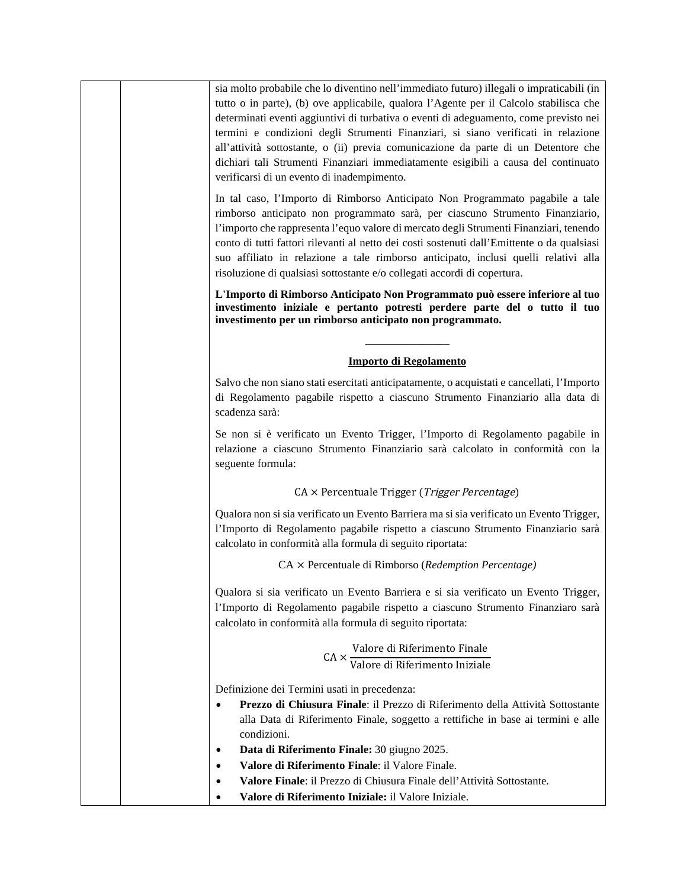| sia molto probabile che lo diventino nell'immediato futuro) illegali o impraticabili (in<br>tutto o in parte), (b) ove applicabile, qualora l'Agente per il Calcolo stabilisca che<br>determinati eventi aggiuntivi di turbativa o eventi di adeguamento, come previsto nei<br>termini e condizioni degli Strumenti Finanziari, si siano verificati in relazione<br>all'attività sottostante, o (ii) previa comunicazione da parte di un Detentore che<br>dichiari tali Strumenti Finanziari immediatamente esigibili a causa del continuato<br>verificarsi di un evento di inadempimento. |
|--------------------------------------------------------------------------------------------------------------------------------------------------------------------------------------------------------------------------------------------------------------------------------------------------------------------------------------------------------------------------------------------------------------------------------------------------------------------------------------------------------------------------------------------------------------------------------------------|
| In tal caso, l'Importo di Rimborso Anticipato Non Programmato pagabile a tale<br>rimborso anticipato non programmato sarà, per ciascuno Strumento Finanziario,<br>l'importo che rappresenta l'equo valore di mercato degli Strumenti Finanziari, tenendo<br>conto di tutti fattori rilevanti al netto dei costi sostenuti dall'Emittente o da qualsiasi<br>suo affiliato in relazione a tale rimborso anticipato, inclusi quelli relativi alla<br>risoluzione di qualsiasi sottostante e/o collegati accordi di copertura.                                                                 |
| L'Importo di Rimborso Anticipato Non Programmato può essere inferiore al tuo<br>investimento iniziale e pertanto potresti perdere parte del o tutto il tuo<br>investimento per un rimborso anticipato non programmato.                                                                                                                                                                                                                                                                                                                                                                     |
| <b>Importo di Regolamento</b>                                                                                                                                                                                                                                                                                                                                                                                                                                                                                                                                                              |
| Salvo che non siano stati esercitati anticipatamente, o acquistati e cancellati, l'Importo<br>di Regolamento pagabile rispetto a ciascuno Strumento Finanziario alla data di<br>scadenza sarà:                                                                                                                                                                                                                                                                                                                                                                                             |
| Se non si è verificato un Evento Trigger, l'Importo di Regolamento pagabile in<br>relazione a ciascuno Strumento Finanziario sarà calcolato in conformità con la<br>seguente formula:                                                                                                                                                                                                                                                                                                                                                                                                      |
| CA × Percentuale Trigger (Trigger Percentage)                                                                                                                                                                                                                                                                                                                                                                                                                                                                                                                                              |
| Qualora non si sia verificato un Evento Barriera ma si sia verificato un Evento Trigger,<br>l'Importo di Regolamento pagabile rispetto a ciascuno Strumento Finanziario sarà<br>calcolato in conformità alla formula di seguito riportata:                                                                                                                                                                                                                                                                                                                                                 |
| CA × Percentuale di Rimborso (Redemption Percentage)                                                                                                                                                                                                                                                                                                                                                                                                                                                                                                                                       |
| Qualora si sia verificato un Evento Barriera e si sia verificato un Evento Trigger,<br>l'Importo di Regolamento pagabile rispetto a ciascuno Strumento Finanziaro sarà<br>calcolato in conformità alla formula di seguito riportata:                                                                                                                                                                                                                                                                                                                                                       |
| $CA \times \frac{\text{Valore di Riferimento Finale}}{\text{Valore di Riferimento Iniziale}}$                                                                                                                                                                                                                                                                                                                                                                                                                                                                                              |
| Definizione dei Termini usati in precedenza:                                                                                                                                                                                                                                                                                                                                                                                                                                                                                                                                               |
| Prezzo di Chiusura Finale: il Prezzo di Riferimento della Attività Sottostante<br>$\bullet$<br>alla Data di Riferimento Finale, soggetto a rettifiche in base ai termini e alle<br>condizioni.                                                                                                                                                                                                                                                                                                                                                                                             |
| Data di Riferimento Finale: 30 giugno 2025.<br>٠                                                                                                                                                                                                                                                                                                                                                                                                                                                                                                                                           |
| Valore di Riferimento Finale: il Valore Finale.<br>٠                                                                                                                                                                                                                                                                                                                                                                                                                                                                                                                                       |
| Valore Finale: il Prezzo di Chiusura Finale dell'Attività Sottostante.                                                                                                                                                                                                                                                                                                                                                                                                                                                                                                                     |
| Valore di Riferimento Iniziale: il Valore Iniziale.                                                                                                                                                                                                                                                                                                                                                                                                                                                                                                                                        |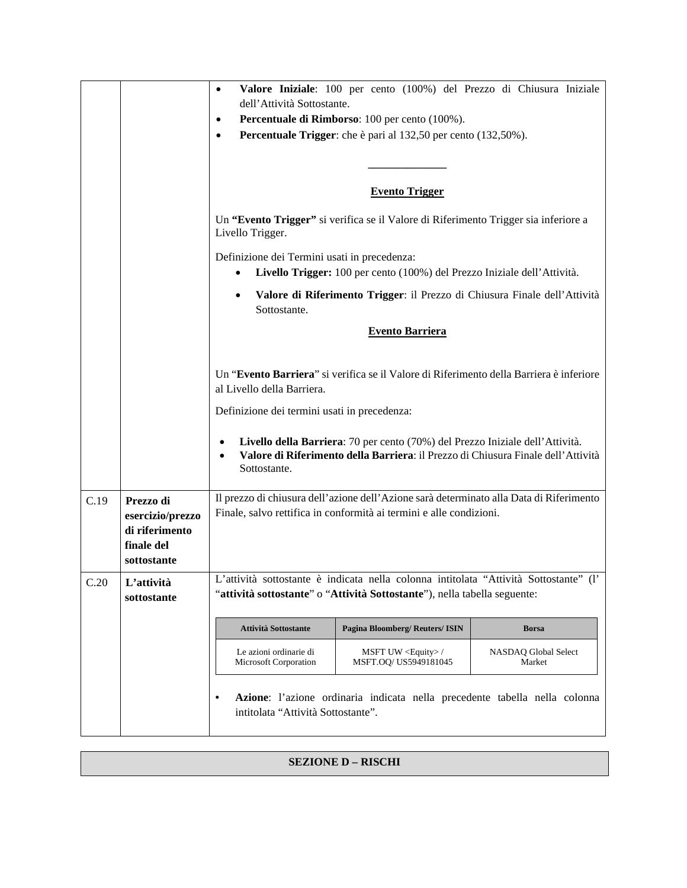|      |                                                                              | $\bullet$<br>dell'Attività Sottostante.<br>$\bullet$<br>$\bullet$<br>Livello Trigger.<br>Definizione dei Termini usati in precedenza:<br>$\bullet$<br>Sottostante.<br>al Livello della Barriera.<br>Definizione dei termini usati in precedenza:<br>Sottostante. | Valore Iniziale: 100 per cento (100%) del Prezzo di Chiusura Iniziale<br>Percentuale di Rimborso: 100 per cento (100%).<br>Percentuale Trigger: che è pari al 132,50 per cento (132,50%).<br><b>Evento Trigger</b><br>Un "Evento Trigger" si verifica se il Valore di Riferimento Trigger sia inferiore a<br>Livello Trigger: 100 per cento (100%) del Prezzo Iniziale dell'Attività.<br>Valore di Riferimento Trigger: il Prezzo di Chiusura Finale dell'Attività<br><b>Evento Barriera</b><br>Un "Evento Barriera" si verifica se il Valore di Riferimento della Barriera è inferiore<br>Livello della Barriera: 70 per cento (70%) del Prezzo Iniziale dell'Attività.<br>Valore di Riferimento della Barriera: il Prezzo di Chiusura Finale dell'Attività |                                |
|------|------------------------------------------------------------------------------|------------------------------------------------------------------------------------------------------------------------------------------------------------------------------------------------------------------------------------------------------------------|--------------------------------------------------------------------------------------------------------------------------------------------------------------------------------------------------------------------------------------------------------------------------------------------------------------------------------------------------------------------------------------------------------------------------------------------------------------------------------------------------------------------------------------------------------------------------------------------------------------------------------------------------------------------------------------------------------------------------------------------------------------|--------------------------------|
| C.19 | Prezzo di<br>esercizio/prezzo<br>di riferimento<br>finale del<br>sottostante |                                                                                                                                                                                                                                                                  | Il prezzo di chiusura dell'azione dell'Azione sarà determinato alla Data di Riferimento<br>Finale, salvo rettifica in conformità ai termini e alle condizioni.                                                                                                                                                                                                                                                                                                                                                                                                                                                                                                                                                                                               |                                |
| C.20 | L'attività<br>sottostante                                                    |                                                                                                                                                                                                                                                                  | L'attività sottostante è indicata nella colonna intitolata "Attività Sottostante" (l'<br>"attività sottostante" o "Attività Sottostante"), nella tabella seguente:                                                                                                                                                                                                                                                                                                                                                                                                                                                                                                                                                                                           |                                |
|      |                                                                              | Attività Sottostante                                                                                                                                                                                                                                             | Pagina Bloomberg/Reuters/ISIN                                                                                                                                                                                                                                                                                                                                                                                                                                                                                                                                                                                                                                                                                                                                | <b>Borsa</b>                   |
|      |                                                                              | Le azioni ordinarie di<br>Microsoft Corporation                                                                                                                                                                                                                  | MSFT UW <equity>/<br/>MSFT.OQ/ US5949181045</equity>                                                                                                                                                                                                                                                                                                                                                                                                                                                                                                                                                                                                                                                                                                         | NASDAQ Global Select<br>Market |
|      |                                                                              | ٠<br>intitolata "Attività Sottostante".                                                                                                                                                                                                                          | Azione: l'azione ordinaria indicata nella precedente tabella nella colonna                                                                                                                                                                                                                                                                                                                                                                                                                                                                                                                                                                                                                                                                                   |                                |

## **SEZIONE D – RISCHI**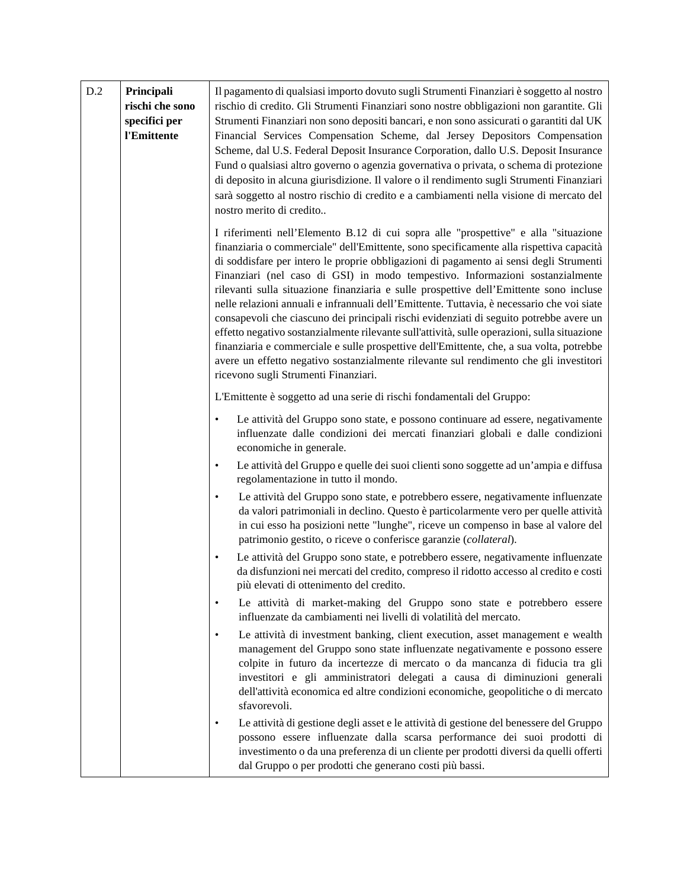| D.2 | Principali<br>rischi che sono<br>specifici per<br>l'Emittente | Il pagamento di qualsiasi importo dovuto sugli Strumenti Finanziari è soggetto al nostro<br>rischio di credito. Gli Strumenti Finanziari sono nostre obbligazioni non garantite. Gli<br>Strumenti Finanziari non sono depositi bancari, e non sono assicurati o garantiti dal UK<br>Financial Services Compensation Scheme, dal Jersey Depositors Compensation<br>Scheme, dal U.S. Federal Deposit Insurance Corporation, dallo U.S. Deposit Insurance<br>Fund o qualsiasi altro governo o agenzia governativa o privata, o schema di protezione<br>di deposito in alcuna giurisdizione. Il valore o il rendimento sugli Strumenti Finanziari<br>sarà soggetto al nostro rischio di credito e a cambiamenti nella visione di mercato del<br>nostro merito di credito                                                                                                                                                                                                       |
|-----|---------------------------------------------------------------|----------------------------------------------------------------------------------------------------------------------------------------------------------------------------------------------------------------------------------------------------------------------------------------------------------------------------------------------------------------------------------------------------------------------------------------------------------------------------------------------------------------------------------------------------------------------------------------------------------------------------------------------------------------------------------------------------------------------------------------------------------------------------------------------------------------------------------------------------------------------------------------------------------------------------------------------------------------------------|
|     |                                                               | I riferimenti nell'Elemento B.12 di cui sopra alle "prospettive" e alla "situazione<br>finanziaria o commerciale" dell'Emittente, sono specificamente alla rispettiva capacità<br>di soddisfare per intero le proprie obbligazioni di pagamento ai sensi degli Strumenti<br>Finanziari (nel caso di GSI) in modo tempestivo. Informazioni sostanzialmente<br>rilevanti sulla situazione finanziaria e sulle prospettive dell'Emittente sono incluse<br>nelle relazioni annuali e infrannuali dell'Emittente. Tuttavia, è necessario che voi siate<br>consapevoli che ciascuno dei principali rischi evidenziati di seguito potrebbe avere un<br>effetto negativo sostanzialmente rilevante sull'attività, sulle operazioni, sulla situazione<br>finanziaria e commerciale e sulle prospettive dell'Emittente, che, a sua volta, potrebbe<br>avere un effetto negativo sostanzialmente rilevante sul rendimento che gli investitori<br>ricevono sugli Strumenti Finanziari. |
|     |                                                               | L'Emittente è soggetto ad una serie di rischi fondamentali del Gruppo:                                                                                                                                                                                                                                                                                                                                                                                                                                                                                                                                                                                                                                                                                                                                                                                                                                                                                                     |
|     |                                                               | Le attività del Gruppo sono state, e possono continuare ad essere, negativamente<br>$\bullet$<br>influenzate dalle condizioni dei mercati finanziari globali e dalle condizioni<br>economiche in generale.                                                                                                                                                                                                                                                                                                                                                                                                                                                                                                                                                                                                                                                                                                                                                                 |
|     |                                                               | Le attività del Gruppo e quelle dei suoi clienti sono soggette ad un'ampia e diffusa<br>$\bullet$<br>regolamentazione in tutto il mondo.                                                                                                                                                                                                                                                                                                                                                                                                                                                                                                                                                                                                                                                                                                                                                                                                                                   |
|     |                                                               | Le attività del Gruppo sono state, e potrebbero essere, negativamente influenzate<br>$\bullet$<br>da valori patrimoniali in declino. Questo è particolarmente vero per quelle attività<br>in cui esso ha posizioni nette "lunghe", riceve un compenso in base al valore del<br>patrimonio gestito, o riceve o conferisce garanzie (collateral).                                                                                                                                                                                                                                                                                                                                                                                                                                                                                                                                                                                                                            |
|     |                                                               | Le attività del Gruppo sono state, e potrebbero essere, negativamente influenzate<br>$\bullet$<br>da disfunzioni nei mercati del credito, compreso il ridotto accesso al credito e costi<br>più elevati di ottenimento del credito.                                                                                                                                                                                                                                                                                                                                                                                                                                                                                                                                                                                                                                                                                                                                        |
|     |                                                               | Le attività di market-making del Gruppo sono state e potrebbero essere<br>$\bullet$<br>influenzate da cambiamenti nei livelli di volatilità del mercato.                                                                                                                                                                                                                                                                                                                                                                                                                                                                                                                                                                                                                                                                                                                                                                                                                   |
|     |                                                               | Le attività di investment banking, client execution, asset management e wealth<br>$\bullet$<br>management del Gruppo sono state influenzate negativamente e possono essere<br>colpite in futuro da incertezze di mercato o da mancanza di fiducia tra gli<br>investitori e gli amministratori delegati a causa di diminuzioni generali<br>dell'attività economica ed altre condizioni economiche, geopolitiche o di mercato<br>sfavorevoli.                                                                                                                                                                                                                                                                                                                                                                                                                                                                                                                                |
|     |                                                               | Le attività di gestione degli asset e le attività di gestione del benessere del Gruppo<br>$\bullet$<br>possono essere influenzate dalla scarsa performance dei suoi prodotti di<br>investimento o da una preferenza di un cliente per prodotti diversi da quelli offerti<br>dal Gruppo o per prodotti che generano costi più bassi.                                                                                                                                                                                                                                                                                                                                                                                                                                                                                                                                                                                                                                        |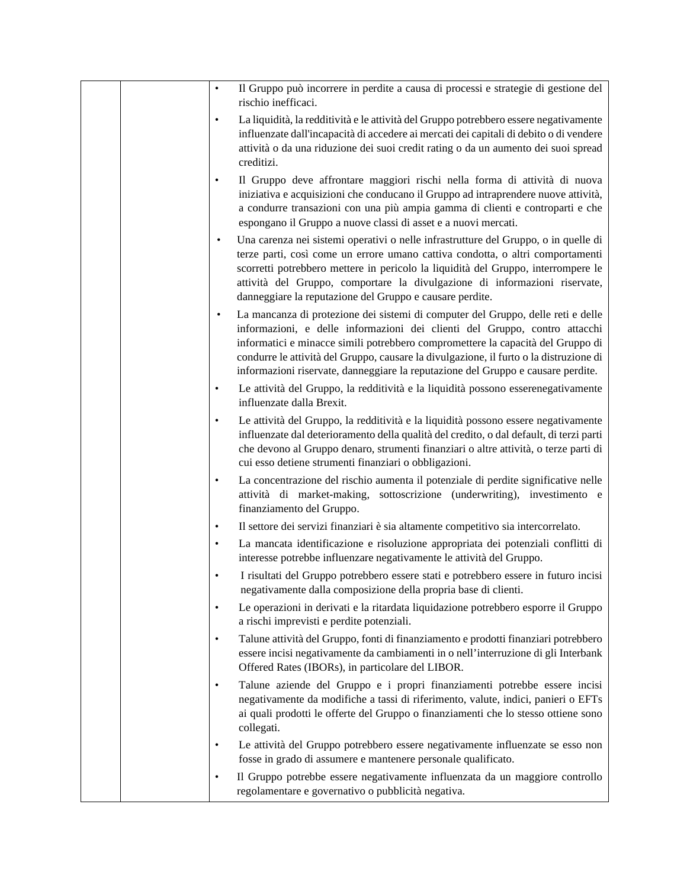|  | $\bullet$ | Il Gruppo può incorrere in perdite a causa di processi e strategie di gestione del<br>rischio inefficaci.                                                                                                                                                                                                                                                                                                                       |
|--|-----------|---------------------------------------------------------------------------------------------------------------------------------------------------------------------------------------------------------------------------------------------------------------------------------------------------------------------------------------------------------------------------------------------------------------------------------|
|  |           | La liquidità, la redditività e le attività del Gruppo potrebbero essere negativamente<br>influenzate dall'incapacità di accedere ai mercati dei capitali di debito o di vendere<br>attività o da una riduzione dei suoi credit rating o da un aumento dei suoi spread<br>creditizi.                                                                                                                                             |
|  | $\bullet$ | Il Gruppo deve affrontare maggiori rischi nella forma di attività di nuova<br>iniziativa e acquisizioni che conducano il Gruppo ad intraprendere nuove attività,<br>a condurre transazioni con una più ampia gamma di clienti e controparti e che<br>espongano il Gruppo a nuove classi di asset e a nuovi mercati.                                                                                                             |
|  | $\bullet$ | Una carenza nei sistemi operativi o nelle infrastrutture del Gruppo, o in quelle di<br>terze parti, così come un errore umano cattiva condotta, o altri comportamenti<br>scorretti potrebbero mettere in pericolo la liquidità del Gruppo, interrompere le<br>attività del Gruppo, comportare la divulgazione di informazioni riservate,<br>danneggiare la reputazione del Gruppo e causare perdite.                            |
|  | $\bullet$ | La mancanza di protezione dei sistemi di computer del Gruppo, delle reti e delle<br>informazioni, e delle informazioni dei clienti del Gruppo, contro attacchi<br>informatici e minacce simili potrebbero compromettere la capacità del Gruppo di<br>condurre le attività del Gruppo, causare la divulgazione, il furto o la distruzione di<br>informazioni riservate, danneggiare la reputazione del Gruppo e causare perdite. |
|  | ٠         | Le attività del Gruppo, la redditività e la liquidità possono esserenegativamente<br>influenzate dalla Brexit.                                                                                                                                                                                                                                                                                                                  |
|  | $\bullet$ | Le attività del Gruppo, la redditività e la liquidità possono essere negativamente<br>influenzate dal deterioramento della qualità del credito, o dal default, di terzi parti<br>che devono al Gruppo denaro, strumenti finanziari o altre attività, o terze parti di<br>cui esso detiene strumenti finanziari o obbligazioni.                                                                                                  |
|  | $\bullet$ | La concentrazione del rischio aumenta il potenziale di perdite significative nelle<br>attività di market-making, sottoscrizione (underwriting), investimento e<br>finanziamento del Gruppo.                                                                                                                                                                                                                                     |
|  | $\bullet$ | Il settore dei servizi finanziari è sia altamente competitivo sia intercorrelato.                                                                                                                                                                                                                                                                                                                                               |
|  | ٠         | La mancata identificazione e risoluzione appropriata dei potenziali conflitti di<br>interesse potrebbe influenzare negativamente le attività del Gruppo.                                                                                                                                                                                                                                                                        |
|  |           | I risultati del Gruppo potrebbero essere stati e potrebbero essere in futuro incisi<br>negativamente dalla composizione della propria base di clienti.                                                                                                                                                                                                                                                                          |
|  | $\bullet$ | Le operazioni in derivati e la ritardata liquidazione potrebbero esporre il Gruppo<br>a rischi imprevisti e perdite potenziali.                                                                                                                                                                                                                                                                                                 |
|  | ٠         | Talune attività del Gruppo, fonti di finanziamento e prodotti finanziari potrebbero<br>essere incisi negativamente da cambiamenti in o nell'interruzione di gli Interbank<br>Offered Rates (IBORs), in particolare del LIBOR.                                                                                                                                                                                                   |
|  | ٠         | Talune aziende del Gruppo e i propri finanziamenti potrebbe essere incisi<br>negativamente da modifiche a tassi di riferimento, valute, indici, panieri o EFTs<br>ai quali prodotti le offerte del Gruppo o finanziamenti che lo stesso ottiene sono<br>collegati.                                                                                                                                                              |
|  | ٠         | Le attività del Gruppo potrebbero essere negativamente influenzate se esso non<br>fosse in grado di assumere e mantenere personale qualificato.                                                                                                                                                                                                                                                                                 |
|  | $\bullet$ | Il Gruppo potrebbe essere negativamente influenzata da un maggiore controllo<br>regolamentare e governativo o pubblicità negativa.                                                                                                                                                                                                                                                                                              |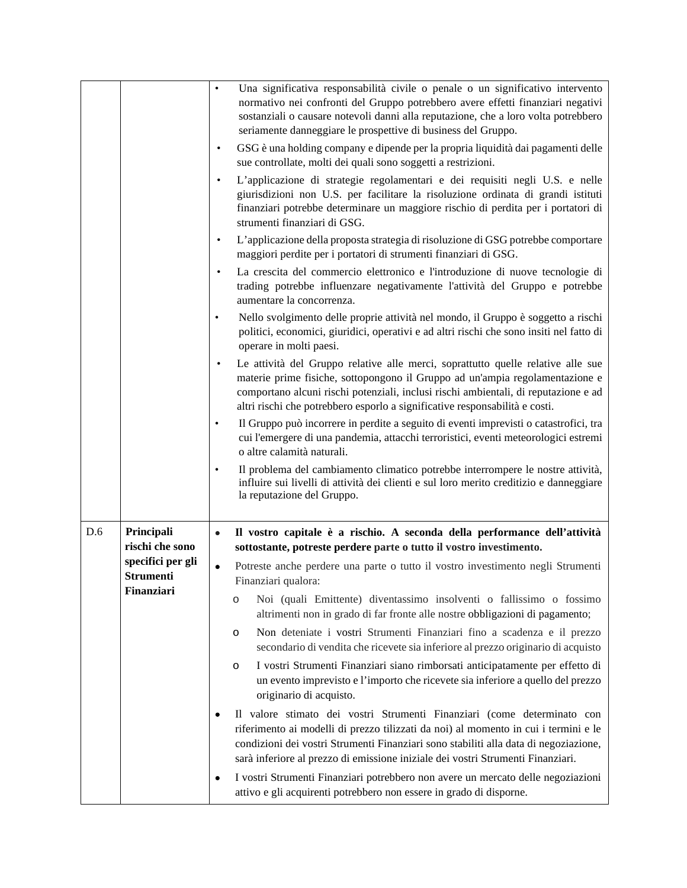|     |                                                     | Una significativa responsabilità civile o penale o un significativo intervento<br>$\bullet$<br>normativo nei confronti del Gruppo potrebbero avere effetti finanziari negativi<br>sostanziali o causare notevoli danni alla reputazione, che a loro volta potrebbero<br>seriamente danneggiare le prospettive di business del Gruppo.<br>GSG è una holding company e dipende per la propria liquidità dai pagamenti delle<br>$\bullet$<br>sue controllate, molti dei quali sono soggetti a restrizioni.<br>L'applicazione di strategie regolamentari e dei requisiti negli U.S. e nelle<br>٠<br>giurisdizioni non U.S. per facilitare la risoluzione ordinata di grandi istituti<br>finanziari potrebbe determinare un maggiore rischio di perdita per i portatori di<br>strumenti finanziari di GSG.<br>L'applicazione della proposta strategia di risoluzione di GSG potrebbe comportare<br>٠<br>maggiori perdite per i portatori di strumenti finanziari di GSG.<br>La crescita del commercio elettronico e l'introduzione di nuove tecnologie di<br>$\bullet$<br>trading potrebbe influenzare negativamente l'attività del Gruppo e potrebbe<br>aumentare la concorrenza.<br>Nello svolgimento delle proprie attività nel mondo, il Gruppo è soggetto a rischi<br>$\bullet$<br>politici, economici, giuridici, operativi e ad altri rischi che sono insiti nel fatto di<br>operare in molti paesi.<br>Le attività del Gruppo relative alle merci, soprattutto quelle relative alle sue<br>$\bullet$<br>materie prime fisiche, sottopongono il Gruppo ad un'ampia regolamentazione e<br>comportano alcuni rischi potenziali, inclusi rischi ambientali, di reputazione e ad<br>altri rischi che potrebbero esporlo a significative responsabilità e costi.<br>Il Gruppo può incorrere in perdite a seguito di eventi imprevisti o catastrofici, tra<br>$\bullet$<br>cui l'emergere di una pandemia, attacchi terroristici, eventi meteorologici estremi |
|-----|-----------------------------------------------------|------------------------------------------------------------------------------------------------------------------------------------------------------------------------------------------------------------------------------------------------------------------------------------------------------------------------------------------------------------------------------------------------------------------------------------------------------------------------------------------------------------------------------------------------------------------------------------------------------------------------------------------------------------------------------------------------------------------------------------------------------------------------------------------------------------------------------------------------------------------------------------------------------------------------------------------------------------------------------------------------------------------------------------------------------------------------------------------------------------------------------------------------------------------------------------------------------------------------------------------------------------------------------------------------------------------------------------------------------------------------------------------------------------------------------------------------------------------------------------------------------------------------------------------------------------------------------------------------------------------------------------------------------------------------------------------------------------------------------------------------------------------------------------------------------------------------------------------------------------------------------------------------------------------------------------------------------------|
|     |                                                     | o altre calamità naturali.<br>Il problema del cambiamento climatico potrebbe interrompere le nostre attività,<br>influire sui livelli di attività dei clienti e sul loro merito creditizio e danneggiare<br>la reputazione del Gruppo.                                                                                                                                                                                                                                                                                                                                                                                                                                                                                                                                                                                                                                                                                                                                                                                                                                                                                                                                                                                                                                                                                                                                                                                                                                                                                                                                                                                                                                                                                                                                                                                                                                                                                                                     |
| D.6 | Principali<br>rischi che sono                       | Il vostro capitale è a rischio. A seconda della performance dell'attività<br>$\bullet$<br>sottostante, potreste perdere parte o tutto il vostro investimento.                                                                                                                                                                                                                                                                                                                                                                                                                                                                                                                                                                                                                                                                                                                                                                                                                                                                                                                                                                                                                                                                                                                                                                                                                                                                                                                                                                                                                                                                                                                                                                                                                                                                                                                                                                                              |
|     | specifici per gli<br><b>Strumenti</b><br>Finanziari | Potreste anche perdere una parte o tutto il vostro investimento negli Strumenti<br>$\bullet$<br>Finanziari qualora:<br>Noi (quali Emittente) diventassimo insolventi o fallissimo o fossimo<br>$\circ$<br>altrimenti non in grado di far fronte alle nostre obbligazioni di pagamento;<br>Non deteniate i vostri Strumenti Finanziari fino a scadenza e il prezzo<br>$\circ$<br>secondario di vendita che ricevete sia inferiore al prezzo originario di acquisto<br>I vostri Strumenti Finanziari siano rimborsati anticipatamente per effetto di<br>O<br>un evento imprevisto e l'importo che ricevete sia inferiore a quello del prezzo<br>originario di acquisto.<br>Il valore stimato dei vostri Strumenti Finanziari (come determinato con<br>٠<br>riferimento ai modelli di prezzo tilizzati da noi) al momento in cui i termini e le<br>condizioni dei vostri Strumenti Finanziari sono stabiliti alla data di negoziazione,<br>sarà inferiore al prezzo di emissione iniziale dei vostri Strumenti Finanziari.<br>I vostri Strumenti Finanziari potrebbero non avere un mercato delle negoziazioni<br>٠<br>attivo e gli acquirenti potrebbero non essere in grado di disporne.                                                                                                                                                                                                                                                                                                                                                                                                                                                                                                                                                                                                                                                                                                                                                                    |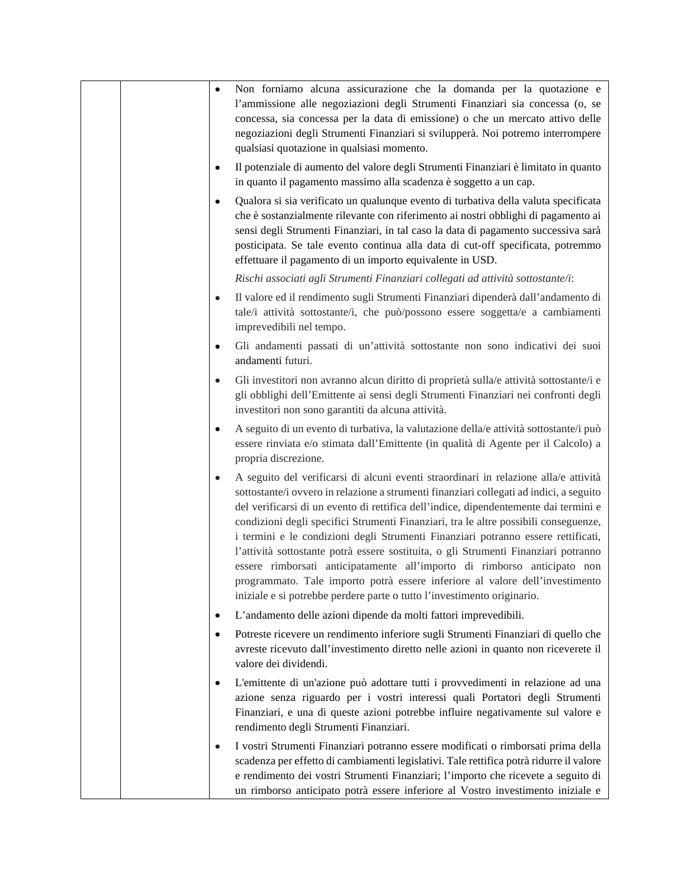|  |           | Non forniamo alcuna assicurazione che la domanda per la quotazione e<br>l'ammissione alle negoziazioni degli Strumenti Finanziari sia concessa (o, se<br>concessa, sia concessa per la data di emissione) o che un mercato attivo delle<br>negoziazioni degli Strumenti Finanziari si svilupperà. Noi potremo interrompere<br>qualsiasi quotazione in qualsiasi momento.                                                                                                                                                                                                                                                                                                                                                                                                           |
|--|-----------|------------------------------------------------------------------------------------------------------------------------------------------------------------------------------------------------------------------------------------------------------------------------------------------------------------------------------------------------------------------------------------------------------------------------------------------------------------------------------------------------------------------------------------------------------------------------------------------------------------------------------------------------------------------------------------------------------------------------------------------------------------------------------------|
|  | ٠         | Il potenziale di aumento del valore degli Strumenti Finanziari è limitato in quanto<br>in quanto il pagamento massimo alla scadenza è soggetto a un cap.                                                                                                                                                                                                                                                                                                                                                                                                                                                                                                                                                                                                                           |
|  | ٠         | Qualora si sia verificato un qualunque evento di turbativa della valuta specificata<br>che è sostanzialmente rilevante con riferimento ai nostri obblighi di pagamento ai<br>sensi degli Strumenti Finanziari, in tal caso la data di pagamento successiva sarà<br>posticipata. Se tale evento continua alla data di cut-off specificata, potremmo<br>effettuare il pagamento di un importo equivalente in USD.                                                                                                                                                                                                                                                                                                                                                                    |
|  |           | Rischi associati agli Strumenti Finanziari collegati ad attività sottostante/i:                                                                                                                                                                                                                                                                                                                                                                                                                                                                                                                                                                                                                                                                                                    |
|  | ٠         | Il valore ed il rendimento sugli Strumenti Finanziari dipenderà dall'andamento di<br>tale/i attività sottostante/i, che può/possono essere soggetta/e a cambiamenti<br>imprevedibili nel tempo.                                                                                                                                                                                                                                                                                                                                                                                                                                                                                                                                                                                    |
|  | ٠         | Gli andamenti passati di un'attività sottostante non sono indicativi dei suoi<br>andamenti futuri.                                                                                                                                                                                                                                                                                                                                                                                                                                                                                                                                                                                                                                                                                 |
|  | ۰         | Gli investitori non avranno alcun diritto di proprietà sulla/e attività sottostante/i e<br>gli obblighi dell'Emittente ai sensi degli Strumenti Finanziari nei confronti degli<br>investitori non sono garantiti da alcuna attività.                                                                                                                                                                                                                                                                                                                                                                                                                                                                                                                                               |
|  | $\bullet$ | A seguito di un evento di turbativa, la valutazione della/e attività sottostante/i può<br>essere rinviata e/o stimata dall'Emittente (in qualità di Agente per il Calcolo) a<br>propria discrezione.                                                                                                                                                                                                                                                                                                                                                                                                                                                                                                                                                                               |
|  | ۰         | A seguito del verificarsi di alcuni eventi straordinari in relazione alla/e attività<br>sottostante/i ovvero in relazione a strumenti finanziari collegati ad indici, a seguito<br>del verificarsi di un evento di rettifica dell'indice, dipendentemente dai termini e<br>condizioni degli specifici Strumenti Finanziari, tra le altre possibili conseguenze,<br>i termini e le condizioni degli Strumenti Finanziari potranno essere rettificati,<br>l'attività sottostante potrà essere sostituita, o gli Strumenti Finanziari potranno<br>essere rimborsati anticipatamente all'importo di rimborso anticipato non<br>programmato. Tale importo potrà essere inferiore al valore dell'investimento<br>iniziale e si potrebbe perdere parte o tutto l'investimento originario. |
|  | ٠         | L'andamento delle azioni dipende da molti fattori imprevedibili.                                                                                                                                                                                                                                                                                                                                                                                                                                                                                                                                                                                                                                                                                                                   |
|  | ٠         | Potreste ricevere un rendimento inferiore sugli Strumenti Finanziari di quello che<br>avreste ricevuto dall'investimento diretto nelle azioni in quanto non riceverete il<br>valore dei dividendi.                                                                                                                                                                                                                                                                                                                                                                                                                                                                                                                                                                                 |
|  | ٠         | L'emittente di un'azione può adottare tutti i provvedimenti in relazione ad una<br>azione senza riguardo per i vostri interessi quali Portatori degli Strumenti<br>Finanziari, e una di queste azioni potrebbe influire negativamente sul valore e<br>rendimento degli Strumenti Finanziari.                                                                                                                                                                                                                                                                                                                                                                                                                                                                                       |
|  | ٠         | I vostri Strumenti Finanziari potranno essere modificati o rimborsati prima della<br>scadenza per effetto di cambiamenti legislativi. Tale rettifica potrà ridurre il valore<br>e rendimento dei vostri Strumenti Finanziari; l'importo che ricevete a seguito di<br>un rimborso anticipato potrà essere inferiore al Vostro investimento iniziale e                                                                                                                                                                                                                                                                                                                                                                                                                               |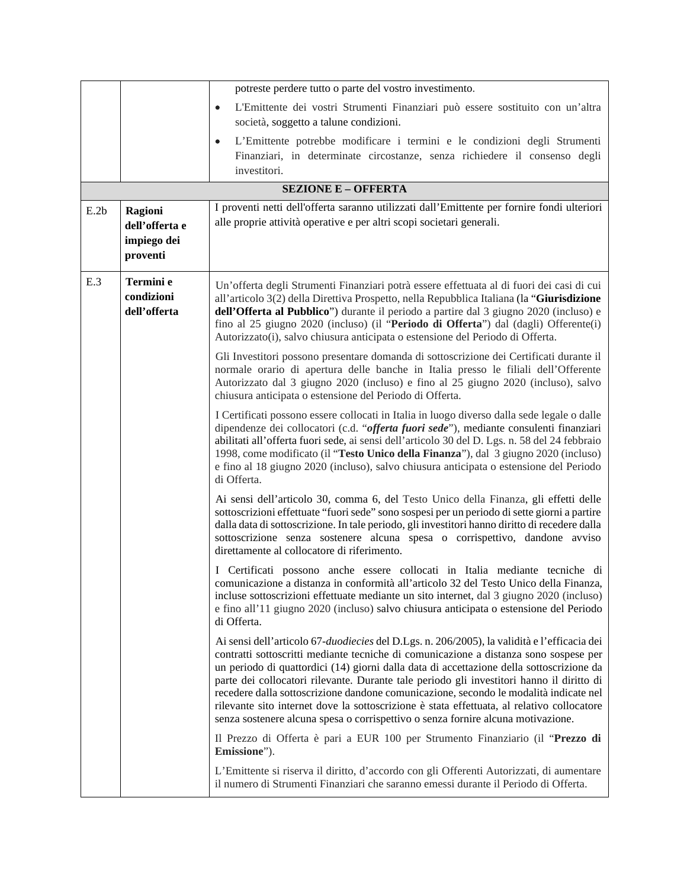|      |                                                      | potreste perdere tutto o parte del vostro investimento.                                                                                                                                                                                                                                                                                                                                                                                                                                                                                                                                                                                                  |
|------|------------------------------------------------------|----------------------------------------------------------------------------------------------------------------------------------------------------------------------------------------------------------------------------------------------------------------------------------------------------------------------------------------------------------------------------------------------------------------------------------------------------------------------------------------------------------------------------------------------------------------------------------------------------------------------------------------------------------|
|      |                                                      | L'Emittente dei vostri Strumenti Finanziari può essere sostituito con un'altra<br>٠                                                                                                                                                                                                                                                                                                                                                                                                                                                                                                                                                                      |
|      |                                                      | società, soggetto a talune condizioni.                                                                                                                                                                                                                                                                                                                                                                                                                                                                                                                                                                                                                   |
|      |                                                      | L'Emittente potrebbe modificare i termini e le condizioni degli Strumenti<br>٠<br>Finanziari, in determinate circostanze, senza richiedere il consenso degli<br>investitori.                                                                                                                                                                                                                                                                                                                                                                                                                                                                             |
|      |                                                      | <b>SEZIONE E - OFFERTA</b>                                                                                                                                                                                                                                                                                                                                                                                                                                                                                                                                                                                                                               |
| E.2b | Ragioni<br>dell'offerta e<br>impiego dei<br>proventi | I proventi netti dell'offerta saranno utilizzati dall'Emittente per fornire fondi ulteriori<br>alle proprie attività operative e per altri scopi societari generali.                                                                                                                                                                                                                                                                                                                                                                                                                                                                                     |
| E.3  | Termini e<br>condizioni<br>dell'offerta              | Un'offerta degli Strumenti Finanziari potrà essere effettuata al di fuori dei casi di cui<br>all'articolo 3(2) della Direttiva Prospetto, nella Repubblica Italiana (la "Giurisdizione<br>dell'Offerta al Pubblico") durante il periodo a partire dal 3 giugno 2020 (incluso) e<br>fino al 25 giugno 2020 (incluso) (il "Periodo di Offerta") dal (dagli) Offerente(i)<br>Autorizzato(i), salvo chiusura anticipata o estensione del Periodo di Offerta.                                                                                                                                                                                                 |
|      |                                                      | Gli Investitori possono presentare domanda di sottoscrizione dei Certificati durante il<br>normale orario di apertura delle banche in Italia presso le filiali dell'Offerente<br>Autorizzato dal 3 giugno 2020 (incluso) e fino al 25 giugno 2020 (incluso), salvo<br>chiusura anticipata o estensione del Periodo di Offerta.                                                                                                                                                                                                                                                                                                                           |
|      |                                                      | I Certificati possono essere collocati in Italia in luogo diverso dalla sede legale o dalle<br>dipendenze dei collocatori (c.d. "offerta fuori sede"), mediante consulenti finanziari<br>abilitati all'offerta fuori sede, ai sensi dell'articolo 30 del D. Lgs. n. 58 del 24 febbraio<br>1998, come modificato (il "Testo Unico della Finanza"), dal 3 giugno 2020 (incluso)<br>e fino al 18 giugno 2020 (incluso), salvo chiusura anticipata o estensione del Periodo<br>di Offerta.                                                                                                                                                                   |
|      |                                                      | Ai sensi dell'articolo 30, comma 6, del Testo Unico della Finanza, gli effetti delle<br>sottoscrizioni effettuate "fuori sede" sono sospesi per un periodo di sette giorni a partire<br>dalla data di sottoscrizione. In tale periodo, gli investitori hanno diritto di recedere dalla<br>sottoscrizione senza sostenere alcuna spesa o corrispettivo, dandone avviso<br>direttamente al collocatore di riferimento.                                                                                                                                                                                                                                     |
|      |                                                      | I Certificati possono anche essere collocati in Italia mediante tecniche di<br>comunicazione a distanza in conformità all'articolo 32 del Testo Unico della Finanza,<br>incluse sottoscrizioni effettuate mediante un sito internet, dal 3 giugno 2020 (incluso)<br>e fino all'11 giugno 2020 (incluso) salvo chiusura anticipata o estensione del Periodo<br>di Offerta.                                                                                                                                                                                                                                                                                |
|      |                                                      | Ai sensi dell'articolo 67-duodiecies del D.Lgs. n. 206/2005), la validità e l'efficacia dei<br>contratti sottoscritti mediante tecniche di comunicazione a distanza sono sospese per<br>un periodo di quattordici (14) giorni dalla data di accettazione della sottoscrizione da<br>parte dei collocatori rilevante. Durante tale periodo gli investitori hanno il diritto di<br>recedere dalla sottoscrizione dandone comunicazione, secondo le modalità indicate nel<br>rilevante sito internet dove la sottoscrizione è stata effettuata, al relativo collocatore<br>senza sostenere alcuna spesa o corrispettivo o senza fornire alcuna motivazione. |
|      |                                                      | Il Prezzo di Offerta è pari a EUR 100 per Strumento Finanziario (il "Prezzo di<br>Emissione").                                                                                                                                                                                                                                                                                                                                                                                                                                                                                                                                                           |
|      |                                                      | L'Emittente si riserva il diritto, d'accordo con gli Offerenti Autorizzati, di aumentare<br>il numero di Strumenti Finanziari che saranno emessi durante il Periodo di Offerta.                                                                                                                                                                                                                                                                                                                                                                                                                                                                          |